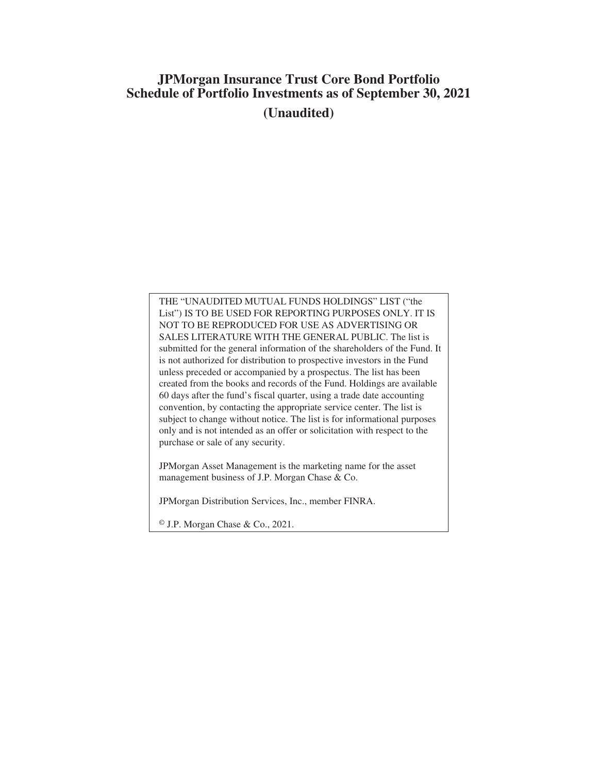# **JPMorgan Insurance Trust Core Bond Portfolio Schedule of Portfolio Investments as of September 30, 2021 (Unaudited)**

THE "UNAUDITED MUTUAL FUNDS HOLDINGS" LIST ("the List") IS TO BE USED FOR REPORTING PURPOSES ONLY. IT IS NOT TO BE REPRODUCED FOR USE AS ADVERTISING OR SALES LITERATURE WITH THE GENERAL PUBLIC. The list is submitted for the general information of the shareholders of the Fund. It is not authorized for distribution to prospective investors in the Fund unless preceded or accompanied by a prospectus. The list has been created from the books and records of the Fund. Holdings are available 60 days after the fund's fiscal quarter, using a trade date accounting convention, by contacting the appropriate service center. The list is subject to change without notice. The list is for informational purposes only and is not intended as an offer or solicitation with respect to the purchase or sale of any security.

JPMorgan Asset Management is the marketing name for the asset management business of J.P. Morgan Chase & Co.

JPMorgan Distribution Services, Inc., member FINRA.

© J.P. Morgan Chase & Co., 2021.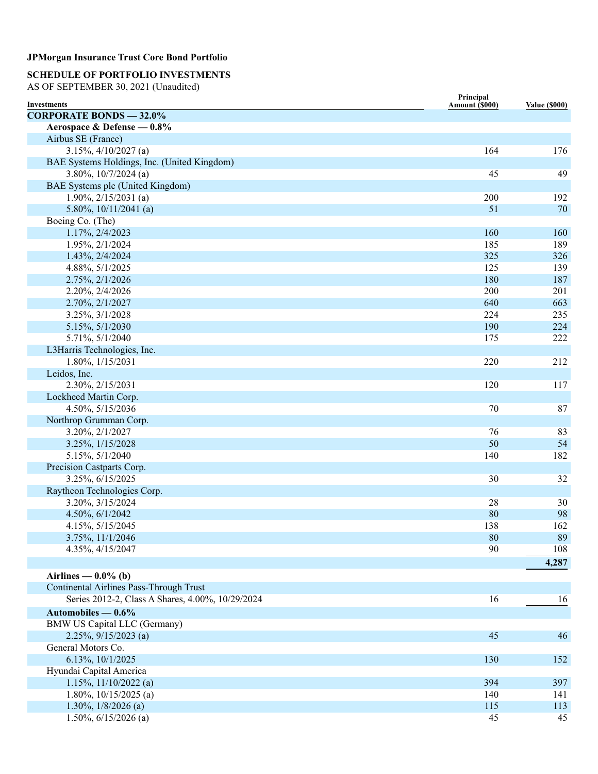### **SCHEDULE OF PORTFOLIO INVESTMENTS**

AS OF SEPTEMBER 30, 2021 (Unaudited)

| <b>Investments</b>                               | Principal<br>Amount (\$000) | <b>Value (\$000)</b> |
|--------------------------------------------------|-----------------------------|----------------------|
| <b>CORPORATE BONDS - 32.0%</b>                   |                             |                      |
| Aerospace & Defense - 0.8%                       |                             |                      |
| Airbus SE (France)                               |                             |                      |
| $3.15\%, \frac{4}{10/2027}$ (a)                  | 164                         | 176                  |
| BAE Systems Holdings, Inc. (United Kingdom)      |                             |                      |
| $3.80\%, 10/7/2024$ (a)                          | 45                          | 49                   |
| BAE Systems plc (United Kingdom)                 |                             |                      |
| $1.90\%, 2/15/2031$ (a)                          | 200                         | 192                  |
| 5.80%, $10/11/2041$ (a)                          | 51                          | 70                   |
| Boeing Co. (The)                                 |                             |                      |
| 1.17%, 2/4/2023                                  | 160                         | 160                  |
| 1.95%, 2/1/2024                                  | 185                         | 189                  |
| 1.43%, 2/4/2024                                  | 325                         | 326                  |
| 4.88%, 5/1/2025                                  | 125                         | 139                  |
| 2.75%, 2/1/2026                                  | 180                         | 187                  |
| 2.20%, 2/4/2026                                  | 200                         | 201                  |
| 2.70%, 2/1/2027                                  | 640                         | 663                  |
| 3.25%, 3/1/2028                                  | 224                         | 235                  |
| 5.15%, 5/1/2030                                  | 190                         | 224                  |
| 5.71%, 5/1/2040                                  | 175                         | 222                  |
| L3Harris Technologies, Inc.                      |                             |                      |
| 1.80%, 1/15/2031                                 | 220                         | 212                  |
| Leidos, Inc.                                     |                             |                      |
| 2.30%, 2/15/2031                                 | 120                         | 117                  |
| Lockheed Martin Corp.                            |                             |                      |
| 4.50%, 5/15/2036                                 | 70                          | 87                   |
| Northrop Grumman Corp.                           |                             |                      |
| 3.20%, 2/1/2027                                  | 76                          | 83                   |
| 3.25%, 1/15/2028                                 | 50                          | 54                   |
| 5.15%, 5/1/2040                                  | 140                         | 182                  |
| Precision Castparts Corp.                        |                             |                      |
| 3.25%, 6/15/2025                                 | 30                          | 32                   |
| Raytheon Technologies Corp.                      |                             |                      |
| 3.20%, 3/15/2024                                 | 28                          | 30                   |
| 4.50%, 6/1/2042                                  | 80                          | 98                   |
| 4.15%, 5/15/2045                                 | 138                         | 162                  |
| 3.75%, 11/1/2046                                 | 80                          | 89                   |
| 4.35%, 4/15/2047                                 | 90                          | 108                  |
|                                                  |                             | 4,287                |
| Airlines — $0.0\%$ (b)                           |                             |                      |
| <b>Continental Airlines Pass-Through Trust</b>   |                             |                      |
| Series 2012-2, Class A Shares, 4.00%, 10/29/2024 | 16                          | 16                   |
|                                                  |                             |                      |
| Automobiles $-0.6\%$                             |                             |                      |
| <b>BMW US Capital LLC (Germany)</b>              |                             |                      |
| $2.25\%, 9/15/2023$ (a)                          | 45                          | 46                   |
| General Motors Co.                               |                             |                      |
| 6.13%, 10/1/2025                                 | 130                         | 152                  |
| Hyundai Capital America                          |                             |                      |
| $1.15\%, 11/10/2022$ (a)                         | 394                         | 397                  |
| 1.80%, $10/15/2025$ (a)                          | 140                         | 141                  |
| $1.30\%, 1/8/2026$ (a)                           | 115                         | 113                  |
| 1.50%, $6/15/2026$ (a)                           | 45                          | 45                   |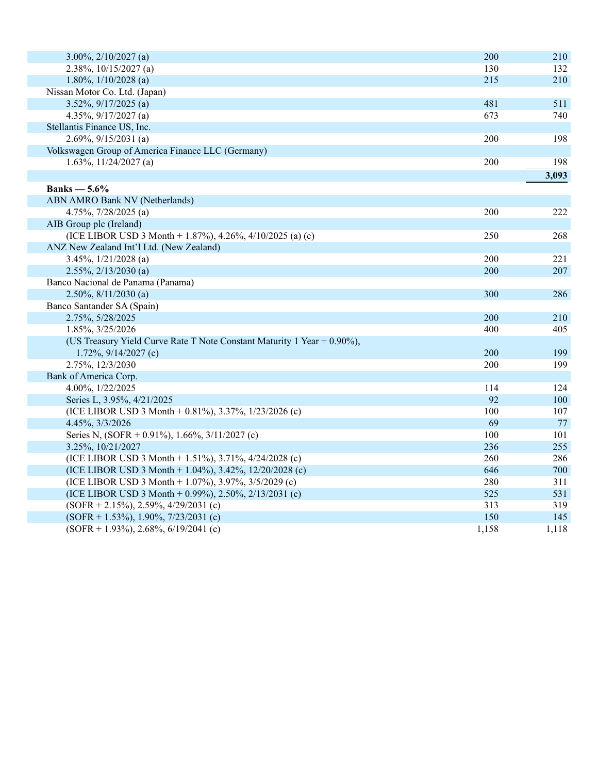| $3.00\%, 2/10/2027$ (a)                                                 | 200   | 210   |
|-------------------------------------------------------------------------|-------|-------|
| $2.38\%, 10/15/2027$ (a)                                                | 130   | 132   |
| 1.80%, $1/10/2028$ (a)                                                  | 215   | 210   |
| Nissan Motor Co. Ltd. (Japan)                                           |       |       |
| $3.52\%, 9/17/2025$ (a)                                                 | 481   | 511   |
| 4.35%, $9/17/2027$ (a)                                                  | 673   | 740   |
| Stellantis Finance US, Inc.                                             |       |       |
| $2.69\%, 9/15/2031$ (a)                                                 | 200   | 198   |
| Volkswagen Group of America Finance LLC (Germany)                       |       |       |
| 1.63%, $11/24/2027$ (a)                                                 | 200   | 198   |
|                                                                         |       | 3,093 |
| Banks $-5.6\%$                                                          |       |       |
| ABN AMRO Bank NV (Netherlands)                                          |       |       |
| 4.75%, $7/28/2025$ (a)                                                  | 200   | 222   |
| AIB Group plc (Ireland)                                                 |       |       |
| (ICE LIBOR USD 3 Month + 1.87%), 4.26%, 4/10/2025 (a) (c)               | 250   | 268   |
| ANZ New Zealand Int'l Ltd. (New Zealand)                                |       |       |
| 3.45%, $1/21/2028$ (a)                                                  | 200   | 221   |
| $2.55\%, 2/13/2030$ (a)                                                 | 200   | 207   |
| Banco Nacional de Panama (Panama)                                       |       |       |
| $2.50\%, 8/11/2030$ (a)                                                 | 300   | 286   |
| Banco Santander SA (Spain)                                              |       |       |
| 2.75%, 5/28/2025                                                        | 200   | 210   |
| 1.85%, 3/25/2026                                                        | 400   | 405   |
| (US Treasury Yield Curve Rate T Note Constant Maturity 1 Year + 0.90%), |       |       |
| $1.72\%, 9/14/2027$ (c)                                                 | 200   | 199   |
| 2.75%, 12/3/2030                                                        | 200   | 199   |
| Bank of America Corp.                                                   |       |       |
| 4.00%, 1/22/2025                                                        | 114   | 124   |
| Series L, 3.95%, 4/21/2025                                              | 92    | 100   |
| (ICE LIBOR USD 3 Month + 0.81%), 3.37%, 1/23/2026 (c)                   | 100   | 107   |
| 4.45%, 3/3/2026                                                         | 69    | 77    |
| Series N, $(SOR + 0.91\%)$ , 1.66%, 3/11/2027 (c)                       | 100   | 101   |
| 3.25%, 10/21/2027                                                       | 236   | 255   |
| (ICE LIBOR USD 3 Month + 1.51%), 3.71%, 4/24/2028 (c)                   | 260   | 286   |
| (ICE LIBOR USD 3 Month + 1.04%), 3.42%, 12/20/2028 (c)                  | 646   | 700   |
| (ICE LIBOR USD 3 Month + 1.07%), 3.97%, $3/5/2029$ (c)                  | 280   | 311   |
| (ICE LIBOR USD 3 Month + 0.99%), 2.50%, 2/13/2031 (c)                   | 525   | 531   |
| $(SOFR + 2.15\%), 2.59\%, 4/29/2031$ (c)                                | 313   | 319   |
| $(SOFR + 1.53\%), 1.90\%, 7/23/2031$ (c)                                | 150   | 145   |
| $(SOFR + 1.93\%), 2.68\%, 6/19/2041$ (c)                                | 1,158 | 1,118 |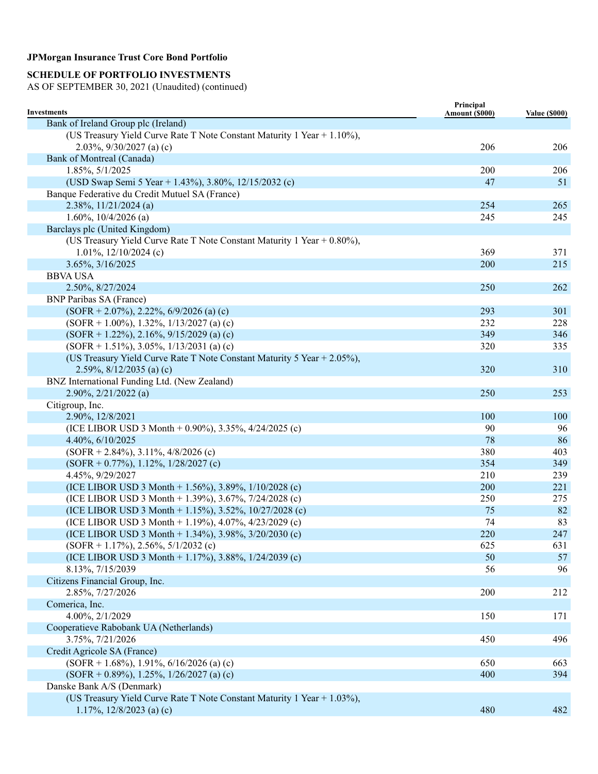# **SCHEDULE OF PORTFOLIO INVESTMENTS**

| Investments                                                                                           | Principal<br>Amount (\$000) | <b>Value (\$000)</b> |
|-------------------------------------------------------------------------------------------------------|-----------------------------|----------------------|
| Bank of Ireland Group plc (Ireland)                                                                   |                             |                      |
| (US Treasury Yield Curve Rate T Note Constant Maturity 1 Year + 1.10%),<br>2.03%, $9/30/2027$ (a) (c) | 206                         | 206                  |
| Bank of Montreal (Canada)                                                                             |                             |                      |
| 1.85%, 5/1/2025                                                                                       | 200                         | 206                  |
| (USD Swap Semi 5 Year + 1.43%), 3.80%, 12/15/2032 (c)                                                 | 47                          | 51                   |
| Banque Federative du Credit Mutuel SA (France)                                                        |                             |                      |
| $2.38\%, 11/21/2024$ (a)                                                                              | 254                         | 265                  |
| $1.60\%, 10/4/2026$ (a)                                                                               | 245                         | 245                  |
| Barclays plc (United Kingdom)                                                                         |                             |                      |
| (US Treasury Yield Curve Rate T Note Constant Maturity 1 Year $+$ 0.80%),                             |                             |                      |
| 1.01%, 12/10/2024 (c)                                                                                 | 369                         | 371                  |
| 3.65%, 3/16/2025                                                                                      | 200                         | 215                  |
| <b>BBVA USA</b>                                                                                       |                             |                      |
| 2.50%, 8/27/2024                                                                                      | 250                         | 262                  |
| <b>BNP Paribas SA (France)</b>                                                                        |                             |                      |
| $(SOFR + 2.07\%)$ , 2.22%, 6/9/2026 (a) (c)                                                           | 293                         | 301                  |
| $(SOFR + 1.00\%)$ , 1.32%, 1/13/2027 (a) (c)                                                          | 232                         | 228                  |
| $(SOFR + 1.22\%), 2.16\%, 9/15/2029$ (a) (c)                                                          | 349                         | 346                  |
| $(SOFR + 1.51\%), 3.05\%, 1/13/2031$ (a) (c)                                                          | 320                         | 335                  |
| (US Treasury Yield Curve Rate T Note Constant Maturity 5 Year + 2.05%),                               | 320                         | 310                  |
| 2.59%, $8/12/2035$ (a) (c)<br>BNZ International Funding Ltd. (New Zealand)                            |                             |                      |
| 2.90%, 2/21/2022 (a)                                                                                  | 250                         | 253                  |
| Citigroup, Inc.                                                                                       |                             |                      |
| 2.90%, 12/8/2021                                                                                      | 100                         | 100                  |
| (ICE LIBOR USD 3 Month + 0.90%), 3.35%, 4/24/2025 (c)                                                 | 90                          | 96                   |
| 4.40%, 6/10/2025                                                                                      | 78                          | 86                   |
| $(SOFR + 2.84\%), 3.11\%, 4/8/2026$ (c)                                                               | 380                         | 403                  |
| $(SOFR + 0.77\%)$ , 1.12%, 1/28/2027 (c)                                                              | 354                         | 349                  |
| 4.45%, 9/29/2027                                                                                      | 210                         | 239                  |
| (ICE LIBOR USD 3 Month + 1.56%), 3.89%, 1/10/2028 (c)                                                 | 200                         | 221                  |
| (ICE LIBOR USD 3 Month + 1.39%), 3.67%, 7/24/2028 (c)                                                 | 250                         | 275                  |
| (ICE LIBOR USD 3 Month + 1.15%), 3.52%, 10/27/2028 (c)                                                | 75                          | 82                   |
| (ICE LIBOR USD 3 Month + 1.19%), 4.07%, 4/23/2029 (c)                                                 | 74                          | 83                   |
| (ICE LIBOR USD 3 Month + 1.34%), 3.98%, 3/20/2030 (c)                                                 | 220                         | 247                  |
| $(SOFR + 1.17\%), 2.56\%, 5/1/2032$ (c)                                                               | 625                         | 631                  |
| (ICE LIBOR USD 3 Month + 1.17%), 3.88%, 1/24/2039 (c)                                                 | 50                          | 57                   |
| 8.13%, 7/15/2039                                                                                      | 56                          | 96                   |
| Citizens Financial Group, Inc.                                                                        |                             |                      |
| 2.85%, 7/27/2026                                                                                      | 200                         | 212                  |
| Comerica, Inc.                                                                                        |                             |                      |
| 4.00%, 2/1/2029                                                                                       | 150                         | 171                  |
| Cooperatieve Rabobank UA (Netherlands)                                                                |                             |                      |
| 3.75%, 7/21/2026                                                                                      | 450                         | 496                  |
| Credit Agricole SA (France)                                                                           |                             |                      |
| $(SOFR + 1.68\%), 1.91\%, 6/16/2026$ (a) (c)                                                          | 650                         | 663                  |
| $(SOFR + 0.89\%), 1.25\%, 1/26/2027$ (a) (c)                                                          | 400                         | 394                  |
| Danske Bank A/S (Denmark)                                                                             |                             |                      |
| (US Treasury Yield Curve Rate T Note Constant Maturity 1 Year + 1.03%),                               |                             |                      |
| 1.17%, $12/8/2023$ (a) (c)                                                                            | 480                         | 482                  |
|                                                                                                       |                             |                      |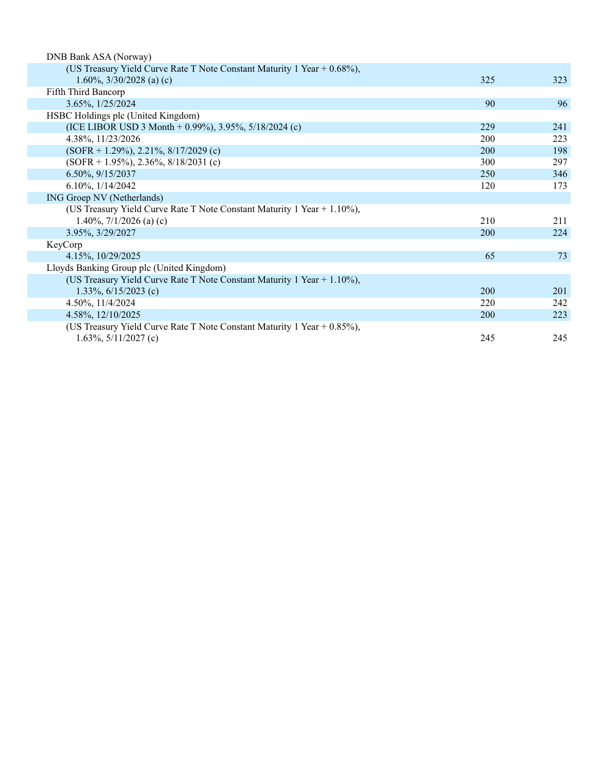| DNB Bank ASA (Norway)                                                       |            |     |
|-----------------------------------------------------------------------------|------------|-----|
| (US Treasury Yield Curve Rate T Note Constant Maturity 1 Year + 0.68%),     |            |     |
| 1.60%, $3/30/2028$ (a) (c)                                                  | 325        | 323 |
| Fifth Third Bancorp                                                         |            |     |
| 3.65%, 1/25/2024                                                            | 90         | 96  |
| HSBC Holdings plc (United Kingdom)                                          |            |     |
| (ICE LIBOR USD 3 Month + 0.99%), 3.95%, $5/18/2024$ (c)                     | 229        | 241 |
| 4.38%, 11/23/2026                                                           | 200        | 223 |
| $(SOFR + 1.29\%), 2.21\%, 8/17/2029$ (c)                                    | 200        | 198 |
| $(SOFR + 1.95\%, 2.36\%, 8/18/2031$ (c)                                     | 300        | 297 |
| 6.50%, 9/15/2037                                                            | 250        | 346 |
| 6.10%, 1/14/2042                                                            | 120        | 173 |
| ING Groep NV (Netherlands)                                                  |            |     |
| (US Treasury Yield Curve Rate T Note Constant Maturity 1 Year $+ 1.10\%$ ), |            |     |
| 1.40%, $7/1/2026$ (a) (c)                                                   | 210        | 211 |
| 3.95%, 3/29/2027                                                            | 200        | 224 |
| KeyCorp                                                                     |            |     |
| 4.15%, 10/29/2025                                                           | 65         | 73  |
| Lloyds Banking Group plc (United Kingdom)                                   |            |     |
| (US Treasury Yield Curve Rate T Note Constant Maturity 1 Year + 1.10%),     |            |     |
| 1.33%, $6/15/2023$ (c)                                                      | <b>200</b> | 201 |
| 4.50%, 11/4/2024                                                            | 220        | 242 |
| 4.58%, 12/10/2025                                                           | <b>200</b> | 223 |
| (US Treasury Yield Curve Rate T Note Constant Maturity 1 Year $+$ 0.85%),   |            |     |
| 1.63%, $5/11/2027$ (c)                                                      | 245        | 245 |
|                                                                             |            |     |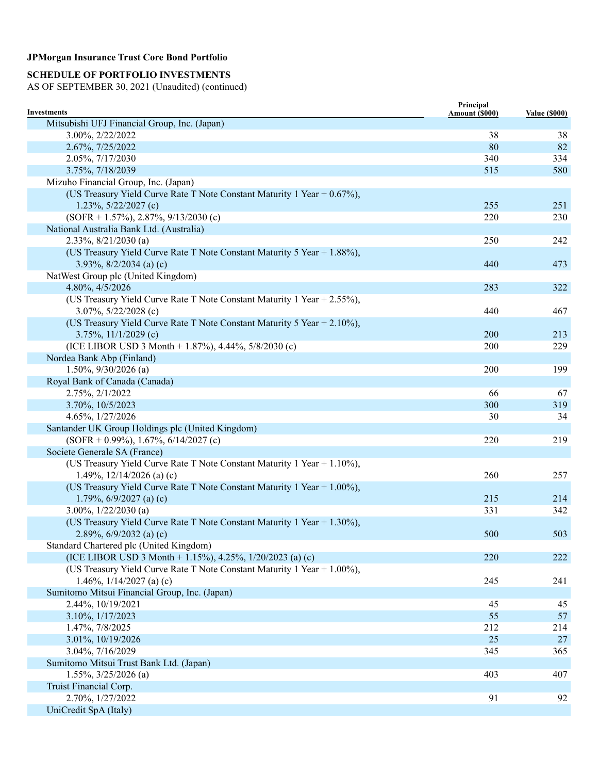# **SCHEDULE OF PORTFOLIO INVESTMENTS**

| Investments                                                             | Principal<br>Amount (\$000) | <b>Value (\$000)</b> |
|-------------------------------------------------------------------------|-----------------------------|----------------------|
| Mitsubishi UFJ Financial Group, Inc. (Japan)                            |                             |                      |
| 3.00%, 2/22/2022                                                        | 38                          | 38                   |
| 2.67%, 7/25/2022                                                        | 80                          | 82                   |
| 2.05%, 7/17/2030                                                        | 340                         | 334                  |
| 3.75%, 7/18/2039                                                        | 515                         | 580                  |
| Mizuho Financial Group, Inc. (Japan)                                    |                             |                      |
| (US Treasury Yield Curve Rate T Note Constant Maturity 1 Year + 0.67%), |                             |                      |
| 1.23%, $5/22/2027$ (c)                                                  | 255                         | 251                  |
| $(SOFR + 1.57\%)$ , 2.87%, 9/13/2030 (c)                                | 220                         | 230                  |
| National Australia Bank Ltd. (Australia)                                |                             |                      |
| $2.33\%, 8/21/2030$ (a)                                                 | 250                         | 242                  |
| (US Treasury Yield Curve Rate T Note Constant Maturity 5 Year + 1.88%), |                             |                      |
| 3.93%, $8/2/2034$ (a) (c)                                               | 440                         | 473                  |
| NatWest Group plc (United Kingdom)                                      |                             |                      |
| 4.80%, 4/5/2026                                                         | 283                         | 322                  |
| (US Treasury Yield Curve Rate T Note Constant Maturity 1 Year + 2.55%), |                             |                      |
| 3.07%, 5/22/2028 (c)                                                    | 440                         | 467                  |
| (US Treasury Yield Curve Rate T Note Constant Maturity 5 Year + 2.10%), |                             |                      |
| 3.75%, $11/1/2029$ (c)                                                  | 200                         | 213                  |
| (ICE LIBOR USD 3 Month + 1.87%), 4.44%, 5/8/2030 (c)                    | 200                         | 229                  |
| Nordea Bank Abp (Finland)                                               |                             |                      |
| $1.50\%, 9/30/2026$ (a)                                                 | 200                         | 199                  |
| Royal Bank of Canada (Canada)                                           |                             |                      |
| 2.75%, 2/1/2022                                                         | 66                          | 67                   |
| 3.70%, 10/5/2023                                                        | 300                         | 319                  |
| 4.65%, 1/27/2026                                                        | 30                          | 34                   |
| Santander UK Group Holdings plc (United Kingdom)                        |                             |                      |
| $(SOFR + 0.99\%), 1.67\%, 6/14/2027$ (c)                                | 220                         | 219                  |
| Societe Generale SA (France)                                            |                             |                      |
| (US Treasury Yield Curve Rate T Note Constant Maturity 1 Year + 1.10%), |                             |                      |
| 1.49%, $12/14/2026$ (a) (c)                                             | 260                         | 257                  |
| (US Treasury Yield Curve Rate T Note Constant Maturity 1 Year + 1.00%), |                             |                      |
| 1.79%, $6/9/2027$ (a) (c)                                               | 215                         | 214                  |
| $3.00\%, 1/22/2030$ (a)                                                 | 331                         | 342                  |
| (US Treasury Yield Curve Rate T Note Constant Maturity 1 Year + 1.30%), |                             |                      |
| 2.89%, $6/9/2032$ (a) (c)                                               | 500                         | 503                  |
| Standard Chartered plc (United Kingdom)                                 |                             |                      |
| (ICE LIBOR USD 3 Month + 1.15%), 4.25%, $1/20/2023$ (a) (c)             | 220                         | 222                  |
| (US Treasury Yield Curve Rate T Note Constant Maturity 1 Year + 1.00%), |                             |                      |
| 1.46%, $1/14/2027$ (a) (c)                                              | 245                         | 241                  |
| Sumitomo Mitsui Financial Group, Inc. (Japan)                           |                             |                      |
| 2.44%, 10/19/2021                                                       | 45                          | 45                   |
| 3.10%, 1/17/2023                                                        | 55                          | 57                   |
| 1.47%, 7/8/2025                                                         | 212                         | 214                  |
| 3.01%, 10/19/2026                                                       | 25                          | 27                   |
| 3.04%, 7/16/2029                                                        | 345                         | 365                  |
| Sumitomo Mitsui Trust Bank Ltd. (Japan)                                 |                             |                      |
| $1.55\%, \frac{3}{25}/2026$ (a)                                         | 403                         | 407                  |
| Truist Financial Corp.                                                  |                             |                      |
| 2.70%, 1/27/2022                                                        | 91                          | 92                   |
| UniCredit SpA (Italy)                                                   |                             |                      |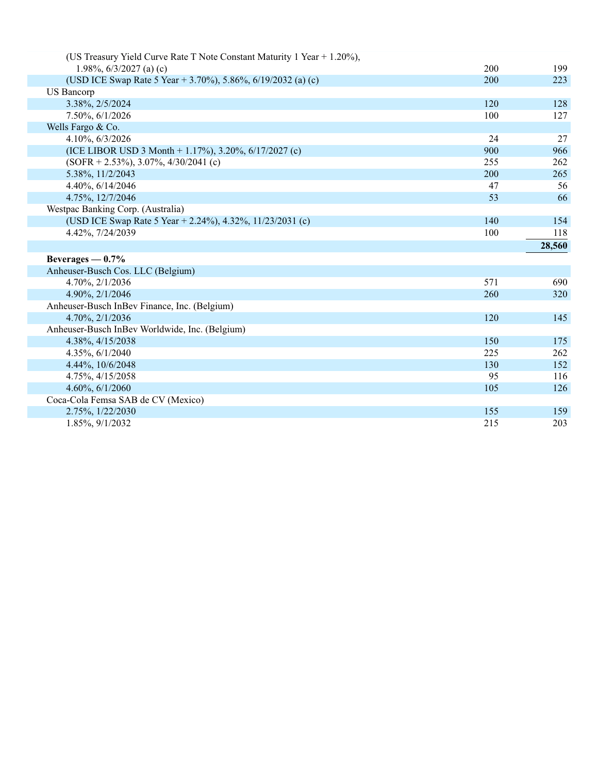| (US Treasury Yield Curve Rate T Note Constant Maturity 1 Year + 1.20%), |     |            |
|-------------------------------------------------------------------------|-----|------------|
| 1.98%, $6/3/2027$ (a) (c)                                               | 200 | 199        |
| (USD ICE Swap Rate 5 Year + 3.70%), 5.86%, 6/19/2032 (a) (c)            | 200 | 223        |
| <b>US Bancorp</b>                                                       |     |            |
| 3.38%, 2/5/2024                                                         | 120 | 128        |
| 7.50%, 6/1/2026                                                         | 100 | 127        |
| Wells Fargo & Co.                                                       |     |            |
| 4.10%, 6/3/2026                                                         | 24  | 27         |
| (ICE LIBOR USD 3 Month + 1.17%), 3.20%, $6/17/2027$ (c)                 | 900 | 966        |
| $(SOFR + 2.53\%), 3.07\%, 4/30/2041$ (c)                                | 255 | 262        |
| 5.38%, 11/2/2043                                                        | 200 | 265        |
| 4.40%, 6/14/2046                                                        | 47  | 56         |
| 4.75%, 12/7/2046                                                        | 53  | 66         |
| Westpac Banking Corp. (Australia)                                       |     |            |
| (USD ICE Swap Rate 5 Year + 2.24%), 4.32%, 11/23/2031 (c)               | 140 | 154        |
| 4.42%, 7/24/2039                                                        | 100 | 118        |
|                                                                         |     |            |
|                                                                         |     | 28,560     |
| Beverages $-0.7%$                                                       |     |            |
| Anheuser-Busch Cos. LLC (Belgium)                                       |     |            |
| 4.70%, 2/1/2036                                                         | 571 | 690        |
| 4.90%, 2/1/2046                                                         | 260 | 320        |
| Anheuser-Busch InBev Finance, Inc. (Belgium)                            |     |            |
| 4.70%, 2/1/2036                                                         | 120 | 145        |
| Anheuser-Busch InBev Worldwide, Inc. (Belgium)                          |     |            |
| 4.38%, 4/15/2038                                                        | 150 | 175        |
| 4.35%, 6/1/2040                                                         | 225 | 262        |
| 4.44%, 10/6/2048                                                        | 130 | 152        |
| 4.75%, 4/15/2058                                                        | 95  | 116        |
| 4.60%, 6/1/2060                                                         | 105 | 126        |
| Coca-Cola Femsa SAB de CV (Mexico)                                      |     |            |
| 2.75%, 1/22/2030                                                        | 155 | 159<br>203 |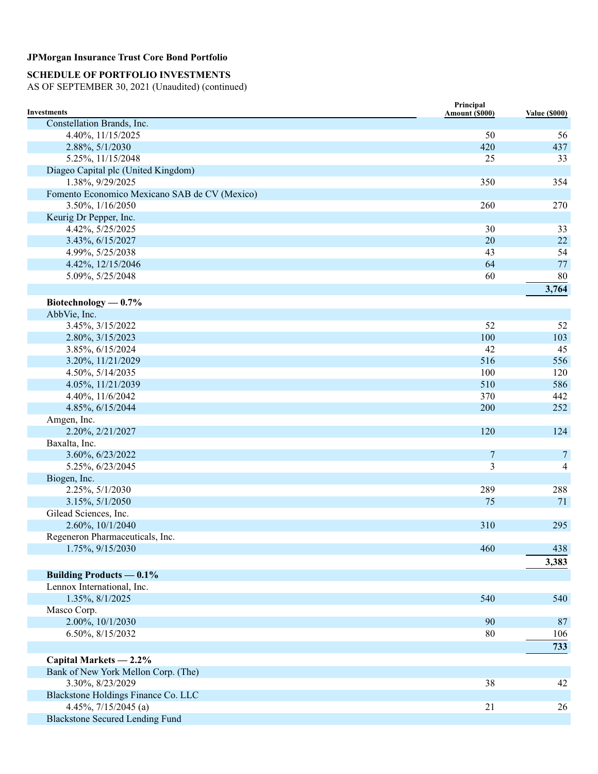# **SCHEDULE OF PORTFOLIO INVESTMENTS**

| <b>Investments</b>                            | Principal<br>Amount (\$000) | <b>Value (\$000)</b> |
|-----------------------------------------------|-----------------------------|----------------------|
| Constellation Brands, Inc.                    |                             |                      |
| 4.40%, 11/15/2025                             | 50                          | 56                   |
| 2.88%, 5/1/2030                               | 420                         | 437                  |
| 5.25%, 11/15/2048                             | 25                          | 33                   |
| Diageo Capital plc (United Kingdom)           |                             |                      |
| 1.38%, 9/29/2025                              | 350                         | 354                  |
| Fomento Economico Mexicano SAB de CV (Mexico) |                             |                      |
| 3.50%, 1/16/2050                              | 260                         | 270                  |
| Keurig Dr Pepper, Inc.                        |                             |                      |
| 4.42%, 5/25/2025                              | 30                          | 33                   |
| 3.43%, 6/15/2027                              | 20                          | 22                   |
| 4.99%, 5/25/2038                              | 43                          | 54                   |
| 4.42%, 12/15/2046                             | 64                          | $77\,$               |
| 5.09%, 5/25/2048                              | 60                          | 80                   |
|                                               |                             | 3,764                |
|                                               |                             |                      |
| Biotechnology $-0.7\%$                        |                             |                      |
| AbbVie, Inc.                                  | 52                          | 52                   |
| 3.45%, 3/15/2022                              | 100                         |                      |
| 2.80%, 3/15/2023                              | 42                          | 103<br>45            |
| 3.85%, 6/15/2024                              |                             |                      |
| 3.20%, 11/21/2029                             | 516                         | 556                  |
| 4.50%, 5/14/2035                              | 100                         | 120                  |
| 4.05%, 11/21/2039                             | 510                         | 586                  |
| 4.40%, 11/6/2042                              | 370                         | 442                  |
| 4.85%, 6/15/2044                              | 200                         | 252                  |
| Amgen, Inc.                                   |                             |                      |
| 2.20%, 2/21/2027                              | 120                         | 124                  |
| Baxalta, Inc.                                 |                             |                      |
| 3.60%, 6/23/2022                              | $\boldsymbol{7}$            | $\overline{7}$       |
| 5.25%, 6/23/2045                              | 3                           | 4                    |
| Biogen, Inc.                                  |                             |                      |
| 2.25%, 5/1/2030                               | 289                         | 288                  |
| 3.15%, 5/1/2050                               | 75                          | 71                   |
| Gilead Sciences, Inc.                         |                             |                      |
| 2.60%, 10/1/2040                              | 310                         | 295                  |
| Regeneron Pharmaceuticals, Inc.               |                             |                      |
| 1.75%, 9/15/2030                              | 460                         | 438                  |
|                                               |                             | 3,383                |
| <b>Building Products — 0.1%</b>               |                             |                      |
| Lennox International, Inc.                    |                             |                      |
| 1.35%, 8/1/2025                               | 540                         | 540                  |
| Masco Corp.                                   |                             |                      |
| 2.00%, 10/1/2030                              | 90                          | 87                   |
| 6.50%, 8/15/2032                              | 80                          | 106                  |
|                                               |                             | 733                  |
| Capital Markets - 2.2%                        |                             |                      |
| Bank of New York Mellon Corp. (The)           |                             |                      |
| 3.30%, 8/23/2029                              | 38                          | 42                   |
| Blackstone Holdings Finance Co. LLC           |                             |                      |
| 4.45%, 7/15/2045 (a)                          | 21                          | 26                   |
| <b>Blackstone Secured Lending Fund</b>        |                             |                      |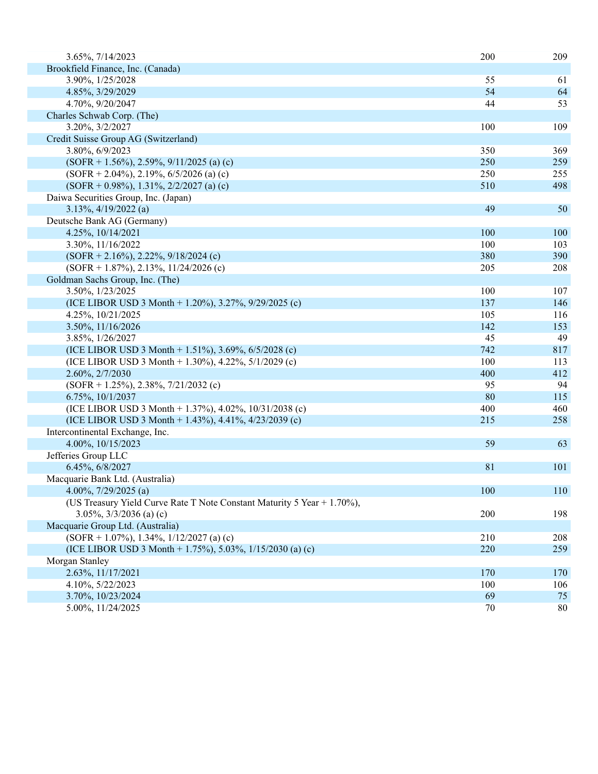| 3.65%, 7/14/2023                                                        | 200 | 209 |
|-------------------------------------------------------------------------|-----|-----|
| Brookfield Finance, Inc. (Canada)                                       |     |     |
| 3.90%, 1/25/2028                                                        | 55  | 61  |
| 4.85%, 3/29/2029                                                        | 54  | 64  |
| 4.70%, 9/20/2047                                                        | 44  | 53  |
| Charles Schwab Corp. (The)                                              |     |     |
| 3.20%, 3/2/2027                                                         | 100 | 109 |
| Credit Suisse Group AG (Switzerland)                                    |     |     |
| 3.80%, 6/9/2023                                                         | 350 | 369 |
| $(SOFR + 1.56\%, 2.59\%, 9/11/2025$ (a) (c)                             | 250 | 259 |
| $(SOFR + 2.04\%), 2.19\%, 6/5/2026$ (a) (c)                             | 250 | 255 |
| $(SOFR + 0.98\%), 1.31\%, 2/2/2027$ (a) (c)                             | 510 | 498 |
| Daiwa Securities Group, Inc. (Japan)                                    |     |     |
| 3.13%, 4/19/2022 (a)                                                    | 49  | 50  |
| Deutsche Bank AG (Germany)                                              |     |     |
| 4.25%, 10/14/2021                                                       | 100 | 100 |
| 3.30%, 11/16/2022                                                       | 100 | 103 |
| $(SOFR + 2.16\%)$ , 2.22%, 9/18/2024 (c)                                | 380 | 390 |
| $(SOFR + 1.87\%), 2.13\%, 11/24/2026$ (c)                               | 205 | 208 |
| Goldman Sachs Group, Inc. (The)                                         |     |     |
| 3.50%, 1/23/2025                                                        | 100 | 107 |
| (ICE LIBOR USD 3 Month + 1.20%), 3.27%, 9/29/2025 (c)                   | 137 | 146 |
| 4.25%, 10/21/2025                                                       | 105 | 116 |
| 3.50%, 11/16/2026                                                       | 142 | 153 |
| 3.85%, 1/26/2027                                                        | 45  | 49  |
|                                                                         | 742 |     |
| (ICE LIBOR USD 3 Month + 1.51%), 3.69%, 6/5/2028 (c)                    | 100 | 817 |
| (ICE LIBOR USD 3 Month + 1.30%), 4.22%, $5/1/2029$ (c)                  | 400 | 113 |
| 2.60%, 2/7/2030                                                         |     | 412 |
| $(SOFR + 1.25\%), 2.38\%, 7/21/2032$ (c)                                | 95  | 94  |
| 6.75%, 10/1/2037                                                        | 80  | 115 |
| (ICE LIBOR USD 3 Month + 1.37%), 4.02%, 10/31/2038 (c)                  | 400 | 460 |
| (ICE LIBOR USD 3 Month + 1.43%), 4.41%, 4/23/2039 (c)                   | 215 | 258 |
| Intercontinental Exchange, Inc.                                         |     |     |
| 4.00%, 10/15/2023                                                       | 59  | 63  |
| Jefferies Group LLC                                                     |     |     |
| 6.45%, 6/8/2027                                                         | 81  | 101 |
| Macquarie Bank Ltd. (Australia)                                         |     |     |
| 4.00%, $7/29/2025$ (a)                                                  | 100 | 110 |
| (US Treasury Yield Curve Rate T Note Constant Maturity 5 Year + 1.70%), |     |     |
| $3.05\%, \frac{3}{3}\frac{2036}{a}$ (a) (c)                             | 200 | 198 |
| Macquarie Group Ltd. (Australia)                                        |     |     |
| $(SOFR + 1.07\%)$ , 1.34%, 1/12/2027 (a) (c)                            | 210 | 208 |
| (ICE LIBOR USD 3 Month + 1.75%), 5.03%, $1/15/2030$ (a) (c)             | 220 | 259 |
| Morgan Stanley                                                          |     |     |
| 2.63%, 11/17/2021                                                       | 170 | 170 |
| 4.10%, 5/22/2023                                                        | 100 | 106 |
| 3.70%, 10/23/2024                                                       | 69  | 75  |
| 5.00%, 11/24/2025                                                       | 70  | 80  |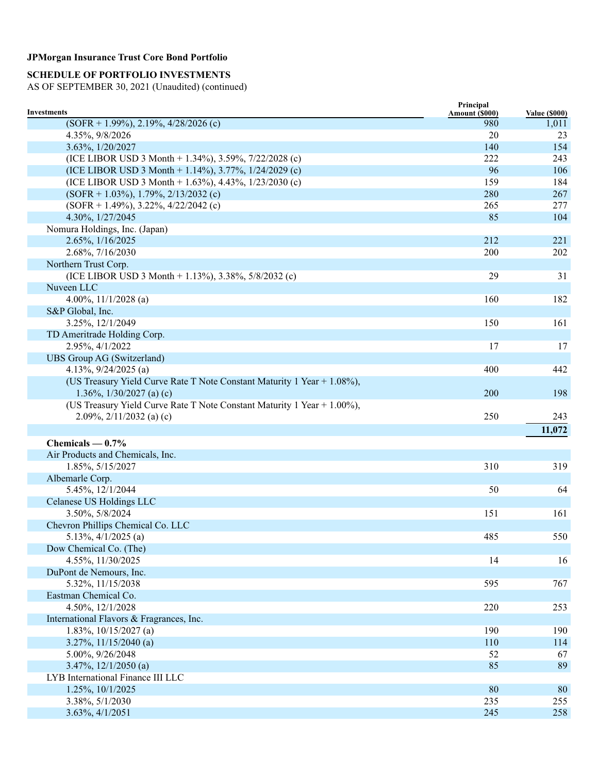# **SCHEDULE OF PORTFOLIO INVESTMENTS**

| <b>Investments</b>                                                      | Principal<br>Amount (\$000) | <b>Value (\$000)</b> |
|-------------------------------------------------------------------------|-----------------------------|----------------------|
| $(SOFR + 1.99\%), 2.19\%, 4/28/2026$ (c)                                | 980                         | 1,011                |
| 4.35%, 9/8/2026                                                         | 20                          | 23                   |
| 3.63%, 1/20/2027                                                        | 140                         | 154                  |
| (ICE LIBOR USD 3 Month + 1.34%), 3.59%, 7/22/2028 (c)                   | 222                         | 243                  |
| (ICE LIBOR USD 3 Month + 1.14%), 3.77%, $1/24/2029$ (c)                 | 96                          | 106                  |
| (ICE LIBOR USD 3 Month + 1.63%), 4.43%, $1/23/2030$ (c)                 | 159                         | 184                  |
| $(SOFR + 1.03\%), 1.79\%, 2/13/2032$ (c)                                | 280                         | 267                  |
| $(SOFR + 1.49\%), 3.22\%, 4/22/2042$ (c)                                | 265                         | 277                  |
| 4.30%, 1/27/2045                                                        | 85                          | 104                  |
| Nomura Holdings, Inc. (Japan)                                           |                             |                      |
| 2.65%, 1/16/2025                                                        | 212                         | 221                  |
| 2.68%, 7/16/2030                                                        | 200                         | 202                  |
| Northern Trust Corp.                                                    |                             |                      |
| (ICE LIBOR USD 3 Month + 1.13%), 3.38%, 5/8/2032 (c)                    | 29                          | 31                   |
| Nuveen LLC                                                              |                             |                      |
| 4.00%, $11/1/2028$ (a)                                                  | 160                         | 182                  |
| S&P Global, Inc.                                                        |                             |                      |
| 3.25%, 12/1/2049                                                        | 150                         | 161                  |
|                                                                         |                             |                      |
| TD Ameritrade Holding Corp.<br>2.95%, 4/1/2022                          |                             |                      |
|                                                                         | 17                          | 17                   |
| UBS Group AG (Switzerland)                                              |                             |                      |
| 4.13%, $9/24/2025$ (a)                                                  | 400                         | 442                  |
| (US Treasury Yield Curve Rate T Note Constant Maturity 1 Year + 1.08%), |                             |                      |
| 1.36\%, $1/30/2027$ (a) (c)                                             | 200                         | 198                  |
| (US Treasury Yield Curve Rate T Note Constant Maturity 1 Year + 1.00%), |                             |                      |
| 2.09%, $2/11/2032$ (a) (c)                                              | 250                         | 243                  |
|                                                                         |                             | 11,072               |
| Chemicals $-0.7%$                                                       |                             |                      |
| Air Products and Chemicals, Inc.                                        |                             |                      |
| 1.85%, 5/15/2027                                                        | 310                         | 319                  |
| Albemarle Corp.                                                         |                             |                      |
| 5.45%, 12/1/2044                                                        | 50                          | 64                   |
| Celanese US Holdings LLC                                                |                             |                      |
| 3.50%, 5/8/2024                                                         | 151                         | 161                  |
| Chevron Phillips Chemical Co. LLC                                       |                             |                      |
| 5.13\%, $4/1/2025$ (a)                                                  | 485                         | 550                  |
| Dow Chemical Co. (The)                                                  |                             |                      |
| 4.55%, 11/30/2025                                                       | 14                          | 16                   |
| DuPont de Nemours, Inc.                                                 |                             |                      |
| 5.32%, 11/15/2038                                                       | 595                         | 767                  |
| Eastman Chemical Co.                                                    |                             |                      |
| 4.50%, 12/1/2028                                                        | 220                         | 253                  |
| International Flavors & Fragrances, Inc.                                |                             |                      |
| 1.83%, $10/15/2027$ (a)                                                 | 190                         | 190                  |
| $3.27\%, 11/15/2040$ (a)                                                | 110                         | 114                  |
| 5.00%, 9/26/2048                                                        | 52                          | 67                   |
| 3.47%, 12/1/2050 (a)                                                    | 85                          | 89                   |
| LYB International Finance III LLC                                       |                             |                      |
| 1.25%, 10/1/2025                                                        | 80                          | 80                   |
| 3.38%, 5/1/2030                                                         | 235                         | 255                  |
| 3.63%, 4/1/2051                                                         | 245                         | 258                  |
|                                                                         |                             |                      |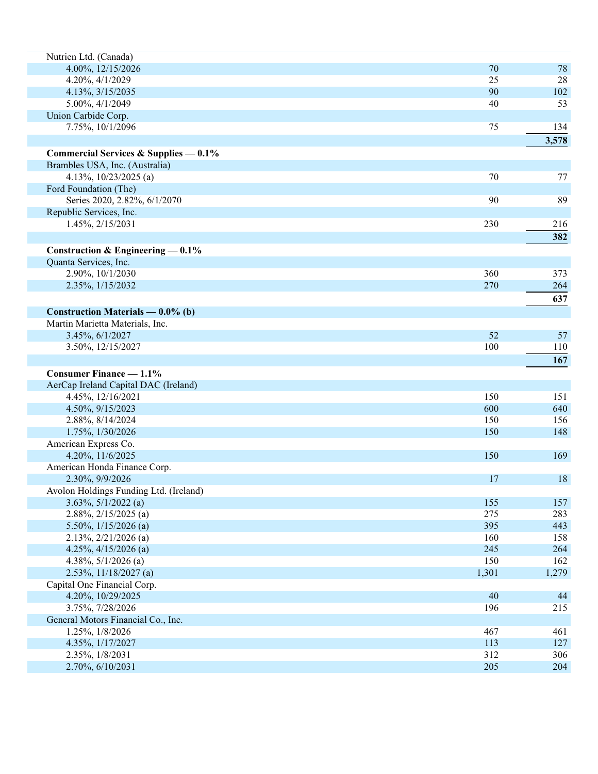| Nutrien Ltd. (Canada)                                  |           |       |
|--------------------------------------------------------|-----------|-------|
| 4.00%, 12/15/2026                                      | 70        | 78    |
| 4.20%, 4/1/2029                                        | 25        | 28    |
| 4.13%, 3/15/2035                                       | 90        | 102   |
| 5.00%, 4/1/2049                                        | 40        | 53    |
| Union Carbide Corp.                                    |           |       |
| 7.75%, 10/1/2096                                       | 75        | 134   |
|                                                        |           | 3,578 |
| Commercial Services & Supplies $-0.1\%$                |           |       |
| Brambles USA, Inc. (Australia)                         |           |       |
| 4.13%, 10/23/2025 (a)                                  | 70        | 77    |
| Ford Foundation (The)                                  |           |       |
| Series 2020, 2.82%, 6/1/2070                           | 90        | 89    |
| Republic Services, Inc.                                |           |       |
| 1.45%, 2/15/2031                                       | 230       | 216   |
|                                                        |           | 382   |
| Construction & Engineering $-0.1\%$                    |           |       |
| Quanta Services, Inc.                                  |           |       |
| 2.90%, 10/1/2030                                       | 360       | 373   |
| 2.35%, 1/15/2032                                       | 270       | 264   |
|                                                        |           | 637   |
|                                                        |           |       |
| Construction Materials — $0.0\%$ (b)                   |           |       |
| Martin Marietta Materials, Inc.                        |           |       |
| 3.45%, 6/1/2027                                        | 52        | 57    |
| 3.50%, 12/15/2027                                      | 100       | 110   |
|                                                        |           | 167   |
| <b>Consumer Finance — 1.1%</b>                         |           |       |
| AerCap Ireland Capital DAC (Ireland)                   |           |       |
| 4.45%, 12/16/2021                                      | 150       | 151   |
| 4.50%, 9/15/2023                                       | 600       | 640   |
| 2.88%, 8/14/2024                                       | 150       | 156   |
| 1.75%, 1/30/2026                                       | 150       | 148   |
| American Express Co.                                   |           |       |
| 4.20%, 11/6/2025                                       | 150       | 169   |
| American Honda Finance Corp.                           |           |       |
| 2.30%, 9/9/2026                                        | 17        | 18    |
| Avolon Holdings Funding Ltd. (Ireland)                 |           |       |
| $3.63\%, 5/1/2022$ (a)                                 | 155       | 157   |
| $2.88\%, 2/15/2025$ (a)                                | 275       | 283   |
| 5.50%, $1/15/2026$ (a)                                 | 395       | 443   |
| $2.13\%, 2/21/2026$ (a)                                | 160       | 158   |
| 4.25%, $4/15/2026$ (a)                                 | 245       | 264   |
| 4.38%, $5/1/2026$ (a)                                  | 150       | 162   |
| $2.53\%, 11/18/2027$ (a)                               | 1,301     | 1,279 |
| Capital One Financial Corp.                            |           |       |
| 4.20%, 10/29/2025                                      | 40<br>196 | 44    |
| 3.75%, 7/28/2026<br>General Motors Financial Co., Inc. |           | 215   |
| 1.25%, 1/8/2026                                        | 467       | 461   |
| 4.35%, 1/17/2027                                       | 113       | 127   |
| 2.35%, 1/8/2031                                        | 312       | 306   |
| 2.70%, 6/10/2031                                       | 205       | 204   |
|                                                        |           |       |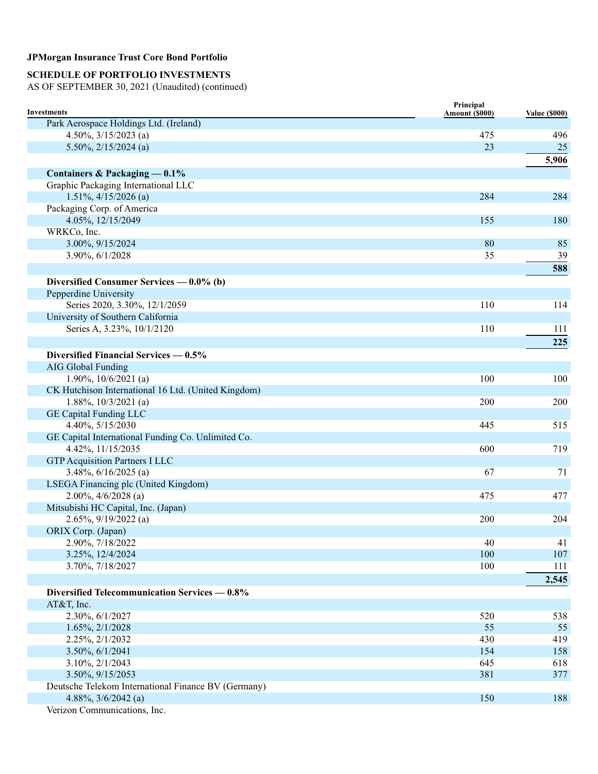# **SCHEDULE OF PORTFOLIO INVESTMENTS**

| <b>Investments</b>                                  | Principal<br>Amount (\$000) | <b>Value (\$000)</b> |
|-----------------------------------------------------|-----------------------------|----------------------|
| Park Aerospace Holdings Ltd. (Ireland)              |                             |                      |
| 4.50%, $3/15/2023$ (a)                              | 475                         | 496                  |
| 5.50%, $2/15/2024$ (a)                              | 23                          | 25                   |
|                                                     |                             | 5,906                |
| Containers & Packaging — 0.1%                       |                             |                      |
| Graphic Packaging International LLC                 |                             |                      |
| $1.51\%, \frac{4}{15/2026}$ (a)                     | 284                         | 284                  |
| Packaging Corp. of America                          |                             |                      |
| 4.05%, 12/15/2049                                   | 155                         | 180                  |
| WRKCo, Inc.                                         |                             |                      |
| 3.00%, 9/15/2024                                    | 80                          | 85                   |
| 3.90%, 6/1/2028                                     | 35                          | 39                   |
|                                                     |                             | 588                  |
| Diversified Consumer Services - 0.0% (b)            |                             |                      |
| Pepperdine University                               |                             |                      |
| Series 2020, 3.30%, 12/1/2059                       | 110                         | 114                  |
| University of Southern California                   |                             |                      |
| Series A, 3.23%, 10/1/2120                          | 110                         | 111                  |
|                                                     |                             | 225                  |
|                                                     |                             |                      |
| Diversified Financial Services — 0.5%               |                             |                      |
| <b>AIG Global Funding</b>                           |                             |                      |
| 1.90%, $10/6/2021$ (a)                              | 100                         | 100                  |
| CK Hutchison International 16 Ltd. (United Kingdom) |                             |                      |
| $1.88\%, 10/3/2021$ (a)                             | 200                         | 200                  |
| <b>GE Capital Funding LLC</b><br>4.40%, 5/15/2030   |                             |                      |
| GE Capital International Funding Co. Unlimited Co.  | 445                         | 515                  |
| 4.42%, 11/15/2035                                   | 600                         | 719                  |
| <b>GTP Acquisition Partners I LLC</b>               |                             |                      |
| $3.48\%, 6/16/2025$ (a)                             | 67                          | 71                   |
| LSEGA Financing plc (United Kingdom)                |                             |                      |
| $2.00\%, 4/6/2028$ (a)                              | 475                         | 477                  |
| Mitsubishi HC Capital, Inc. (Japan)                 |                             |                      |
| $2.65\%, 9/19/2022$ (a)                             | 200                         | 204                  |
| ORIX Corp. (Japan)                                  |                             |                      |
| 2.90%, 7/18/2022                                    | 40                          | 41                   |
| 3.25%, 12/4/2024                                    | 100                         | 107                  |
| 3.70%, 7/18/2027                                    | 100                         | 111                  |
|                                                     |                             | 2,545                |
| Diversified Telecommunication Services — 0.8%       |                             |                      |
| AT&T, Inc.                                          |                             |                      |
| 2.30%, 6/1/2027                                     | 520                         | 538                  |
| 1.65%, 2/1/2028                                     | 55                          | 55                   |
| 2.25%, 2/1/2032                                     | 430                         | 419                  |
| 3.50%, 6/1/2041                                     | 154                         | 158                  |
| 3.10%, 2/1/2043                                     | 645                         | 618                  |
| 3.50%, 9/15/2053                                    | 381                         | 377                  |
| Deutsche Telekom International Finance BV (Germany) |                             |                      |
| 4.88%, 3/6/2042 (a)                                 | 150                         | 188                  |
| Verizon Communications, Inc.                        |                             |                      |
|                                                     |                             |                      |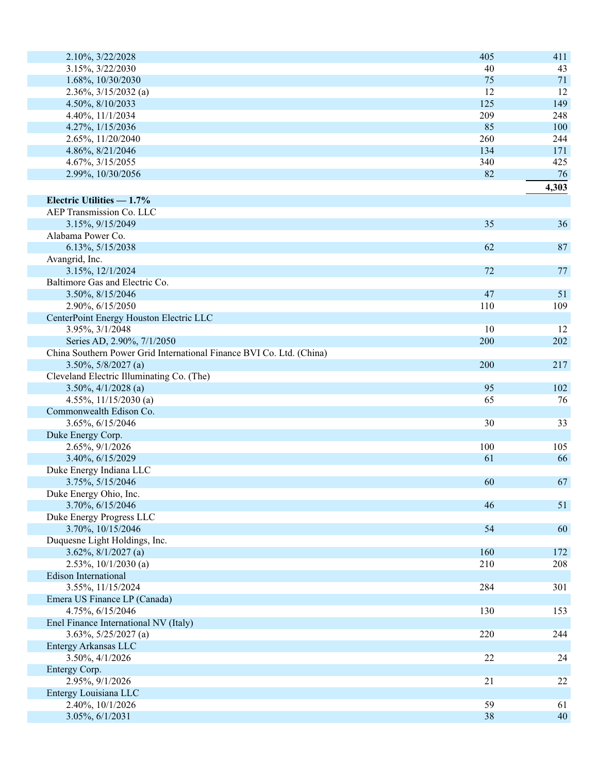| 2.10%, 3/22/2028                                                     | 405 | 411   |
|----------------------------------------------------------------------|-----|-------|
| 3.15%, 3/22/2030                                                     | 40  | 43    |
| 1.68%, 10/30/2030                                                    | 75  | 71    |
| $2.36\%, 3/15/2032$ (a)                                              | 12  | 12    |
| 4.50%, 8/10/2033                                                     | 125 | 149   |
| 4.40%, 11/1/2034                                                     | 209 | 248   |
| 4.27%, 1/15/2036                                                     | 85  | 100   |
| 2.65%, 11/20/2040                                                    | 260 | 244   |
| 4.86%, 8/21/2046                                                     | 134 | 171   |
| 4.67%, 3/15/2055                                                     | 340 | 425   |
| 2.99%, 10/30/2056                                                    | 82  | 76    |
|                                                                      |     | 4,303 |
| Electric Utilities - 1.7%                                            |     |       |
| AEP Transmission Co. LLC                                             |     |       |
| 3.15%, 9/15/2049                                                     | 35  | 36    |
| Alabama Power Co.                                                    |     |       |
| 6.13%, 5/15/2038                                                     | 62  | 87    |
| Avangrid, Inc.                                                       |     |       |
| 3.15%, 12/1/2024                                                     | 72  | 77    |
| Baltimore Gas and Electric Co.                                       |     |       |
| 3.50%, 8/15/2046                                                     | 47  | 51    |
| 2.90%, 6/15/2050                                                     | 110 | 109   |
| CenterPoint Energy Houston Electric LLC                              |     |       |
| 3.95%, 3/1/2048                                                      | 10  | 12    |
| Series AD, 2.90%, 7/1/2050                                           | 200 | 202   |
| China Southern Power Grid International Finance BVI Co. Ltd. (China) |     |       |
| $3.50\%, 5/8/2027$ (a)                                               | 200 | 217   |
| Cleveland Electric Illuminating Co. (The)                            |     |       |
| $3.50\%, \frac{4}{1/2028}$ (a)                                       | 95  | 102   |
| 4.55%, $11/15/2030$ (a)                                              | 65  | 76    |
| Commonwealth Edison Co.                                              |     |       |
| 3.65%, 6/15/2046                                                     | 30  | 33    |
| Duke Energy Corp.                                                    |     |       |
| 2.65%, 9/1/2026                                                      | 100 | 105   |
| 3.40%, 6/15/2029                                                     | 61  | 66    |
| Duke Energy Indiana LLC                                              |     |       |
| 3.75%, 5/15/2046                                                     | 60  | 67    |
| Duke Energy Ohio, Inc.                                               |     |       |
| 3.70%, 6/15/2046                                                     | 46  | 51    |
| Duke Energy Progress LLC                                             |     |       |
| 3.70%, 10/15/2046                                                    | 54  | 60    |
| Duquesne Light Holdings, Inc.                                        |     |       |
| $3.62\%, 8/1/2027$ (a)                                               | 160 | 172   |
| $2.53\%, 10/1/2030$ (a)                                              | 210 | 208   |
| <b>Edison International</b>                                          |     |       |
| 3.55%, 11/15/2024                                                    | 284 | 301   |
| Emera US Finance LP (Canada)                                         |     |       |
| 4.75%, 6/15/2046                                                     | 130 | 153   |
| Enel Finance International NV (Italy)                                |     |       |
| $3.63\%, 5/25/2027$ (a)                                              | 220 | 244   |
| Entergy Arkansas LLC                                                 |     |       |
| 3.50%, 4/1/2026                                                      | 22  | 24    |
| Entergy Corp.                                                        |     |       |
| 2.95%, 9/1/2026                                                      | 21  | 22    |
| Entergy Louisiana LLC                                                |     |       |
| 2.40%, 10/1/2026                                                     | 59  | 61    |
| 3.05%, 6/1/2031                                                      | 38  | 40    |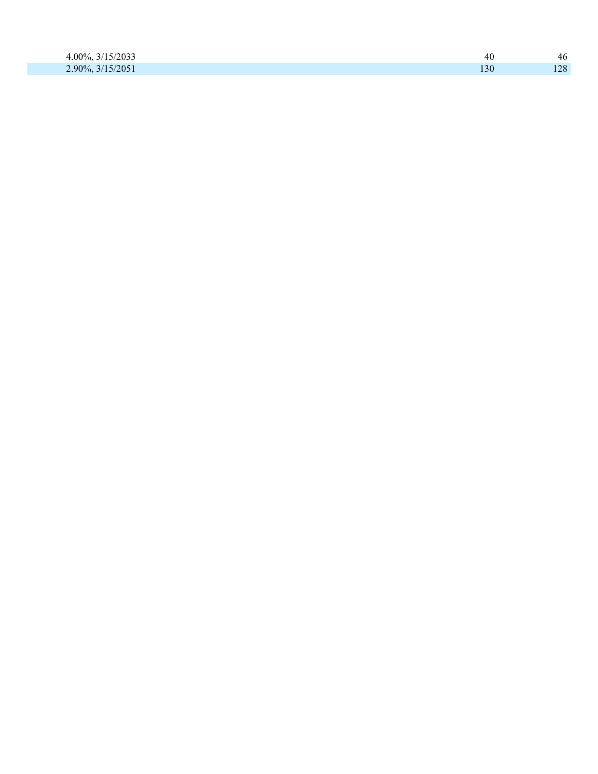| 15/2022<br>$00\%$<br>ر ر ن<br>$\cdots$ $\cdots$ $\cdots$ | 4U  | $\mu$ r<br>τv |
|----------------------------------------------------------|-----|---------------|
| 5/2051<br>$90\%$                                         | L3U | 100           |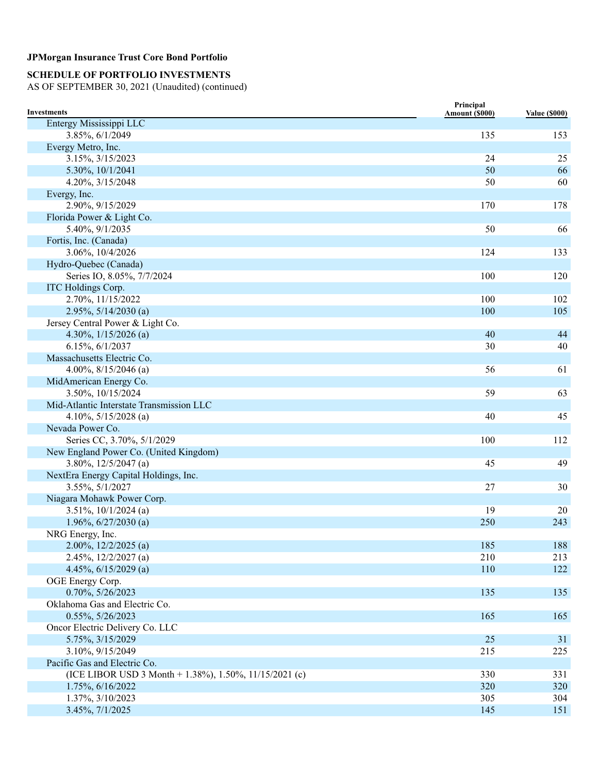# **SCHEDULE OF PORTFOLIO INVESTMENTS**

| <b>Investments</b>                                     | Principal<br>Amount (\$000) | <b>Value (\$000)</b> |
|--------------------------------------------------------|-----------------------------|----------------------|
| Entergy Mississippi LLC                                |                             |                      |
| 3.85%, 6/1/2049                                        | 135                         | 153                  |
| Evergy Metro, Inc.                                     |                             |                      |
| 3.15%, 3/15/2023                                       | 24                          | 25                   |
| 5.30%, 10/1/2041                                       | 50                          | 66                   |
| 4.20%, 3/15/2048                                       | 50                          | 60                   |
| Evergy, Inc.                                           |                             |                      |
| 2.90%, 9/15/2029                                       | 170                         | 178                  |
| Florida Power & Light Co.                              |                             |                      |
| 5.40%, 9/1/2035                                        | 50                          | 66                   |
| Fortis, Inc. (Canada)                                  |                             |                      |
| 3.06%, 10/4/2026                                       | 124                         | 133                  |
| Hydro-Quebec (Canada)                                  |                             |                      |
| Series IO, 8.05%, 7/7/2024                             | 100                         | 120                  |
| ITC Holdings Corp.                                     |                             |                      |
| 2.70%, 11/15/2022                                      | 100                         | 102                  |
| $2.95\%, 5/14/2030$ (a)                                | 100                         | 105                  |
| Jersey Central Power & Light Co.                       |                             |                      |
| 4.30%, $1/15/2026$ (a)                                 | 40                          | 44                   |
| 6.15%, 6/1/2037                                        | 30                          | 40                   |
| Massachusetts Electric Co.                             |                             |                      |
| 4.00%, $8/15/2046$ (a)                                 | 56                          | 61                   |
| MidAmerican Energy Co.                                 |                             |                      |
| 3.50%, 10/15/2024                                      | 59                          | 63                   |
| Mid-Atlantic Interstate Transmission LLC               |                             |                      |
| 4.10%, $5/15/2028$ (a)                                 | 40                          | 45                   |
| Nevada Power Co.                                       |                             |                      |
| Series CC, 3.70%, 5/1/2029                             | 100                         | 112                  |
| New England Power Co. (United Kingdom)                 |                             |                      |
| $3.80\%, 12/5/2047$ (a)                                | 45                          | 49                   |
| NextEra Energy Capital Holdings, Inc.                  |                             |                      |
| 3.55%, 5/1/2027                                        | 27                          | 30                   |
| Niagara Mohawk Power Corp.                             |                             |                      |
| $3.51\%, 10/1/2024$ (a)                                | 19                          | 20                   |
| $1.96\%, 6/27/2030$ (a)                                | 250                         | 243                  |
| NRG Energy, Inc.                                       |                             |                      |
| $2.00\%, 12/2/2025$ (a)                                | 185                         | 188                  |
| $2.45\%, 12/2/2027$ (a)                                | 210                         | 213                  |
| 4.45%, $6/15/2029$ (a)                                 | 110                         | 122                  |
| OGE Energy Corp.                                       |                             |                      |
| 0.70%, 5/26/2023                                       | 135                         | 135                  |
| Oklahoma Gas and Electric Co.                          |                             |                      |
| 0.55%, 5/26/2023                                       | 165                         | 165                  |
| Oncor Electric Delivery Co. LLC                        |                             |                      |
| 5.75%, 3/15/2029                                       | 25                          | 31                   |
| 3.10%, 9/15/2049                                       | 215                         | 225                  |
| Pacific Gas and Electric Co.                           |                             |                      |
| (ICE LIBOR USD 3 Month + 1.38%), 1.50%, 11/15/2021 (c) | 330                         | 331                  |
| 1.75%, 6/16/2022                                       | 320                         | 320                  |
| 1.37%, 3/10/2023                                       | 305                         | 304                  |
| 3.45%, 7/1/2025                                        | 145                         | 151                  |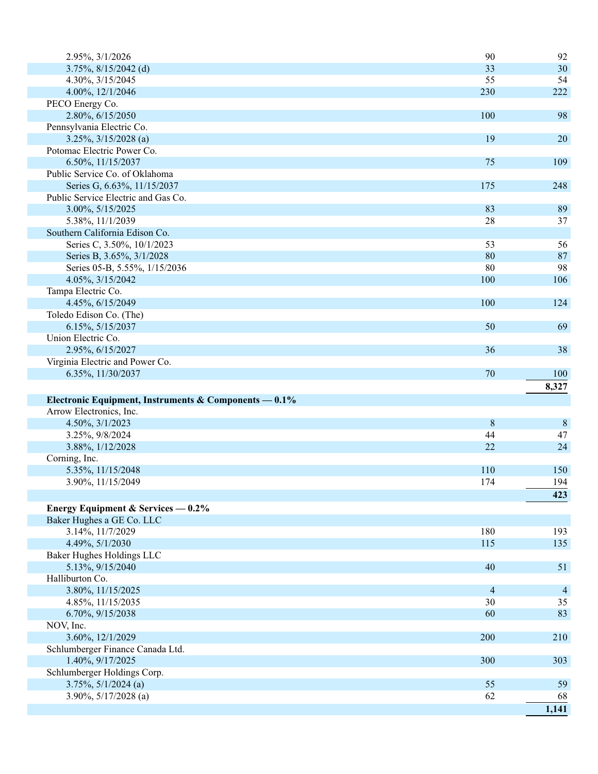| 2.95%, 3/1/2026                                       | 90                       | 92          |
|-------------------------------------------------------|--------------------------|-------------|
| $3.75\%, 8/15/2042$ (d)                               | 33                       | 30          |
| 4.30%, 3/15/2045                                      | 55                       | 54          |
| 4.00%, 12/1/2046                                      | 230                      | 222         |
| PECO Energy Co.                                       |                          |             |
| 2.80%, 6/15/2050                                      | 100                      | 98          |
| Pennsylvania Electric Co.                             |                          |             |
| $3.25\%, \frac{3}{15/2028}$ (a)                       | 19                       | 20          |
| Potomac Electric Power Co.                            |                          |             |
| 6.50%, 11/15/2037                                     | 75                       | 109         |
| Public Service Co. of Oklahoma                        |                          |             |
| Series G, 6.63%, 11/15/2037                           | 175                      | 248         |
| Public Service Electric and Gas Co.                   |                          |             |
| 3.00%, 5/15/2025                                      | 83                       | 89          |
| 5.38%, 11/1/2039                                      | 28                       | 37          |
| Southern California Edison Co.                        |                          |             |
| Series C, 3.50%, 10/1/2023                            | 53                       | 56          |
| Series B, 3.65%, 3/1/2028                             | 80                       | 87          |
| Series 05-B, 5.55%, 1/15/2036                         | 80                       | 98          |
| 4.05%, 3/15/2042                                      | 100                      | 106         |
| Tampa Electric Co.                                    |                          |             |
| 4.45%, 6/15/2049                                      | 100                      | 124         |
| Toledo Edison Co. (The)                               |                          |             |
| 6.15%, 5/15/2037                                      | 50                       | 69          |
| Union Electric Co.                                    |                          |             |
| 2.95%, 6/15/2027                                      | 36                       | 38          |
| Virginia Electric and Power Co.                       |                          |             |
| 6.35%, 11/30/2037                                     | 70                       | 100         |
|                                                       |                          |             |
|                                                       |                          |             |
|                                                       |                          | 8,327       |
| Electronic Equipment, Instruments & Components — 0.1% |                          |             |
| Arrow Electronics, Inc.                               |                          |             |
| 4.50%, 3/1/2023                                       | 8                        | $\,8\,$     |
| 3.25%, 9/8/2024                                       | 44                       | 47          |
| 3.88%, 1/12/2028                                      | 22                       | 24          |
| Corning, Inc.                                         |                          |             |
| 5.35%, 11/15/2048                                     | 110                      | 150         |
| 3.90%, 11/15/2049                                     | 174                      | 194         |
|                                                       |                          | 423         |
| Energy Equipment & Services $-0.2\%$                  |                          |             |
| Baker Hughes a GE Co. LLC                             |                          |             |
| 3.14%, 11/7/2029                                      | 180                      | 193         |
| 4.49%, 5/1/2030                                       | 115                      | 135         |
| Baker Hughes Holdings LLC                             |                          |             |
| 5.13%, 9/15/2040                                      | 40                       | 51          |
| Halliburton Co.                                       |                          |             |
| 3.80%, 11/15/2025                                     | $\overline{\mathcal{A}}$ | 4           |
| 4.85%, 11/15/2035                                     | 30                       | 35          |
| 6.70%, 9/15/2038                                      | 60                       | 83          |
| NOV, Inc.                                             |                          |             |
| 3.60%, 12/1/2029                                      | 200                      | 210         |
| Schlumberger Finance Canada Ltd.                      |                          |             |
| 1.40%, 9/17/2025                                      | 300                      | 303         |
| Schlumberger Holdings Corp.                           |                          |             |
| $3.75\%, 5/1/2024$ (a)                                | 55                       | 59          |
| $3.90\%, 5/17/2028$ (a)                               | 62                       | 68<br>1,141 |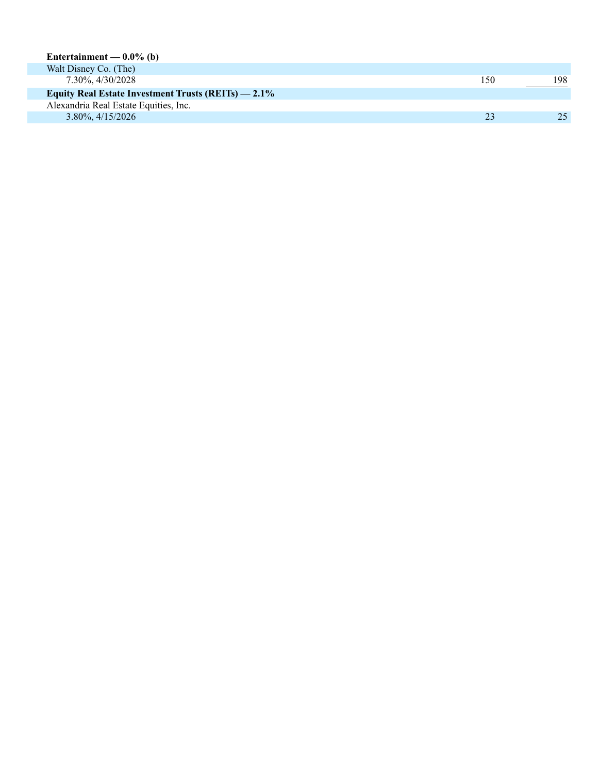| Entertainment — $0.0\%$ (b)                            |     |      |
|--------------------------------------------------------|-----|------|
| Walt Disney Co. (The)                                  |     |      |
| 7.30%, 4/30/2028                                       | 150 | 198. |
| Equity Real Estate Investment Trusts $(REITs) = 2.1\%$ |     |      |
| Alexandria Real Estate Equities, Inc.                  |     |      |
| $3.80\%$ , $4/15/2026$                                 | 23  | 25   |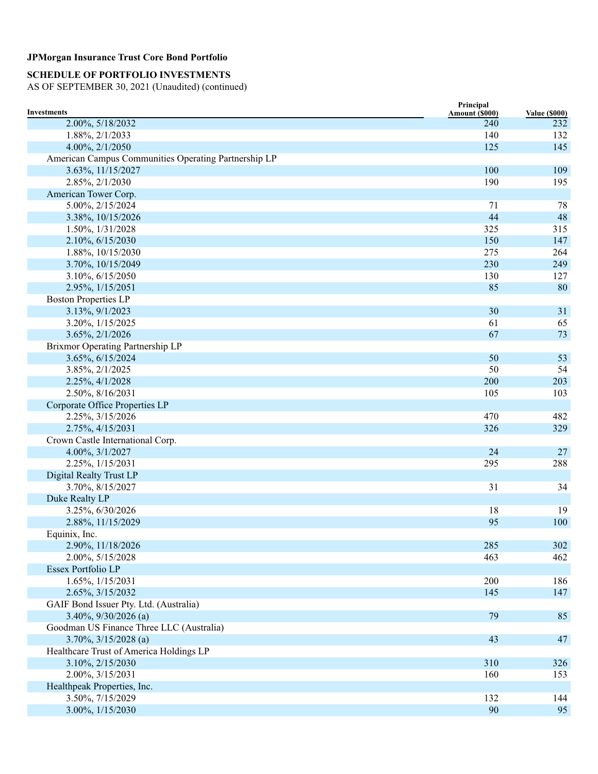# **SCHEDULE OF PORTFOLIO INVESTMENTS**

| Investments                                          | Principal             |                             |
|------------------------------------------------------|-----------------------|-----------------------------|
| 2.00%, 5/18/2032                                     | Amount (\$000)<br>240 | <b>Value (\$000)</b><br>232 |
| 1.88%, 2/1/2033                                      | 140                   | 132                         |
| 4.00%, 2/1/2050                                      | 125                   | 145                         |
| American Campus Communities Operating Partnership LP |                       |                             |
| 3.63%, 11/15/2027                                    | 100                   | 109                         |
| 2.85%, 2/1/2030                                      | 190                   | 195                         |
| American Tower Corp.                                 |                       |                             |
| 5.00%, 2/15/2024                                     | 71                    | 78                          |
| 3.38%, 10/15/2026                                    | 44                    | 48                          |
| 1.50%, 1/31/2028                                     | 325                   | 315                         |
| 2.10%, 6/15/2030                                     | 150                   | 147                         |
| 1.88%, 10/15/2030                                    | 275                   | 264                         |
| 3.70%, 10/15/2049                                    | 230                   | 249                         |
| 3.10%, 6/15/2050                                     | 130                   | 127                         |
| 2.95%, 1/15/2051                                     | 85                    | 80                          |
| <b>Boston Properties LP</b>                          |                       |                             |
| 3.13%, 9/1/2023                                      | 30                    | 31                          |
| 3.20%, 1/15/2025                                     | 61                    | 65                          |
| 3.65%, 2/1/2026                                      | 67                    | 73                          |
| Brixmor Operating Partnership LP                     |                       |                             |
| 3.65%, 6/15/2024                                     | 50                    | 53                          |
| 3.85%, 2/1/2025                                      | 50                    | 54                          |
| 2.25%, 4/1/2028                                      | 200                   | 203                         |
| 2.50%, 8/16/2031                                     | 105                   | 103                         |
| Corporate Office Properties LP                       |                       |                             |
| 2.25%, 3/15/2026                                     | 470                   | 482                         |
| 2.75%, 4/15/2031                                     | 326                   | 329                         |
| Crown Castle International Corp.                     |                       |                             |
| 4.00%, 3/1/2027                                      | 24                    | 27                          |
| 2.25%, 1/15/2031                                     | 295                   | 288                         |
| Digital Realty Trust LP                              |                       |                             |
| 3.70%, 8/15/2027                                     | 31                    | 34                          |
| Duke Realty LP                                       |                       |                             |
| 3.25%, 6/30/2026                                     | 18                    | 19                          |
| 2.88%, 11/15/2029                                    | 95                    | 100                         |
| Equinix, Inc.                                        |                       |                             |
| 2.90%, 11/18/2026                                    | 285                   | 302                         |
| 2.00%, 5/15/2028                                     | 463                   | 462                         |
| Essex Portfolio LP                                   |                       |                             |
| 1.65%, 1/15/2031                                     | 200                   | 186                         |
| 2.65%, 3/15/2032                                     | 145                   | 147                         |
| GAIF Bond Issuer Pty. Ltd. (Australia)               |                       |                             |
| 3.40%, 9/30/2026 (a)                                 | 79                    | 85                          |
| Goodman US Finance Three LLC (Australia)             |                       |                             |
| $3.70\%, 3/15/2028$ (a)                              | 43                    | 47                          |
| Healthcare Trust of America Holdings LP              |                       |                             |
| 3.10%, 2/15/2030                                     | 310                   | 326                         |
| 2.00%, 3/15/2031                                     | 160                   | 153                         |
| Healthpeak Properties, Inc.                          |                       |                             |
| 3.50%, 7/15/2029                                     | 132                   | 144                         |
| 3.00%, 1/15/2030                                     | 90                    | 95                          |
|                                                      |                       |                             |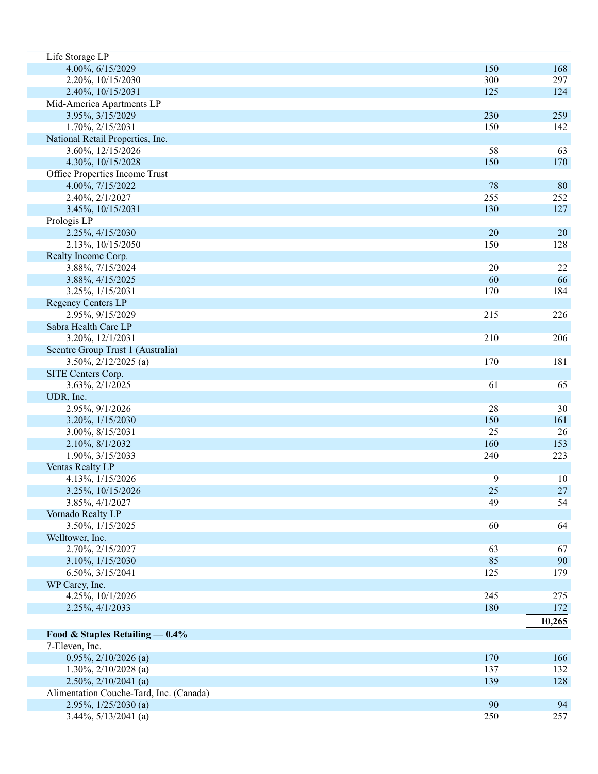| Life Storage LP                         |          |          |
|-----------------------------------------|----------|----------|
| 4.00%, 6/15/2029                        | 150      | 168      |
| 2.20%, 10/15/2030                       | 300      | 297      |
| 2.40%, 10/15/2031                       | 125      | 124      |
| Mid-America Apartments LP               |          |          |
| 3.95%, 3/15/2029                        | 230      | 259      |
| 1.70%, 2/15/2031                        | 150      | 142      |
| National Retail Properties, Inc.        |          |          |
| 3.60%, 12/15/2026                       | 58       | 63       |
| 4.30%, 10/15/2028                       | 150      | 170      |
| Office Properties Income Trust          |          |          |
| 4.00%, 7/15/2022                        | 78       | 80       |
| 2.40%, 2/1/2027                         | 255      | 252      |
| 3.45%, 10/15/2031                       | 130      | 127      |
| Prologis LP                             |          |          |
| 2.25%, 4/15/2030                        | 20       | 20       |
| 2.13%, 10/15/2050                       | 150      | 128      |
| Realty Income Corp.                     |          |          |
| 3.88%, 7/15/2024                        | 20<br>60 | 22<br>66 |
| 3.88%, 4/15/2025<br>3.25%, 1/15/2031    | 170      | 184      |
| Regency Centers LP                      |          |          |
| 2.95%, 9/15/2029                        | 215      | 226      |
| Sabra Health Care LP                    |          |          |
| 3.20%, 12/1/2031                        | 210      | 206      |
| Scentre Group Trust 1 (Australia)       |          |          |
| $3.50\%, 2/12/2025$ (a)                 | 170      | 181      |
| SITE Centers Corp.                      |          |          |
| 3.63%, 2/1/2025                         | 61       | 65       |
| UDR, Inc.                               |          |          |
| 2.95%, 9/1/2026                         | 28       | 30       |
| 3.20%, 1/15/2030                        | 150      | 161      |
| 3.00%, 8/15/2031                        | 25       | 26       |
| 2.10%, 8/1/2032                         | 160      | 153      |
| 1.90%, 3/15/2033                        | 240      | 223      |
| Ventas Realty LP                        |          |          |
| 4.13%, 1/15/2026                        | 9        | 10       |
| 3.25%, 10/15/2026                       | $25\,$   | $27\,$   |
| 3.85%, 4/1/2027                         | 49       | 54       |
| Vornado Realty LP                       |          |          |
| 3.50%, 1/15/2025                        | 60       | 64       |
| Welltower, Inc.                         |          |          |
| 2.70%, 2/15/2027                        | 63       | 67       |
| 3.10%, 1/15/2030                        | 85       | 90       |
| 6.50%, 3/15/2041                        | 125      | 179      |
| WP Carey, Inc.                          |          |          |
| 4.25%, 10/1/2026                        | 245      | 275      |
| 2.25%, 4/1/2033                         | 180      | 172      |
|                                         |          | 10,265   |
| Food & Staples Retailing $-0.4\%$       |          |          |
| 7-Eleven, Inc.                          |          |          |
| $0.95\%, 2/10/2026$ (a)                 | 170      | 166      |
| $1.30\%, 2/10/2028$ (a)                 | 137      | 132      |
| $2.50\%, 2/10/2041$ (a)                 | 139      | 128      |
| Alimentation Couche-Tard, Inc. (Canada) |          |          |
| $2.95\%, 1/25/2030$ (a)                 | 90       | 94       |
| $3.44\%, 5/13/2041$ (a)                 | 250      | 257      |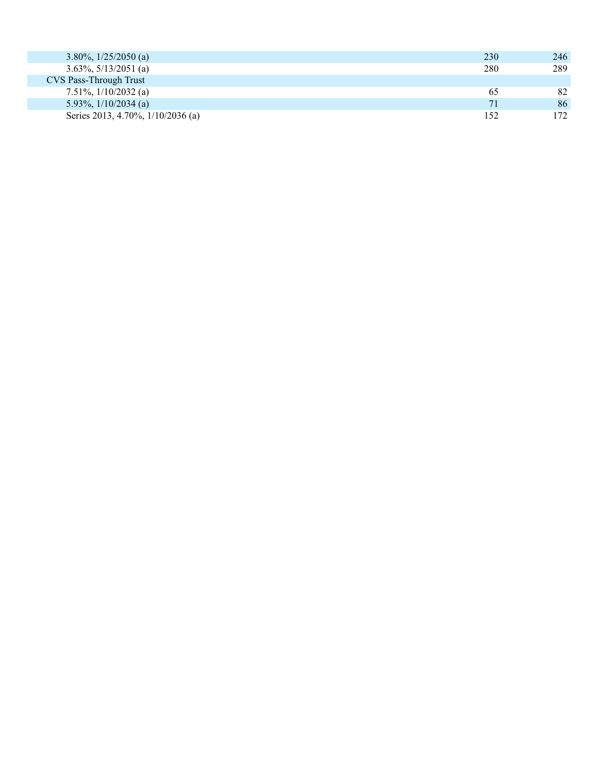| 3.80\%, $1/25/2050$ (a)           | 230 | 246 |
|-----------------------------------|-----|-----|
| $3.63\%, 5/13/2051$ (a)           | 280 | 289 |
| <b>CVS Pass-Through Trust</b>     |     |     |
| $7.51\%, \frac{1}{10}/2032$ (a)   | 65  | 82  |
| 5.93%, $1/10/2034$ (a)            | 71  | 86  |
| Series 2013, 4.70%, 1/10/2036 (a) | 152 | 172 |
|                                   |     |     |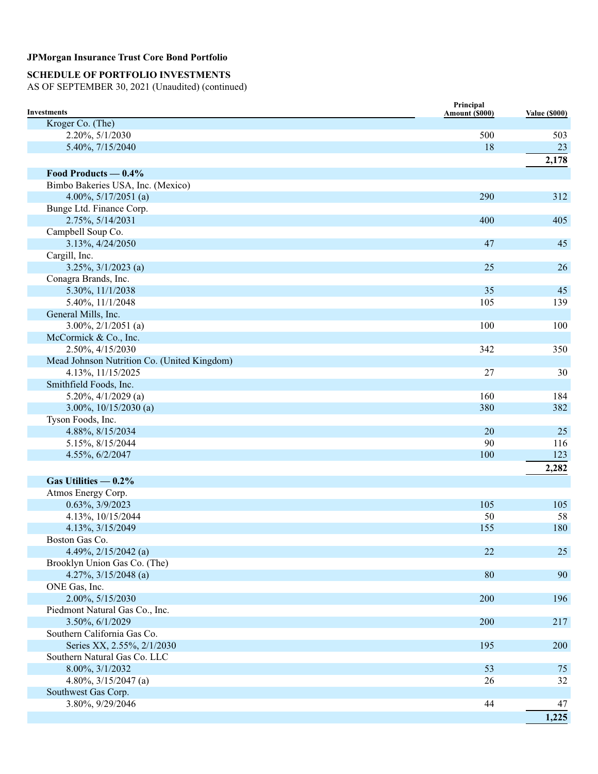# **SCHEDULE OF PORTFOLIO INVESTMENTS**

| Kroger Co. (The)<br>2.20%, 5/1/2030<br>500<br>503<br>5.40%, 7/15/2040<br>18<br>23<br>2,178<br>Food Products $-0.4\%$<br>Bimbo Bakeries USA, Inc. (Mexico)<br>4.00%, $5/17/2051$ (a)<br>290<br>312<br>Bunge Ltd. Finance Corp.<br>2.75%, 5/14/2031<br>400<br>405<br>Campbell Soup Co.<br>3.13%, 4/24/2050<br>47<br>45<br>Cargill, Inc.<br>25<br>$3.25\%, \frac{3}{1/2023}$ (a)<br>26<br>Conagra Brands, Inc.<br>35<br>45<br>5.30%, 11/1/2038<br>5.40%, 11/1/2048<br>105<br>139<br>General Mills, Inc.<br>$3.00\%, 2/1/2051$ (a)<br>100<br>100<br>McCormick & Co., Inc.<br>2.50%, 4/15/2030<br>342<br>350<br>Mead Johnson Nutrition Co. (United Kingdom)<br>27<br>4.13%, 11/15/2025<br>30<br>Smithfield Foods, Inc.<br>160<br>$5.20\%, \frac{4}{1/2029}$ (a)<br>184<br>3.00%, $10/15/2030$ (a)<br>380<br>382<br>Tyson Foods, Inc.<br>4.88%, 8/15/2034<br>20<br>25<br>5.15%, 8/15/2044<br>90<br>116<br>4.55%, 6/2/2047<br>123<br>100<br>2,282<br>Gas Utilities $-0.2\%$<br>Atmos Energy Corp.<br>0.63%, 3/9/2023<br>105<br>105<br>4.13%, 10/15/2044<br>50<br>58<br>4.13%, 3/15/2049<br>155<br>180<br>Boston Gas Co.<br>4.49%, $2/15/2042$ (a)<br>22<br>25<br>Brooklyn Union Gas Co. (The)<br>80<br>4.27%, $3/15/2048$ (a)<br>90<br>ONE Gas, Inc.<br>2.00%, 5/15/2030<br>200<br>196<br>Piedmont Natural Gas Co., Inc.<br>3.50%, 6/1/2029<br>200<br>217<br>Southern California Gas Co.<br>Series XX, 2.55%, 2/1/2030<br>195<br>200<br>Southern Natural Gas Co. LLC<br>8.00%, 3/1/2032<br>53<br>75<br>4.80%, $3/15/2047$ (a)<br>26<br>32<br>Southwest Gas Corp.<br>3.80%, 9/29/2046<br>44<br>47<br>1,225 | <b>Investments</b> | Principal<br>Amount (\$000) | <b>Value (\$000)</b> |
|----------------------------------------------------------------------------------------------------------------------------------------------------------------------------------------------------------------------------------------------------------------------------------------------------------------------------------------------------------------------------------------------------------------------------------------------------------------------------------------------------------------------------------------------------------------------------------------------------------------------------------------------------------------------------------------------------------------------------------------------------------------------------------------------------------------------------------------------------------------------------------------------------------------------------------------------------------------------------------------------------------------------------------------------------------------------------------------------------------------------------------------------------------------------------------------------------------------------------------------------------------------------------------------------------------------------------------------------------------------------------------------------------------------------------------------------------------------------------------------------------------------------------------------------------------------------------------------------------|--------------------|-----------------------------|----------------------|
|                                                                                                                                                                                                                                                                                                                                                                                                                                                                                                                                                                                                                                                                                                                                                                                                                                                                                                                                                                                                                                                                                                                                                                                                                                                                                                                                                                                                                                                                                                                                                                                                    |                    |                             |                      |
|                                                                                                                                                                                                                                                                                                                                                                                                                                                                                                                                                                                                                                                                                                                                                                                                                                                                                                                                                                                                                                                                                                                                                                                                                                                                                                                                                                                                                                                                                                                                                                                                    |                    |                             |                      |
|                                                                                                                                                                                                                                                                                                                                                                                                                                                                                                                                                                                                                                                                                                                                                                                                                                                                                                                                                                                                                                                                                                                                                                                                                                                                                                                                                                                                                                                                                                                                                                                                    |                    |                             |                      |
|                                                                                                                                                                                                                                                                                                                                                                                                                                                                                                                                                                                                                                                                                                                                                                                                                                                                                                                                                                                                                                                                                                                                                                                                                                                                                                                                                                                                                                                                                                                                                                                                    |                    |                             |                      |
|                                                                                                                                                                                                                                                                                                                                                                                                                                                                                                                                                                                                                                                                                                                                                                                                                                                                                                                                                                                                                                                                                                                                                                                                                                                                                                                                                                                                                                                                                                                                                                                                    |                    |                             |                      |
|                                                                                                                                                                                                                                                                                                                                                                                                                                                                                                                                                                                                                                                                                                                                                                                                                                                                                                                                                                                                                                                                                                                                                                                                                                                                                                                                                                                                                                                                                                                                                                                                    |                    |                             |                      |
|                                                                                                                                                                                                                                                                                                                                                                                                                                                                                                                                                                                                                                                                                                                                                                                                                                                                                                                                                                                                                                                                                                                                                                                                                                                                                                                                                                                                                                                                                                                                                                                                    |                    |                             |                      |
|                                                                                                                                                                                                                                                                                                                                                                                                                                                                                                                                                                                                                                                                                                                                                                                                                                                                                                                                                                                                                                                                                                                                                                                                                                                                                                                                                                                                                                                                                                                                                                                                    |                    |                             |                      |
|                                                                                                                                                                                                                                                                                                                                                                                                                                                                                                                                                                                                                                                                                                                                                                                                                                                                                                                                                                                                                                                                                                                                                                                                                                                                                                                                                                                                                                                                                                                                                                                                    |                    |                             |                      |
|                                                                                                                                                                                                                                                                                                                                                                                                                                                                                                                                                                                                                                                                                                                                                                                                                                                                                                                                                                                                                                                                                                                                                                                                                                                                                                                                                                                                                                                                                                                                                                                                    |                    |                             |                      |
|                                                                                                                                                                                                                                                                                                                                                                                                                                                                                                                                                                                                                                                                                                                                                                                                                                                                                                                                                                                                                                                                                                                                                                                                                                                                                                                                                                                                                                                                                                                                                                                                    |                    |                             |                      |
|                                                                                                                                                                                                                                                                                                                                                                                                                                                                                                                                                                                                                                                                                                                                                                                                                                                                                                                                                                                                                                                                                                                                                                                                                                                                                                                                                                                                                                                                                                                                                                                                    |                    |                             |                      |
|                                                                                                                                                                                                                                                                                                                                                                                                                                                                                                                                                                                                                                                                                                                                                                                                                                                                                                                                                                                                                                                                                                                                                                                                                                                                                                                                                                                                                                                                                                                                                                                                    |                    |                             |                      |
|                                                                                                                                                                                                                                                                                                                                                                                                                                                                                                                                                                                                                                                                                                                                                                                                                                                                                                                                                                                                                                                                                                                                                                                                                                                                                                                                                                                                                                                                                                                                                                                                    |                    |                             |                      |
|                                                                                                                                                                                                                                                                                                                                                                                                                                                                                                                                                                                                                                                                                                                                                                                                                                                                                                                                                                                                                                                                                                                                                                                                                                                                                                                                                                                                                                                                                                                                                                                                    |                    |                             |                      |
|                                                                                                                                                                                                                                                                                                                                                                                                                                                                                                                                                                                                                                                                                                                                                                                                                                                                                                                                                                                                                                                                                                                                                                                                                                                                                                                                                                                                                                                                                                                                                                                                    |                    |                             |                      |
|                                                                                                                                                                                                                                                                                                                                                                                                                                                                                                                                                                                                                                                                                                                                                                                                                                                                                                                                                                                                                                                                                                                                                                                                                                                                                                                                                                                                                                                                                                                                                                                                    |                    |                             |                      |
|                                                                                                                                                                                                                                                                                                                                                                                                                                                                                                                                                                                                                                                                                                                                                                                                                                                                                                                                                                                                                                                                                                                                                                                                                                                                                                                                                                                                                                                                                                                                                                                                    |                    |                             |                      |
|                                                                                                                                                                                                                                                                                                                                                                                                                                                                                                                                                                                                                                                                                                                                                                                                                                                                                                                                                                                                                                                                                                                                                                                                                                                                                                                                                                                                                                                                                                                                                                                                    |                    |                             |                      |
|                                                                                                                                                                                                                                                                                                                                                                                                                                                                                                                                                                                                                                                                                                                                                                                                                                                                                                                                                                                                                                                                                                                                                                                                                                                                                                                                                                                                                                                                                                                                                                                                    |                    |                             |                      |
|                                                                                                                                                                                                                                                                                                                                                                                                                                                                                                                                                                                                                                                                                                                                                                                                                                                                                                                                                                                                                                                                                                                                                                                                                                                                                                                                                                                                                                                                                                                                                                                                    |                    |                             |                      |
|                                                                                                                                                                                                                                                                                                                                                                                                                                                                                                                                                                                                                                                                                                                                                                                                                                                                                                                                                                                                                                                                                                                                                                                                                                                                                                                                                                                                                                                                                                                                                                                                    |                    |                             |                      |
|                                                                                                                                                                                                                                                                                                                                                                                                                                                                                                                                                                                                                                                                                                                                                                                                                                                                                                                                                                                                                                                                                                                                                                                                                                                                                                                                                                                                                                                                                                                                                                                                    |                    |                             |                      |
|                                                                                                                                                                                                                                                                                                                                                                                                                                                                                                                                                                                                                                                                                                                                                                                                                                                                                                                                                                                                                                                                                                                                                                                                                                                                                                                                                                                                                                                                                                                                                                                                    |                    |                             |                      |
|                                                                                                                                                                                                                                                                                                                                                                                                                                                                                                                                                                                                                                                                                                                                                                                                                                                                                                                                                                                                                                                                                                                                                                                                                                                                                                                                                                                                                                                                                                                                                                                                    |                    |                             |                      |
|                                                                                                                                                                                                                                                                                                                                                                                                                                                                                                                                                                                                                                                                                                                                                                                                                                                                                                                                                                                                                                                                                                                                                                                                                                                                                                                                                                                                                                                                                                                                                                                                    |                    |                             |                      |
|                                                                                                                                                                                                                                                                                                                                                                                                                                                                                                                                                                                                                                                                                                                                                                                                                                                                                                                                                                                                                                                                                                                                                                                                                                                                                                                                                                                                                                                                                                                                                                                                    |                    |                             |                      |
|                                                                                                                                                                                                                                                                                                                                                                                                                                                                                                                                                                                                                                                                                                                                                                                                                                                                                                                                                                                                                                                                                                                                                                                                                                                                                                                                                                                                                                                                                                                                                                                                    |                    |                             |                      |
|                                                                                                                                                                                                                                                                                                                                                                                                                                                                                                                                                                                                                                                                                                                                                                                                                                                                                                                                                                                                                                                                                                                                                                                                                                                                                                                                                                                                                                                                                                                                                                                                    |                    |                             |                      |
|                                                                                                                                                                                                                                                                                                                                                                                                                                                                                                                                                                                                                                                                                                                                                                                                                                                                                                                                                                                                                                                                                                                                                                                                                                                                                                                                                                                                                                                                                                                                                                                                    |                    |                             |                      |
|                                                                                                                                                                                                                                                                                                                                                                                                                                                                                                                                                                                                                                                                                                                                                                                                                                                                                                                                                                                                                                                                                                                                                                                                                                                                                                                                                                                                                                                                                                                                                                                                    |                    |                             |                      |
|                                                                                                                                                                                                                                                                                                                                                                                                                                                                                                                                                                                                                                                                                                                                                                                                                                                                                                                                                                                                                                                                                                                                                                                                                                                                                                                                                                                                                                                                                                                                                                                                    |                    |                             |                      |
|                                                                                                                                                                                                                                                                                                                                                                                                                                                                                                                                                                                                                                                                                                                                                                                                                                                                                                                                                                                                                                                                                                                                                                                                                                                                                                                                                                                                                                                                                                                                                                                                    |                    |                             |                      |
|                                                                                                                                                                                                                                                                                                                                                                                                                                                                                                                                                                                                                                                                                                                                                                                                                                                                                                                                                                                                                                                                                                                                                                                                                                                                                                                                                                                                                                                                                                                                                                                                    |                    |                             |                      |
|                                                                                                                                                                                                                                                                                                                                                                                                                                                                                                                                                                                                                                                                                                                                                                                                                                                                                                                                                                                                                                                                                                                                                                                                                                                                                                                                                                                                                                                                                                                                                                                                    |                    |                             |                      |
|                                                                                                                                                                                                                                                                                                                                                                                                                                                                                                                                                                                                                                                                                                                                                                                                                                                                                                                                                                                                                                                                                                                                                                                                                                                                                                                                                                                                                                                                                                                                                                                                    |                    |                             |                      |
|                                                                                                                                                                                                                                                                                                                                                                                                                                                                                                                                                                                                                                                                                                                                                                                                                                                                                                                                                                                                                                                                                                                                                                                                                                                                                                                                                                                                                                                                                                                                                                                                    |                    |                             |                      |
|                                                                                                                                                                                                                                                                                                                                                                                                                                                                                                                                                                                                                                                                                                                                                                                                                                                                                                                                                                                                                                                                                                                                                                                                                                                                                                                                                                                                                                                                                                                                                                                                    |                    |                             |                      |
|                                                                                                                                                                                                                                                                                                                                                                                                                                                                                                                                                                                                                                                                                                                                                                                                                                                                                                                                                                                                                                                                                                                                                                                                                                                                                                                                                                                                                                                                                                                                                                                                    |                    |                             |                      |
|                                                                                                                                                                                                                                                                                                                                                                                                                                                                                                                                                                                                                                                                                                                                                                                                                                                                                                                                                                                                                                                                                                                                                                                                                                                                                                                                                                                                                                                                                                                                                                                                    |                    |                             |                      |
|                                                                                                                                                                                                                                                                                                                                                                                                                                                                                                                                                                                                                                                                                                                                                                                                                                                                                                                                                                                                                                                                                                                                                                                                                                                                                                                                                                                                                                                                                                                                                                                                    |                    |                             |                      |
|                                                                                                                                                                                                                                                                                                                                                                                                                                                                                                                                                                                                                                                                                                                                                                                                                                                                                                                                                                                                                                                                                                                                                                                                                                                                                                                                                                                                                                                                                                                                                                                                    |                    |                             |                      |
|                                                                                                                                                                                                                                                                                                                                                                                                                                                                                                                                                                                                                                                                                                                                                                                                                                                                                                                                                                                                                                                                                                                                                                                                                                                                                                                                                                                                                                                                                                                                                                                                    |                    |                             |                      |
|                                                                                                                                                                                                                                                                                                                                                                                                                                                                                                                                                                                                                                                                                                                                                                                                                                                                                                                                                                                                                                                                                                                                                                                                                                                                                                                                                                                                                                                                                                                                                                                                    |                    |                             |                      |
|                                                                                                                                                                                                                                                                                                                                                                                                                                                                                                                                                                                                                                                                                                                                                                                                                                                                                                                                                                                                                                                                                                                                                                                                                                                                                                                                                                                                                                                                                                                                                                                                    |                    |                             |                      |
|                                                                                                                                                                                                                                                                                                                                                                                                                                                                                                                                                                                                                                                                                                                                                                                                                                                                                                                                                                                                                                                                                                                                                                                                                                                                                                                                                                                                                                                                                                                                                                                                    |                    |                             |                      |
|                                                                                                                                                                                                                                                                                                                                                                                                                                                                                                                                                                                                                                                                                                                                                                                                                                                                                                                                                                                                                                                                                                                                                                                                                                                                                                                                                                                                                                                                                                                                                                                                    |                    |                             |                      |
|                                                                                                                                                                                                                                                                                                                                                                                                                                                                                                                                                                                                                                                                                                                                                                                                                                                                                                                                                                                                                                                                                                                                                                                                                                                                                                                                                                                                                                                                                                                                                                                                    |                    |                             |                      |
|                                                                                                                                                                                                                                                                                                                                                                                                                                                                                                                                                                                                                                                                                                                                                                                                                                                                                                                                                                                                                                                                                                                                                                                                                                                                                                                                                                                                                                                                                                                                                                                                    |                    |                             |                      |
|                                                                                                                                                                                                                                                                                                                                                                                                                                                                                                                                                                                                                                                                                                                                                                                                                                                                                                                                                                                                                                                                                                                                                                                                                                                                                                                                                                                                                                                                                                                                                                                                    |                    |                             |                      |
|                                                                                                                                                                                                                                                                                                                                                                                                                                                                                                                                                                                                                                                                                                                                                                                                                                                                                                                                                                                                                                                                                                                                                                                                                                                                                                                                                                                                                                                                                                                                                                                                    |                    |                             |                      |
|                                                                                                                                                                                                                                                                                                                                                                                                                                                                                                                                                                                                                                                                                                                                                                                                                                                                                                                                                                                                                                                                                                                                                                                                                                                                                                                                                                                                                                                                                                                                                                                                    |                    |                             |                      |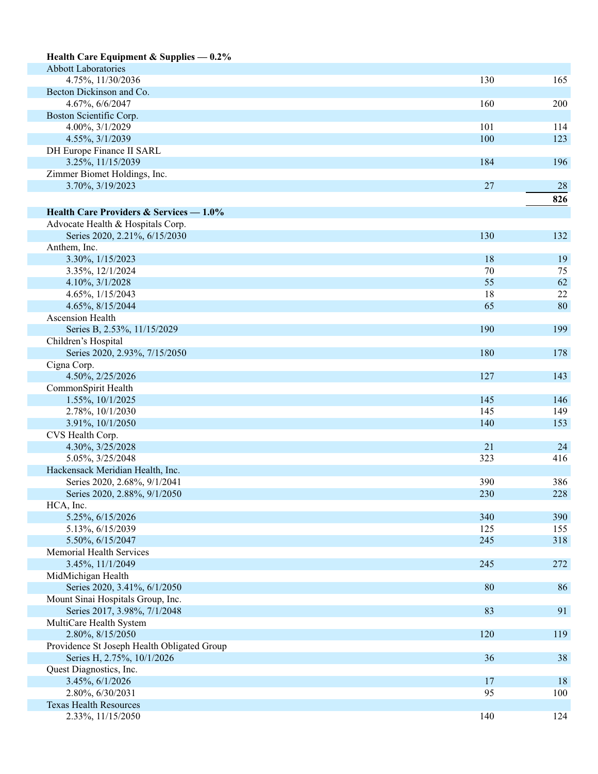| Health Care Equipment & Supplies $-0.2\%$    |     |     |
|----------------------------------------------|-----|-----|
| <b>Abbott Laboratories</b>                   |     |     |
| 4.75%, 11/30/2036                            | 130 | 165 |
| Becton Dickinson and Co.                     |     |     |
| 4.67%, 6/6/2047                              | 160 | 200 |
| Boston Scientific Corp.                      |     |     |
| 4.00%, 3/1/2029                              | 101 | 114 |
| 4.55%, 3/1/2039                              | 100 | 123 |
| DH Europe Finance II SARL                    |     |     |
| 3.25%, 11/15/2039                            | 184 | 196 |
| Zimmer Biomet Holdings, Inc.                 |     |     |
| 3.70%, 3/19/2023                             | 27  | 28  |
|                                              |     | 826 |
| Health Care Providers & Services — 1.0%      |     |     |
| Advocate Health & Hospitals Corp.            |     |     |
| Series 2020, 2.21%, 6/15/2030                | 130 | 132 |
| Anthem, Inc.                                 |     |     |
| 3.30%, 1/15/2023                             | 18  | 19  |
| 3.35%, 12/1/2024                             | 70  | 75  |
| 4.10%, 3/1/2028                              | 55  | 62  |
| 4.65%, 1/15/2043                             | 18  | 22  |
| 4.65%, 8/15/2044                             | 65  | 80  |
| Ascension Health                             |     |     |
| Series B, 2.53%, 11/15/2029                  | 190 | 199 |
| Children's Hospital                          |     |     |
| Series 2020, 2.93%, 7/15/2050                | 180 | 178 |
| Cigna Corp.                                  |     |     |
| 4.50%, 2/25/2026                             | 127 | 143 |
| CommonSpirit Health                          |     |     |
| 1.55%, 10/1/2025                             | 145 | 146 |
| 2.78%, 10/1/2030                             | 145 | 149 |
| 3.91%, 10/1/2050                             | 140 | 153 |
| CVS Health Corp.                             |     |     |
| 4.30%, 3/25/2028                             | 21  | 24  |
| 5.05%, 3/25/2048                             | 323 | 416 |
| Hackensack Meridian Health, Inc.             |     |     |
| Series 2020, 2.68%, 9/1/2041                 | 390 | 386 |
| Series 2020, 2.88%, 9/1/2050                 | 230 | 228 |
| HCA, Inc.                                    |     |     |
| 5.25%, 6/15/2026                             | 340 | 390 |
| 5.13%, 6/15/2039                             | 125 | 155 |
| 5.50%, 6/15/2047<br>Memorial Health Services | 245 | 318 |
| 3.45%, 11/1/2049                             | 245 | 272 |
| MidMichigan Health                           |     |     |
| Series 2020, 3.41%, 6/1/2050                 | 80  | 86  |
| Mount Sinai Hospitals Group, Inc.            |     |     |
| Series 2017, 3.98%, 7/1/2048                 | 83  | 91  |
| MultiCare Health System                      |     |     |
| 2.80%, 8/15/2050                             | 120 | 119 |
| Providence St Joseph Health Obligated Group  |     |     |
| Series H, 2.75%, 10/1/2026                   | 36  | 38  |
| Quest Diagnostics, Inc.                      |     |     |
| 3.45%, 6/1/2026                              | 17  | 18  |
| 2.80%, 6/30/2031                             | 95  | 100 |
| <b>Texas Health Resources</b>                |     |     |
| 2.33%, 11/15/2050                            | 140 | 124 |
|                                              |     |     |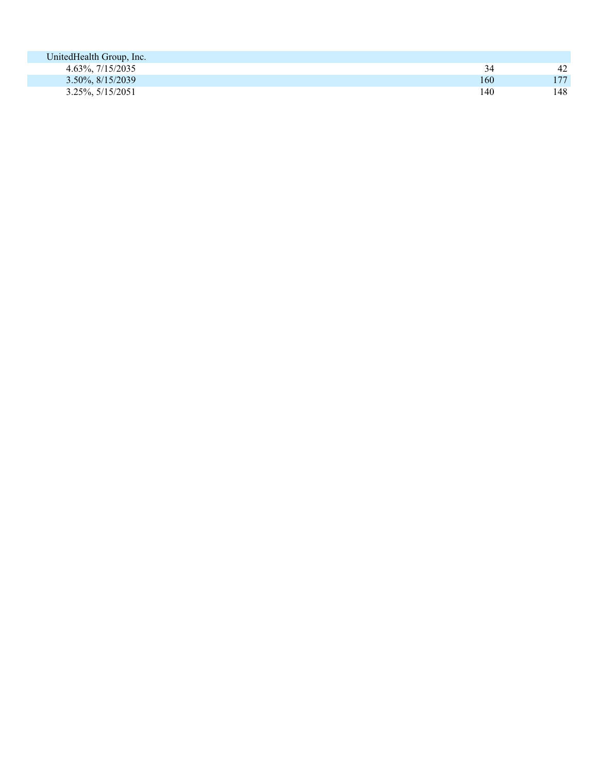| UnitedHealth Group, Inc.    |     |     |
|-----------------------------|-----|-----|
| 4.63%, 7/15/2035            | 34  | 42  |
| $3.50\%, \frac{8}{15/2039}$ | 160 | 177 |
| $3.25\%, 5/15/2051$         | 140 | 148 |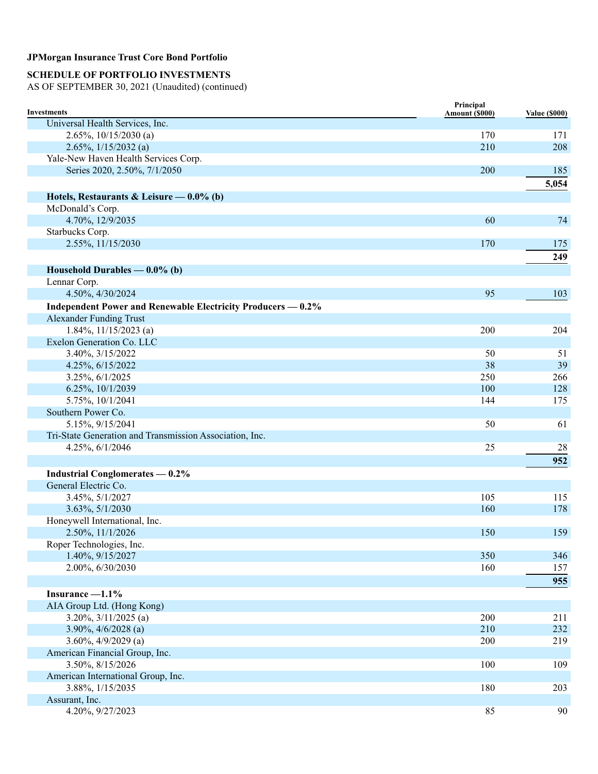# **SCHEDULE OF PORTFOLIO INVESTMENTS**

| <b>Investments</b>                                           | Principal<br>Amount (\$000) | <b>Value (\$000)</b> |
|--------------------------------------------------------------|-----------------------------|----------------------|
| Universal Health Services, Inc.                              |                             |                      |
| $2.65\%, 10/15/2030$ (a)                                     | 170                         | 171                  |
| 2.65%, $1/15/2032$ (a)                                       | 210                         | 208                  |
| Yale-New Haven Health Services Corp.                         |                             |                      |
| Series 2020, 2.50%, 7/1/2050                                 | 200                         | 185                  |
|                                                              |                             | 5,054                |
| Hotels, Restaurants & Leisure — $0.0\%$ (b)                  |                             |                      |
| McDonald's Corp.                                             |                             |                      |
| 4.70%, 12/9/2035                                             | 60                          | 74                   |
| Starbucks Corp.                                              |                             |                      |
|                                                              | 170                         |                      |
| 2.55%, 11/15/2030                                            |                             | 175                  |
|                                                              |                             | 249                  |
| Household Durables $-0.0\%$ (b)                              |                             |                      |
| Lennar Corp.                                                 |                             |                      |
| 4.50%, 4/30/2024                                             | 95                          | 103                  |
| Independent Power and Renewable Electricity Producers - 0.2% |                             |                      |
| <b>Alexander Funding Trust</b>                               |                             |                      |
| $1.84\%, 11/15/2023$ (a)                                     | 200                         | 204                  |
| Exelon Generation Co. LLC                                    |                             |                      |
| 3.40%, 3/15/2022                                             | 50                          | 51                   |
| 4.25%, 6/15/2022                                             | 38                          | 39                   |
| 3.25%, 6/1/2025                                              | 250                         | 266                  |
| 6.25%, 10/1/2039                                             | 100                         | 128                  |
| 5.75%, 10/1/2041                                             | 144                         | 175                  |
| Southern Power Co.                                           |                             |                      |
| 5.15%, 9/15/2041                                             | 50                          | 61                   |
| Tri-State Generation and Transmission Association, Inc.      |                             |                      |
| 4.25%, 6/1/2046                                              | 25                          | 28                   |
|                                                              |                             | 952                  |
| <b>Industrial Conglomerates — 0.2%</b>                       |                             |                      |
| General Electric Co.                                         |                             |                      |
| 3.45%, 5/1/2027                                              | 105                         | 115                  |
| 3.63%, 5/1/2030                                              | 160                         | 178                  |
| Honeywell International, Inc.                                |                             |                      |
| 2.50%, 11/1/2026                                             | 150                         | 159                  |
| Roper Technologies, Inc.                                     |                             |                      |
| 1.40%, 9/15/2027                                             | 350                         | 346                  |
| 2.00%, 6/30/2030                                             | 160                         | 157                  |
|                                                              |                             | 955                  |
|                                                              |                             |                      |
| Insurance $-1.1\%$                                           |                             |                      |
| AIA Group Ltd. (Hong Kong)                                   |                             |                      |
| $3.20\%, 3/11/2025$ (a)                                      | 200                         | 211                  |
| $3.90\%, \frac{4}{6}{2028}$ (a)                              | 210                         | 232                  |
| $3.60\%, 4/9/2029$ (a)                                       | 200                         | 219                  |
| American Financial Group, Inc.                               |                             |                      |
| 3.50%, 8/15/2026                                             | 100                         | 109                  |
| American International Group, Inc.                           |                             |                      |
| 3.88%, 1/15/2035                                             | 180                         | 203                  |
| Assurant, Inc.                                               |                             |                      |
| 4.20%, 9/27/2023                                             | 85                          | 90                   |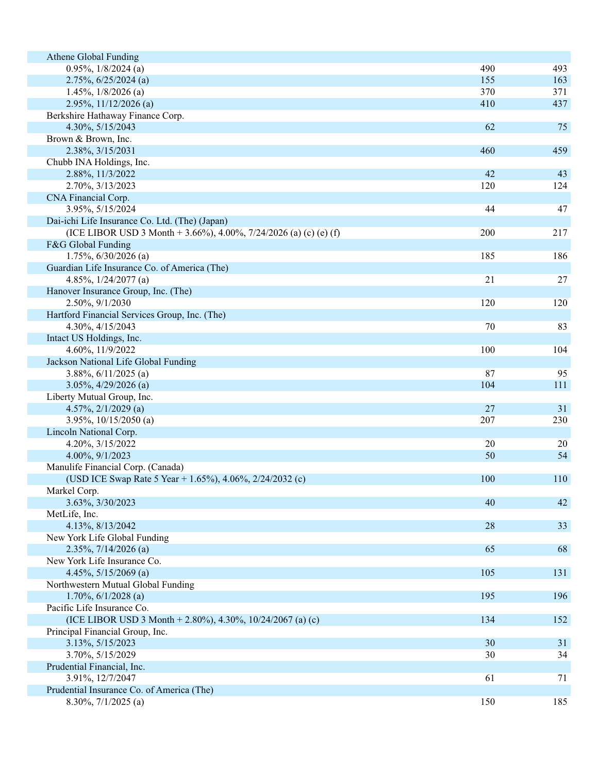| Athene Global Funding                                             |     |            |
|-------------------------------------------------------------------|-----|------------|
| $0.95\%, 1/8/2024$ (a)                                            | 490 | 493        |
| $2.75\%, 6/25/2024$ (a)                                           | 155 | 163        |
| $1.45\%, 1/8/2026$ (a)                                            | 370 | 371        |
| $2.95\%, 11/12/2026$ (a)                                          | 410 | 437        |
| Berkshire Hathaway Finance Corp.                                  |     |            |
| 4.30%, 5/15/2043                                                  | 62  | 75         |
| Brown & Brown, Inc.                                               |     |            |
| 2.38%, 3/15/2031                                                  | 460 | 459        |
| Chubb INA Holdings, Inc.                                          |     |            |
| 2.88%, 11/3/2022                                                  | 42  | 43         |
| 2.70%, 3/13/2023                                                  | 120 | 124        |
| CNA Financial Corp.                                               |     |            |
| 3.95%, 5/15/2024                                                  | 44  | 47         |
| Dai-ichi Life Insurance Co. Ltd. (The) (Japan)                    |     |            |
| (ICE LIBOR USD 3 Month + 3.66%), 4.00%, 7/24/2026 (a) (c) (e) (f) | 200 | 217        |
| F&G Global Funding                                                |     |            |
| 1.75%, 6/30/2026 (a)                                              | 185 | 186        |
| Guardian Life Insurance Co. of America (The)                      |     |            |
| 4.85%, $1/24/2077$ (a)                                            | 21  | 27         |
| Hanover Insurance Group, Inc. (The)                               |     |            |
| 2.50%, 9/1/2030                                                   | 120 | 120        |
| Hartford Financial Services Group, Inc. (The)                     |     |            |
| 4.30%, 4/15/2043                                                  | 70  | 83         |
| Intact US Holdings, Inc.                                          |     |            |
| 4.60%, 11/9/2022                                                  | 100 | 104        |
| Jackson National Life Global Funding                              |     |            |
| 3.88%, $6/11/2025$ (a)                                            | 87  | 95         |
| $3.05\%, 4/29/2026$ (a)                                           | 104 | <b>111</b> |
| Liberty Mutual Group, Inc.                                        |     |            |
| 4.57%, $2/1/2029$ (a)                                             | 27  | 31         |
| 3.95%, $10/15/2050$ (a)                                           | 207 | 230        |
| Lincoln National Corp.                                            |     |            |
| 4.20%, 3/15/2022                                                  | 20  | 20         |
| 4.00%, 9/1/2023                                                   | 50  | 54         |
| Manulife Financial Corp. (Canada)                                 |     |            |
| (USD ICE Swap Rate 5 Year + 1.65%), 4.06%, 2/24/2032 (c)          | 100 | 110        |
| Markel Corp.                                                      |     |            |
| 3.63%, 3/30/2023                                                  | 40  | 42         |
| MetLife, Inc.                                                     |     |            |
| 4.13%, 8/13/2042                                                  | 28  | 33         |
| New York Life Global Funding                                      |     |            |
| $2.35\%, 7/14/2026$ (a)                                           | 65  | 68         |
| New York Life Insurance Co.                                       |     |            |
| 4.45%, $5/15/2069$ (a)                                            | 105 | 131        |
| Northwestern Mutual Global Funding                                |     |            |
| $1.70\%, 6/1/2028$ (a)                                            | 195 | 196        |
| Pacific Life Insurance Co.                                        |     |            |
| (ICE LIBOR USD 3 Month + 2.80%), 4.30%, 10/24/2067 (a) (c)        | 134 | 152        |
| Principal Financial Group, Inc.                                   |     |            |
| 3.13%, 5/15/2023                                                  | 30  | 31         |
| 3.70%, 5/15/2029                                                  | 30  | 34         |
| Prudential Financial, Inc.                                        |     |            |
| 3.91%, 12/7/2047                                                  | 61  | 71         |
| Prudential Insurance Co. of America (The)                         |     |            |
| 8.30%, 7/1/2025 (a)                                               | 150 | 185        |
|                                                                   |     |            |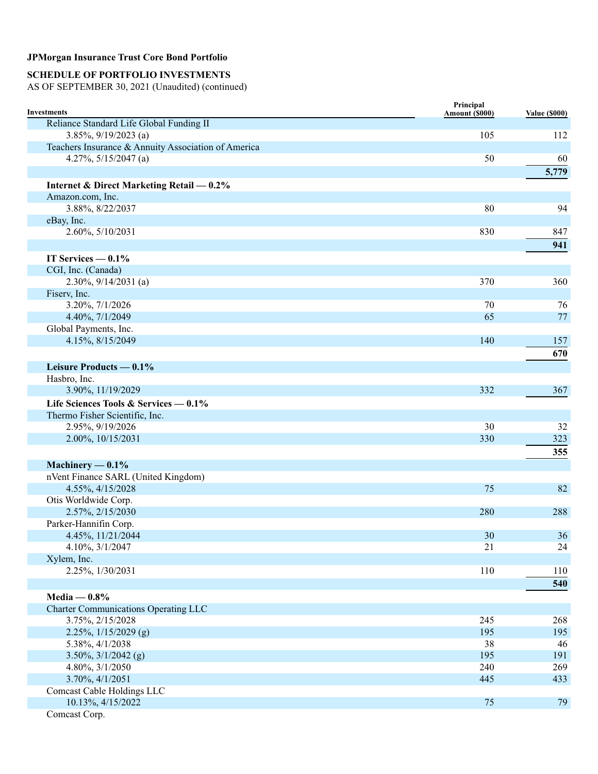## **SCHEDULE OF PORTFOLIO INVESTMENTS**

| <b>Investments</b>                                  | Principal<br>Amount (\$000) | <b>Value (\$000)</b> |
|-----------------------------------------------------|-----------------------------|----------------------|
| Reliance Standard Life Global Funding II            |                             |                      |
| 3.85%, $9/19/2023$ (a)                              | 105                         | 112                  |
| Teachers Insurance & Annuity Association of America |                             |                      |
| 4.27%, $5/15/2047$ (a)                              | 50                          | 60                   |
|                                                     |                             | 5,779                |
| Internet & Direct Marketing Retail — 0.2%           |                             |                      |
| Amazon.com, Inc.                                    |                             |                      |
| 3.88%, 8/22/2037                                    | 80                          | 94                   |
| eBay, Inc.                                          |                             |                      |
| 2.60%, 5/10/2031                                    | 830                         | 847                  |
|                                                     |                             | 941                  |
| IT Services $-0.1\%$                                |                             |                      |
| CGI, Inc. (Canada)                                  |                             |                      |
| $2.30\%, 9/14/2031$ (a)                             | 370                         | 360                  |
| Fiserv, Inc.                                        |                             |                      |
| 3.20%, 7/1/2026                                     | 70                          | 76                   |
| 4.40%, 7/1/2049                                     | 65                          | 77                   |
| Global Payments, Inc.                               |                             |                      |
| 4.15%, 8/15/2049                                    | 140                         | 157                  |
|                                                     |                             | 670                  |
| Leisure Products $-0.1\%$                           |                             |                      |
| Hasbro, Inc.                                        |                             |                      |
| 3.90%, 11/19/2029                                   | 332                         | 367                  |
| Life Sciences Tools & Services — $0.1\%$            |                             |                      |
| Thermo Fisher Scientific, Inc.                      |                             |                      |
| 2.95%, 9/19/2026                                    | 30                          | 32                   |
| 2.00%, 10/15/2031                                   | 330                         | 323                  |
|                                                     |                             | 355                  |
|                                                     |                             |                      |
| Machinery $-0.1\%$                                  |                             |                      |
| nVent Finance SARL (United Kingdom)                 |                             |                      |
| 4.55%, 4/15/2028                                    | 75                          | 82                   |
| Otis Worldwide Corp.                                |                             |                      |
| 2.57%, 2/15/2030                                    | 280                         | 288                  |
| Parker-Hannifin Corp.                               |                             |                      |
| 4.45%, 11/21/2044<br>4.10%, 3/1/2047                | 30<br>21                    | 36                   |
| Xylem, Inc.                                         |                             | 24                   |
| 2.25%, 1/30/2031                                    | 110                         | 110                  |
|                                                     |                             |                      |
|                                                     |                             | 540                  |
| Media — $0.8\%$                                     |                             |                      |
| <b>Charter Communications Operating LLC</b>         |                             |                      |
| 3.75%, 2/15/2028                                    | 245                         | 268                  |
| 2.25%, 1/15/2029 (g)                                | 195                         | 195                  |
| 5.38%, 4/1/2038                                     | 38                          | 46                   |
| $3.50\%, \frac{3}{1/2042}$ (g)                      | 195                         | 191                  |
| 4.80%, 3/1/2050                                     | 240                         | 269                  |
| 3.70%, 4/1/2051                                     | 445                         | 433                  |
| <b>Comcast Cable Holdings LLC</b>                   |                             |                      |
| 10.13%, 4/15/2022                                   | 75                          | 79                   |
| Comcast Corp.                                       |                             |                      |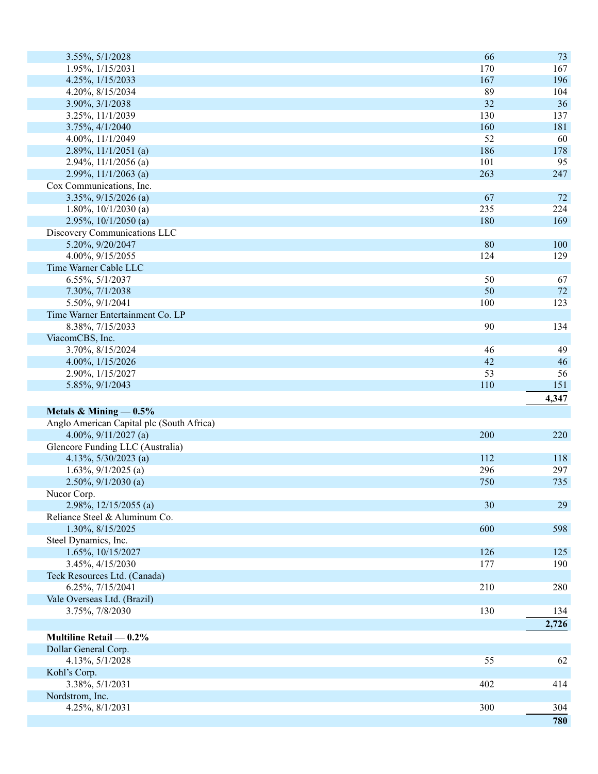| 1.95%, 1/15/2031<br>170<br>167<br>196<br>4.25%, 1/15/2033<br>167<br>89<br>4.20%, 8/15/2034<br>104<br>32<br>36<br>3.90%, 3/1/2038<br>130<br>137<br>3.25%, 11/1/2039<br>160<br>181<br>3.75%, 4/1/2040<br>52<br>4.00%, 11/1/2049<br>60<br>186<br>$2.89\%, 11/1/2051$ (a)<br>178<br>101<br>95<br>2.94%, $11/1/2056$ (a)<br>263<br>2.99%, $11/1/2063$ (a)<br>247<br>Cox Communications, Inc.<br>3.35%, 9/15/2026 (a)<br>67<br>72<br>235<br>224<br>1.80%, $10/1/2030$ (a)<br>180<br>$2.95\%, 10/1/2050$ (a)<br>169<br>Discovery Communications LLC<br>5.20%, 9/20/2047<br>80<br>100<br>4.00%, 9/15/2055<br>124<br>129<br>Time Warner Cable LLC<br>6.55%, 5/1/2037<br>50<br>67<br>50<br>$72\,$<br>7.30%, 7/1/2038<br>100<br>123<br>5.50%, 9/1/2041<br>Time Warner Entertainment Co. LP<br>90<br>8.38%, 7/15/2033<br>134<br>ViacomCBS, Inc.<br>3.70%, 8/15/2024<br>46<br>49<br>46<br>4.00%, 1/15/2026<br>42<br>53<br>56<br>2.90%, 1/15/2027<br>110<br>151<br>5.85%, 9/1/2043<br>4,347<br>Metals & Mining $-0.5\%$<br>Anglo American Capital plc (South Africa)<br>4.00%, $9/11/2027$ (a)<br>200<br>220<br>Glencore Funding LLC (Australia)<br>4.13%, $5/30/2023$ (a)<br>112<br>118<br>$1.63\%, 9/1/2025$ (a)<br>296<br>297<br>$2.50\%, 9/1/2030$ (a)<br>750<br>735<br>Nucor Corp.<br>2.98%, $12/15/2055$ (a)<br>30<br>29<br>Reliance Steel & Aluminum Co.<br>600<br>1.30%, 8/15/2025<br>598<br>Steel Dynamics, Inc.<br>1.65%, 10/15/2027<br>126<br>125<br>3.45%, 4/15/2030<br>177<br>190<br>Teck Resources Ltd. (Canada)<br>6.25%, 7/15/2041<br>210<br>280<br>Vale Overseas Ltd. (Brazil)<br>130<br>3.75%, 7/8/2030<br>134<br>2,726<br>Multiline Retail $-0.2\%$<br>Dollar General Corp.<br>4.13%, 5/1/2028<br>55<br>62<br>Kohl's Corp.<br>3.38%, 5/1/2031<br>402<br>414<br>Nordstrom, Inc.<br>4.25%, 8/1/2031<br>300<br>304<br>780 | 3.55%, 5/1/2028 | 66 | 73 |
|-----------------------------------------------------------------------------------------------------------------------------------------------------------------------------------------------------------------------------------------------------------------------------------------------------------------------------------------------------------------------------------------------------------------------------------------------------------------------------------------------------------------------------------------------------------------------------------------------------------------------------------------------------------------------------------------------------------------------------------------------------------------------------------------------------------------------------------------------------------------------------------------------------------------------------------------------------------------------------------------------------------------------------------------------------------------------------------------------------------------------------------------------------------------------------------------------------------------------------------------------------------------------------------------------------------------------------------------------------------------------------------------------------------------------------------------------------------------------------------------------------------------------------------------------------------------------------------------------------------------------------------------------------------------------------------------------------------------------------------------------------------------------------------------------------------------------------|-----------------|----|----|
|                                                                                                                                                                                                                                                                                                                                                                                                                                                                                                                                                                                                                                                                                                                                                                                                                                                                                                                                                                                                                                                                                                                                                                                                                                                                                                                                                                                                                                                                                                                                                                                                                                                                                                                                                                                                                             |                 |    |    |
|                                                                                                                                                                                                                                                                                                                                                                                                                                                                                                                                                                                                                                                                                                                                                                                                                                                                                                                                                                                                                                                                                                                                                                                                                                                                                                                                                                                                                                                                                                                                                                                                                                                                                                                                                                                                                             |                 |    |    |
|                                                                                                                                                                                                                                                                                                                                                                                                                                                                                                                                                                                                                                                                                                                                                                                                                                                                                                                                                                                                                                                                                                                                                                                                                                                                                                                                                                                                                                                                                                                                                                                                                                                                                                                                                                                                                             |                 |    |    |
|                                                                                                                                                                                                                                                                                                                                                                                                                                                                                                                                                                                                                                                                                                                                                                                                                                                                                                                                                                                                                                                                                                                                                                                                                                                                                                                                                                                                                                                                                                                                                                                                                                                                                                                                                                                                                             |                 |    |    |
|                                                                                                                                                                                                                                                                                                                                                                                                                                                                                                                                                                                                                                                                                                                                                                                                                                                                                                                                                                                                                                                                                                                                                                                                                                                                                                                                                                                                                                                                                                                                                                                                                                                                                                                                                                                                                             |                 |    |    |
|                                                                                                                                                                                                                                                                                                                                                                                                                                                                                                                                                                                                                                                                                                                                                                                                                                                                                                                                                                                                                                                                                                                                                                                                                                                                                                                                                                                                                                                                                                                                                                                                                                                                                                                                                                                                                             |                 |    |    |
|                                                                                                                                                                                                                                                                                                                                                                                                                                                                                                                                                                                                                                                                                                                                                                                                                                                                                                                                                                                                                                                                                                                                                                                                                                                                                                                                                                                                                                                                                                                                                                                                                                                                                                                                                                                                                             |                 |    |    |
|                                                                                                                                                                                                                                                                                                                                                                                                                                                                                                                                                                                                                                                                                                                                                                                                                                                                                                                                                                                                                                                                                                                                                                                                                                                                                                                                                                                                                                                                                                                                                                                                                                                                                                                                                                                                                             |                 |    |    |
|                                                                                                                                                                                                                                                                                                                                                                                                                                                                                                                                                                                                                                                                                                                                                                                                                                                                                                                                                                                                                                                                                                                                                                                                                                                                                                                                                                                                                                                                                                                                                                                                                                                                                                                                                                                                                             |                 |    |    |
|                                                                                                                                                                                                                                                                                                                                                                                                                                                                                                                                                                                                                                                                                                                                                                                                                                                                                                                                                                                                                                                                                                                                                                                                                                                                                                                                                                                                                                                                                                                                                                                                                                                                                                                                                                                                                             |                 |    |    |
|                                                                                                                                                                                                                                                                                                                                                                                                                                                                                                                                                                                                                                                                                                                                                                                                                                                                                                                                                                                                                                                                                                                                                                                                                                                                                                                                                                                                                                                                                                                                                                                                                                                                                                                                                                                                                             |                 |    |    |
|                                                                                                                                                                                                                                                                                                                                                                                                                                                                                                                                                                                                                                                                                                                                                                                                                                                                                                                                                                                                                                                                                                                                                                                                                                                                                                                                                                                                                                                                                                                                                                                                                                                                                                                                                                                                                             |                 |    |    |
|                                                                                                                                                                                                                                                                                                                                                                                                                                                                                                                                                                                                                                                                                                                                                                                                                                                                                                                                                                                                                                                                                                                                                                                                                                                                                                                                                                                                                                                                                                                                                                                                                                                                                                                                                                                                                             |                 |    |    |
|                                                                                                                                                                                                                                                                                                                                                                                                                                                                                                                                                                                                                                                                                                                                                                                                                                                                                                                                                                                                                                                                                                                                                                                                                                                                                                                                                                                                                                                                                                                                                                                                                                                                                                                                                                                                                             |                 |    |    |
|                                                                                                                                                                                                                                                                                                                                                                                                                                                                                                                                                                                                                                                                                                                                                                                                                                                                                                                                                                                                                                                                                                                                                                                                                                                                                                                                                                                                                                                                                                                                                                                                                                                                                                                                                                                                                             |                 |    |    |
|                                                                                                                                                                                                                                                                                                                                                                                                                                                                                                                                                                                                                                                                                                                                                                                                                                                                                                                                                                                                                                                                                                                                                                                                                                                                                                                                                                                                                                                                                                                                                                                                                                                                                                                                                                                                                             |                 |    |    |
|                                                                                                                                                                                                                                                                                                                                                                                                                                                                                                                                                                                                                                                                                                                                                                                                                                                                                                                                                                                                                                                                                                                                                                                                                                                                                                                                                                                                                                                                                                                                                                                                                                                                                                                                                                                                                             |                 |    |    |
|                                                                                                                                                                                                                                                                                                                                                                                                                                                                                                                                                                                                                                                                                                                                                                                                                                                                                                                                                                                                                                                                                                                                                                                                                                                                                                                                                                                                                                                                                                                                                                                                                                                                                                                                                                                                                             |                 |    |    |
|                                                                                                                                                                                                                                                                                                                                                                                                                                                                                                                                                                                                                                                                                                                                                                                                                                                                                                                                                                                                                                                                                                                                                                                                                                                                                                                                                                                                                                                                                                                                                                                                                                                                                                                                                                                                                             |                 |    |    |
|                                                                                                                                                                                                                                                                                                                                                                                                                                                                                                                                                                                                                                                                                                                                                                                                                                                                                                                                                                                                                                                                                                                                                                                                                                                                                                                                                                                                                                                                                                                                                                                                                                                                                                                                                                                                                             |                 |    |    |
|                                                                                                                                                                                                                                                                                                                                                                                                                                                                                                                                                                                                                                                                                                                                                                                                                                                                                                                                                                                                                                                                                                                                                                                                                                                                                                                                                                                                                                                                                                                                                                                                                                                                                                                                                                                                                             |                 |    |    |
|                                                                                                                                                                                                                                                                                                                                                                                                                                                                                                                                                                                                                                                                                                                                                                                                                                                                                                                                                                                                                                                                                                                                                                                                                                                                                                                                                                                                                                                                                                                                                                                                                                                                                                                                                                                                                             |                 |    |    |
|                                                                                                                                                                                                                                                                                                                                                                                                                                                                                                                                                                                                                                                                                                                                                                                                                                                                                                                                                                                                                                                                                                                                                                                                                                                                                                                                                                                                                                                                                                                                                                                                                                                                                                                                                                                                                             |                 |    |    |
|                                                                                                                                                                                                                                                                                                                                                                                                                                                                                                                                                                                                                                                                                                                                                                                                                                                                                                                                                                                                                                                                                                                                                                                                                                                                                                                                                                                                                                                                                                                                                                                                                                                                                                                                                                                                                             |                 |    |    |
|                                                                                                                                                                                                                                                                                                                                                                                                                                                                                                                                                                                                                                                                                                                                                                                                                                                                                                                                                                                                                                                                                                                                                                                                                                                                                                                                                                                                                                                                                                                                                                                                                                                                                                                                                                                                                             |                 |    |    |
|                                                                                                                                                                                                                                                                                                                                                                                                                                                                                                                                                                                                                                                                                                                                                                                                                                                                                                                                                                                                                                                                                                                                                                                                                                                                                                                                                                                                                                                                                                                                                                                                                                                                                                                                                                                                                             |                 |    |    |
|                                                                                                                                                                                                                                                                                                                                                                                                                                                                                                                                                                                                                                                                                                                                                                                                                                                                                                                                                                                                                                                                                                                                                                                                                                                                                                                                                                                                                                                                                                                                                                                                                                                                                                                                                                                                                             |                 |    |    |
|                                                                                                                                                                                                                                                                                                                                                                                                                                                                                                                                                                                                                                                                                                                                                                                                                                                                                                                                                                                                                                                                                                                                                                                                                                                                                                                                                                                                                                                                                                                                                                                                                                                                                                                                                                                                                             |                 |    |    |
|                                                                                                                                                                                                                                                                                                                                                                                                                                                                                                                                                                                                                                                                                                                                                                                                                                                                                                                                                                                                                                                                                                                                                                                                                                                                                                                                                                                                                                                                                                                                                                                                                                                                                                                                                                                                                             |                 |    |    |
|                                                                                                                                                                                                                                                                                                                                                                                                                                                                                                                                                                                                                                                                                                                                                                                                                                                                                                                                                                                                                                                                                                                                                                                                                                                                                                                                                                                                                                                                                                                                                                                                                                                                                                                                                                                                                             |                 |    |    |
|                                                                                                                                                                                                                                                                                                                                                                                                                                                                                                                                                                                                                                                                                                                                                                                                                                                                                                                                                                                                                                                                                                                                                                                                                                                                                                                                                                                                                                                                                                                                                                                                                                                                                                                                                                                                                             |                 |    |    |
|                                                                                                                                                                                                                                                                                                                                                                                                                                                                                                                                                                                                                                                                                                                                                                                                                                                                                                                                                                                                                                                                                                                                                                                                                                                                                                                                                                                                                                                                                                                                                                                                                                                                                                                                                                                                                             |                 |    |    |
|                                                                                                                                                                                                                                                                                                                                                                                                                                                                                                                                                                                                                                                                                                                                                                                                                                                                                                                                                                                                                                                                                                                                                                                                                                                                                                                                                                                                                                                                                                                                                                                                                                                                                                                                                                                                                             |                 |    |    |
|                                                                                                                                                                                                                                                                                                                                                                                                                                                                                                                                                                                                                                                                                                                                                                                                                                                                                                                                                                                                                                                                                                                                                                                                                                                                                                                                                                                                                                                                                                                                                                                                                                                                                                                                                                                                                             |                 |    |    |
|                                                                                                                                                                                                                                                                                                                                                                                                                                                                                                                                                                                                                                                                                                                                                                                                                                                                                                                                                                                                                                                                                                                                                                                                                                                                                                                                                                                                                                                                                                                                                                                                                                                                                                                                                                                                                             |                 |    |    |
|                                                                                                                                                                                                                                                                                                                                                                                                                                                                                                                                                                                                                                                                                                                                                                                                                                                                                                                                                                                                                                                                                                                                                                                                                                                                                                                                                                                                                                                                                                                                                                                                                                                                                                                                                                                                                             |                 |    |    |
|                                                                                                                                                                                                                                                                                                                                                                                                                                                                                                                                                                                                                                                                                                                                                                                                                                                                                                                                                                                                                                                                                                                                                                                                                                                                                                                                                                                                                                                                                                                                                                                                                                                                                                                                                                                                                             |                 |    |    |
|                                                                                                                                                                                                                                                                                                                                                                                                                                                                                                                                                                                                                                                                                                                                                                                                                                                                                                                                                                                                                                                                                                                                                                                                                                                                                                                                                                                                                                                                                                                                                                                                                                                                                                                                                                                                                             |                 |    |    |
|                                                                                                                                                                                                                                                                                                                                                                                                                                                                                                                                                                                                                                                                                                                                                                                                                                                                                                                                                                                                                                                                                                                                                                                                                                                                                                                                                                                                                                                                                                                                                                                                                                                                                                                                                                                                                             |                 |    |    |
|                                                                                                                                                                                                                                                                                                                                                                                                                                                                                                                                                                                                                                                                                                                                                                                                                                                                                                                                                                                                                                                                                                                                                                                                                                                                                                                                                                                                                                                                                                                                                                                                                                                                                                                                                                                                                             |                 |    |    |
|                                                                                                                                                                                                                                                                                                                                                                                                                                                                                                                                                                                                                                                                                                                                                                                                                                                                                                                                                                                                                                                                                                                                                                                                                                                                                                                                                                                                                                                                                                                                                                                                                                                                                                                                                                                                                             |                 |    |    |
|                                                                                                                                                                                                                                                                                                                                                                                                                                                                                                                                                                                                                                                                                                                                                                                                                                                                                                                                                                                                                                                                                                                                                                                                                                                                                                                                                                                                                                                                                                                                                                                                                                                                                                                                                                                                                             |                 |    |    |
|                                                                                                                                                                                                                                                                                                                                                                                                                                                                                                                                                                                                                                                                                                                                                                                                                                                                                                                                                                                                                                                                                                                                                                                                                                                                                                                                                                                                                                                                                                                                                                                                                                                                                                                                                                                                                             |                 |    |    |
|                                                                                                                                                                                                                                                                                                                                                                                                                                                                                                                                                                                                                                                                                                                                                                                                                                                                                                                                                                                                                                                                                                                                                                                                                                                                                                                                                                                                                                                                                                                                                                                                                                                                                                                                                                                                                             |                 |    |    |
|                                                                                                                                                                                                                                                                                                                                                                                                                                                                                                                                                                                                                                                                                                                                                                                                                                                                                                                                                                                                                                                                                                                                                                                                                                                                                                                                                                                                                                                                                                                                                                                                                                                                                                                                                                                                                             |                 |    |    |
|                                                                                                                                                                                                                                                                                                                                                                                                                                                                                                                                                                                                                                                                                                                                                                                                                                                                                                                                                                                                                                                                                                                                                                                                                                                                                                                                                                                                                                                                                                                                                                                                                                                                                                                                                                                                                             |                 |    |    |
|                                                                                                                                                                                                                                                                                                                                                                                                                                                                                                                                                                                                                                                                                                                                                                                                                                                                                                                                                                                                                                                                                                                                                                                                                                                                                                                                                                                                                                                                                                                                                                                                                                                                                                                                                                                                                             |                 |    |    |
|                                                                                                                                                                                                                                                                                                                                                                                                                                                                                                                                                                                                                                                                                                                                                                                                                                                                                                                                                                                                                                                                                                                                                                                                                                                                                                                                                                                                                                                                                                                                                                                                                                                                                                                                                                                                                             |                 |    |    |
|                                                                                                                                                                                                                                                                                                                                                                                                                                                                                                                                                                                                                                                                                                                                                                                                                                                                                                                                                                                                                                                                                                                                                                                                                                                                                                                                                                                                                                                                                                                                                                                                                                                                                                                                                                                                                             |                 |    |    |
|                                                                                                                                                                                                                                                                                                                                                                                                                                                                                                                                                                                                                                                                                                                                                                                                                                                                                                                                                                                                                                                                                                                                                                                                                                                                                                                                                                                                                                                                                                                                                                                                                                                                                                                                                                                                                             |                 |    |    |
|                                                                                                                                                                                                                                                                                                                                                                                                                                                                                                                                                                                                                                                                                                                                                                                                                                                                                                                                                                                                                                                                                                                                                                                                                                                                                                                                                                                                                                                                                                                                                                                                                                                                                                                                                                                                                             |                 |    |    |
|                                                                                                                                                                                                                                                                                                                                                                                                                                                                                                                                                                                                                                                                                                                                                                                                                                                                                                                                                                                                                                                                                                                                                                                                                                                                                                                                                                                                                                                                                                                                                                                                                                                                                                                                                                                                                             |                 |    |    |
|                                                                                                                                                                                                                                                                                                                                                                                                                                                                                                                                                                                                                                                                                                                                                                                                                                                                                                                                                                                                                                                                                                                                                                                                                                                                                                                                                                                                                                                                                                                                                                                                                                                                                                                                                                                                                             |                 |    |    |
|                                                                                                                                                                                                                                                                                                                                                                                                                                                                                                                                                                                                                                                                                                                                                                                                                                                                                                                                                                                                                                                                                                                                                                                                                                                                                                                                                                                                                                                                                                                                                                                                                                                                                                                                                                                                                             |                 |    |    |
|                                                                                                                                                                                                                                                                                                                                                                                                                                                                                                                                                                                                                                                                                                                                                                                                                                                                                                                                                                                                                                                                                                                                                                                                                                                                                                                                                                                                                                                                                                                                                                                                                                                                                                                                                                                                                             |                 |    |    |
|                                                                                                                                                                                                                                                                                                                                                                                                                                                                                                                                                                                                                                                                                                                                                                                                                                                                                                                                                                                                                                                                                                                                                                                                                                                                                                                                                                                                                                                                                                                                                                                                                                                                                                                                                                                                                             |                 |    |    |
|                                                                                                                                                                                                                                                                                                                                                                                                                                                                                                                                                                                                                                                                                                                                                                                                                                                                                                                                                                                                                                                                                                                                                                                                                                                                                                                                                                                                                                                                                                                                                                                                                                                                                                                                                                                                                             |                 |    |    |
|                                                                                                                                                                                                                                                                                                                                                                                                                                                                                                                                                                                                                                                                                                                                                                                                                                                                                                                                                                                                                                                                                                                                                                                                                                                                                                                                                                                                                                                                                                                                                                                                                                                                                                                                                                                                                             |                 |    |    |
|                                                                                                                                                                                                                                                                                                                                                                                                                                                                                                                                                                                                                                                                                                                                                                                                                                                                                                                                                                                                                                                                                                                                                                                                                                                                                                                                                                                                                                                                                                                                                                                                                                                                                                                                                                                                                             |                 |    |    |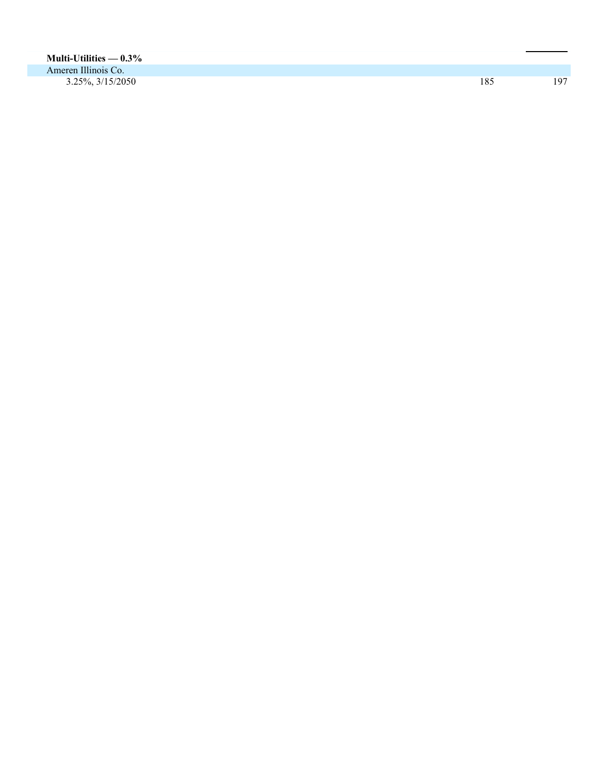| Multi-Utilities — $0.3\%$   |     |     |
|-----------------------------|-----|-----|
| Ameren Illinois Co.         |     |     |
| $3.25\%, \frac{3}{15/2050}$ | 185 | 197 |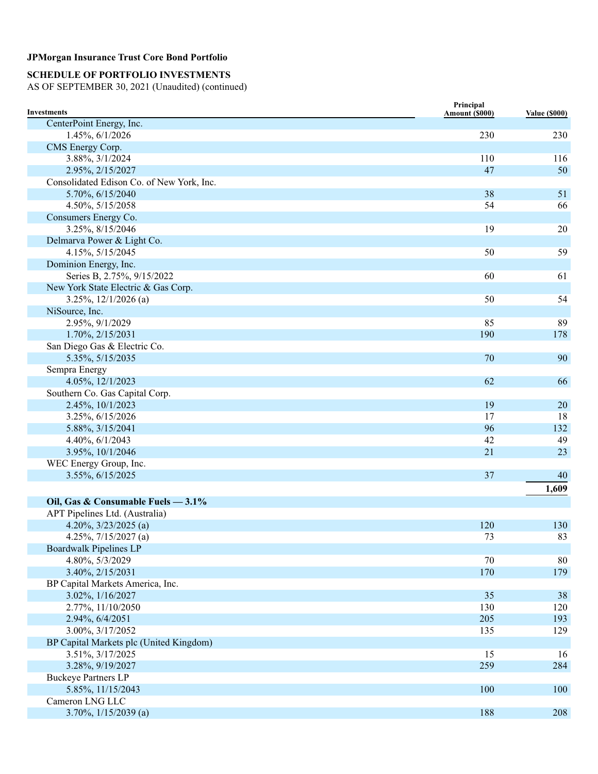### **SCHEDULE OF PORTFOLIO INVESTMENTS**

| <b>Investments</b>                        | Principal<br>Amount (\$000) | <b>Value (\$000)</b> |
|-------------------------------------------|-----------------------------|----------------------|
| CenterPoint Energy, Inc.                  |                             |                      |
| 1.45%, 6/1/2026                           | 230                         | 230                  |
| CMS Energy Corp.                          |                             |                      |
| 3.88%, 3/1/2024                           | 110                         | 116                  |
| 2.95%, 2/15/2027                          | 47                          | 50                   |
| Consolidated Edison Co. of New York, Inc. |                             |                      |
| 5.70%, 6/15/2040                          | 38                          | 51                   |
| 4.50%, 5/15/2058                          | 54                          | 66                   |
| Consumers Energy Co.                      |                             |                      |
| 3.25%, 8/15/2046                          | 19                          | 20                   |
| Delmarva Power & Light Co.                |                             |                      |
| 4.15%, 5/15/2045                          | 50                          | 59                   |
| Dominion Energy, Inc.                     |                             |                      |
| Series B, 2.75%, 9/15/2022                | 60                          | 61                   |
| New York State Electric & Gas Corp.       |                             |                      |
| $3.25\%, 12/1/2026$ (a)                   | 50                          | 54                   |
| NiSource, Inc.                            |                             |                      |
| 2.95%, 9/1/2029                           | 85                          | 89                   |
| 1.70%, 2/15/2031                          | 190                         | 178                  |
| San Diego Gas & Electric Co.              |                             |                      |
| 5.35%, 5/15/2035                          | 70                          | 90                   |
| Sempra Energy                             |                             |                      |
| 4.05%, 12/1/2023                          | 62                          | 66                   |
| Southern Co. Gas Capital Corp.            |                             |                      |
| 2.45%, 10/1/2023                          | 19                          | 20                   |
| 3.25%, 6/15/2026                          | 17                          | 18                   |
| 5.88%, 3/15/2041                          | 96                          | 132                  |
| 4.40%, 6/1/2043                           | 42                          | 49                   |
| 3.95%, 10/1/2046                          | 21                          | 23                   |
| WEC Energy Group, Inc.                    |                             |                      |
| 3.55%, 6/15/2025                          | 37                          | 40                   |
|                                           |                             | 1,609                |
| Oil, Gas & Consumable Fuels - 3.1%        |                             |                      |
| APT Pipelines Ltd. (Australia)            |                             |                      |
| 4.20%, $3/23/2025$ (a)                    | 120                         | 130                  |
| 4.25%, 7/15/2027 (a)                      | 73                          | 83                   |
| <b>Boardwalk Pipelines LP</b>             |                             |                      |
| 4.80%, 5/3/2029                           | 70                          | 80                   |
| 3.40%, 2/15/2031                          | 170                         | 179                  |
| BP Capital Markets America, Inc.          |                             |                      |
| 3.02%, 1/16/2027                          | 35                          | 38                   |
| 2.77%, 11/10/2050                         | 130                         | 120                  |
| 2.94%, 6/4/2051                           | 205                         | 193                  |
| 3.00%, 3/17/2052                          | 135                         | 129                  |
| BP Capital Markets plc (United Kingdom)   |                             |                      |
| 3.51%, 3/17/2025                          | 15                          | 16                   |
| 3.28%, 9/19/2027                          | 259                         | 284                  |
| <b>Buckeye Partners LP</b>                |                             |                      |
| 5.85%, 11/15/2043                         | 100                         | 100                  |
| Cameron LNG LLC                           |                             |                      |
| $3.70\%, 1/15/2039$ (a)                   | 188                         | 208                  |
|                                           |                             |                      |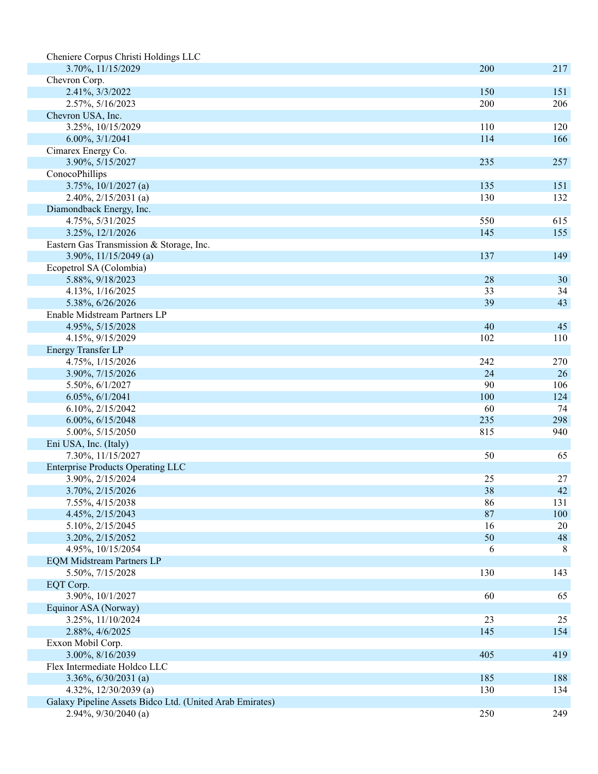| Cheniere Corpus Christi Holdings LLC                     |            |     |
|----------------------------------------------------------|------------|-----|
| 3.70%, 11/15/2029                                        | 200        | 217 |
| Chevron Corp.                                            |            |     |
| 2.41%, 3/3/2022                                          | 150        | 151 |
| 2.57%, 5/16/2023                                         | 200        | 206 |
| Chevron USA, Inc.                                        |            |     |
| 3.25%, 10/15/2029                                        | 110        | 120 |
| $6.00\%, 3/1/2041$                                       | 114        | 166 |
| Cimarex Energy Co.                                       |            |     |
| 3.90%, 5/15/2027                                         | 235        | 257 |
| ConocoPhillips                                           |            |     |
| 3.75%, 10/1/2027 (a)                                     | 135        | 151 |
| $2.40\%, 2/15/2031$ (a)                                  | 130        | 132 |
| Diamondback Energy, Inc.                                 |            |     |
| 4.75%, 5/31/2025                                         | 550        | 615 |
| 3.25%, 12/1/2026                                         | 145        | 155 |
| Eastern Gas Transmission & Storage, Inc.                 |            |     |
| 3.90%, $11/15/2049$ (a)                                  | 137        | 149 |
| Ecopetrol SA (Colombia)                                  |            |     |
| 5.88%, 9/18/2023                                         | 28         | 30  |
| 4.13%, 1/16/2025                                         | 33         | 34  |
| 5.38%, 6/26/2026                                         | 39         | 43  |
| Enable Midstream Partners LP                             |            |     |
| 4.95%, 5/15/2028                                         | 40         | 45  |
| 4.15%, 9/15/2029                                         | 102        | 110 |
| Energy Transfer LP                                       |            |     |
| 4.75%, 1/15/2026                                         | 242        | 270 |
| 3.90%, 7/15/2026                                         | 24         | 26  |
| 5.50%, 6/1/2027                                          | 90         | 106 |
| 6.05%, 6/1/2041                                          | 100        | 124 |
| 6.10%, 2/15/2042                                         | 60         | 74  |
| 6.00%, 6/15/2048                                         | 235        | 298 |
| 5.00%, 5/15/2050                                         | 815        | 940 |
| Eni USA, Inc. (Italy)                                    |            |     |
| 7.30%, 11/15/2027                                        | 50         | 65  |
| <b>Enterprise Products Operating LLC</b>                 |            |     |
| 3.90%, 2/15/2024                                         | 25         | 27  |
| 3.70%, 2/15/2026                                         | 38         | 42  |
| 7.55%, 4/15/2038                                         | 86         | 131 |
| 4.45%, 2/15/2043                                         | 87         | 100 |
| 5.10%, 2/15/2045                                         | 16         | 20  |
| 3.20%, 2/15/2052                                         | 50         | 48  |
| 4.95%, 10/15/2054                                        | 6          | 8   |
| <b>EQM Midstream Partners LP</b>                         | 130        |     |
| 5.50%, 7/15/2028                                         |            | 143 |
| EQT Corp.<br>3.90%, 10/1/2027                            | 60         | 65  |
| Equinor ASA (Norway)                                     |            |     |
|                                                          | 23         | 25  |
| 3.25%, 11/10/2024                                        |            |     |
| 2.88%, 4/6/2025                                          | 145        | 154 |
| Exxon Mobil Corp.<br>3.00%, 8/16/2039                    | 405        | 419 |
| Flex Intermediate Holdco LLC                             |            |     |
| $3.36\%, 6/30/2031$ (a)                                  |            | 188 |
| 4.32%, $12/30/2039$ (a)                                  | 185<br>130 |     |
| Galaxy Pipeline Assets Bidco Ltd. (United Arab Emirates) |            | 134 |
| 2.94%, $9/30/2040$ (a)                                   | 250        | 249 |
|                                                          |            |     |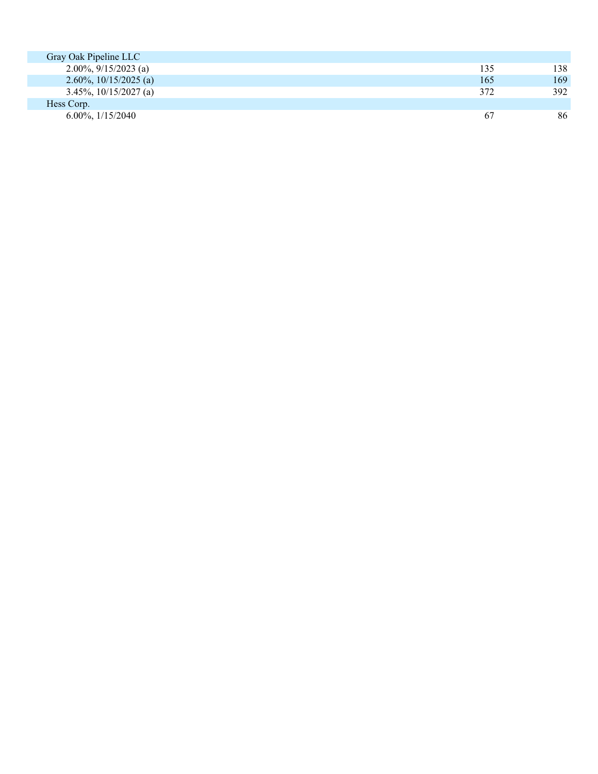| Gray Oak Pipeline LLC                                  |     |     |
|--------------------------------------------------------|-----|-----|
| 2.00%, $9/15/2023$ (a)                                 | 135 | 138 |
| 2.60\%, 10\times\) 15\times 2.60\; \end{squad 0.25 (a) | 165 | 169 |
| $3.45\%, 10/15/2027$ (a)                               | 372 | 392 |
| Hess Corp.                                             |     |     |
| $6.00\%$ , $1/15/2040$                                 | 67  | 86  |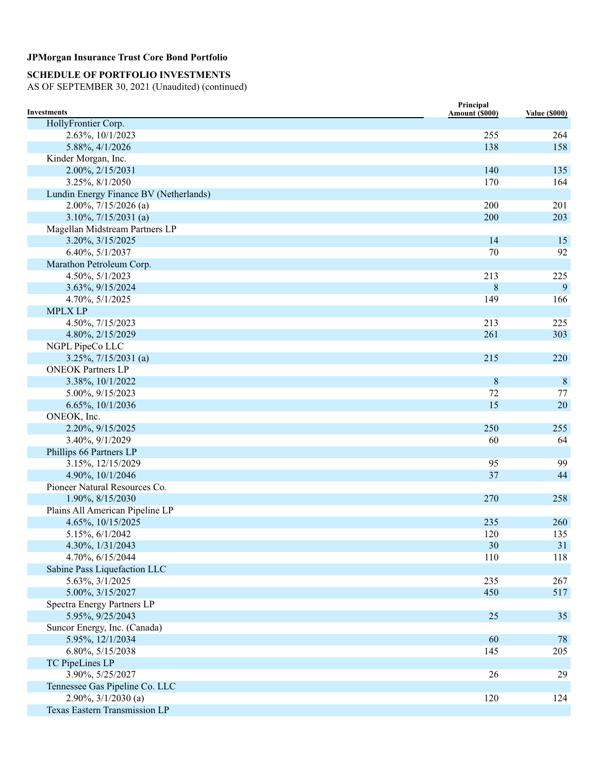# **SCHEDULE OF PORTFOLIO INVESTMENTS**

| <b>Investments</b>                             | Principal<br>Amount (\$000) | <b>Value (\$000)</b> |
|------------------------------------------------|-----------------------------|----------------------|
| HollyFrontier Corp.                            |                             |                      |
| 2.63%, 10/1/2023                               | 255                         | 264                  |
| 5.88%, 4/1/2026                                | 138                         | 158                  |
| Kinder Morgan, Inc.                            |                             |                      |
| 2.00%, 2/15/2031                               | 140                         | 135                  |
| 3.25%, 8/1/2050                                | 170                         | 164                  |
| Lundin Energy Finance BV (Netherlands)         |                             |                      |
| $2.00\%, 7/15/2026$ (a)                        | 200                         | 201                  |
| $3.10\%, 7/15/2031$ (a)                        | 200                         | 203                  |
| Magellan Midstream Partners LP                 |                             |                      |
| 3.20%, 3/15/2025                               | 14                          | 15                   |
| 6.40%, 5/1/2037                                | 70                          | 92                   |
| Marathon Petroleum Corp.                       |                             |                      |
| 4.50%, 5/1/2023                                | 213                         | 225                  |
| 3.63%, 9/15/2024                               | $8\phantom{1}$              | 9                    |
| 4.70%, 5/1/2025                                | 149                         | 166                  |
| <b>MPLX LP</b>                                 |                             |                      |
| 4.50%, 7/15/2023                               | 213                         | 225                  |
| 4.80%, 2/15/2029                               | 261                         | 303                  |
| NGPL PipeCo LLC                                |                             |                      |
| $3.25\%, 7/15/2031$ (a)                        | 215                         | 220                  |
| <b>ONEOK Partners LP</b>                       |                             |                      |
| 3.38%, 10/1/2022                               | $\,8\,$                     | $\, 8$               |
| 5.00%, 9/15/2023                               | 72                          | 77                   |
| 6.65%, 10/1/2036                               | 15                          | 20                   |
| ONEOK, Inc.                                    |                             |                      |
| 2.20%, 9/15/2025                               | 250                         | 255                  |
| 3.40%, 9/1/2029                                | 60                          | 64                   |
| Phillips 66 Partners LP                        |                             |                      |
| 3.15%, 12/15/2029                              | 95                          | 99                   |
| 4.90%, 10/1/2046                               | 37                          | 44                   |
| Pioneer Natural Resources Co.                  |                             |                      |
| 1.90%, 8/15/2030                               | 270                         | 258                  |
| Plains All American Pipeline LP                |                             |                      |
| 4.65%, 10/15/2025                              | 235                         | 260                  |
| 5.15%, 6/1/2042                                | 120                         | 135                  |
| 4.30%, 1/31/2043                               | 30                          | 31                   |
| 4.70%, 6/15/2044                               | 110                         | 118                  |
| Sabine Pass Liquefaction LLC                   |                             |                      |
| 5.63%, 3/1/2025<br>5.00%, 3/15/2027            | 235                         | 267                  |
|                                                | 450                         | 517                  |
| Spectra Energy Partners LP<br>5.95%, 9/25/2043 | 25                          | 35                   |
| Suncor Energy, Inc. (Canada)                   |                             |                      |
| 5.95%, 12/1/2034                               | 60                          | 78                   |
| 6.80%, 5/15/2038                               | 145                         | 205                  |
| TC PipeLines LP                                |                             |                      |
| 3.90%, 5/25/2027                               | 26                          | 29                   |
| Tennessee Gas Pipeline Co. LLC                 |                             |                      |
| $2.90\%, 3/1/2030$ (a)                         | 120                         | 124                  |
| Texas Eastern Transmission LP                  |                             |                      |
|                                                |                             |                      |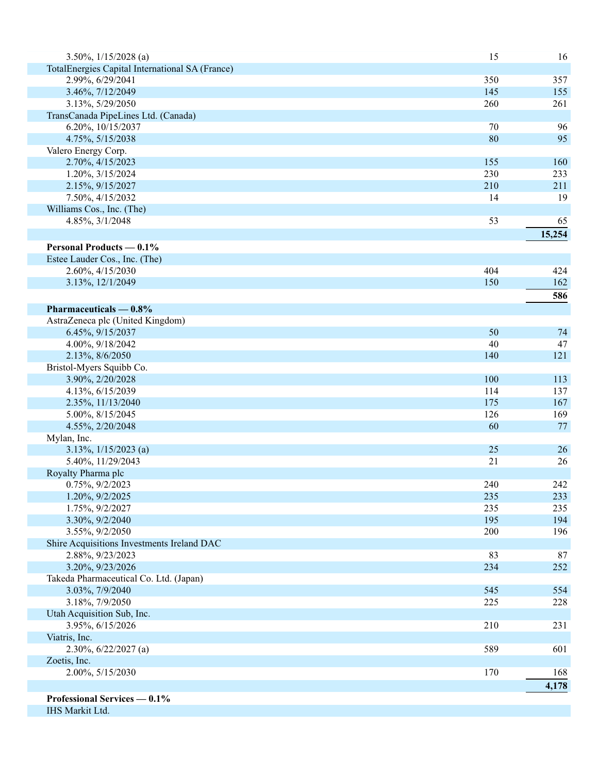| 3.50%, $1/15/2028$ (a)                          | 15  | 16     |
|-------------------------------------------------|-----|--------|
| TotalEnergies Capital International SA (France) |     |        |
| 2.99%, 6/29/2041                                | 350 | 357    |
| 3.46%, 7/12/2049                                | 145 | 155    |
| 3.13%, 5/29/2050                                | 260 | 261    |
| TransCanada PipeLines Ltd. (Canada)             |     |        |
| 6.20%, 10/15/2037                               | 70  | 96     |
| 4.75%, 5/15/2038                                | 80  | 95     |
| Valero Energy Corp.                             |     |        |
| 2.70%, 4/15/2023                                | 155 | 160    |
| 1.20%, 3/15/2024                                | 230 | 233    |
| 2.15%, 9/15/2027                                | 210 | 211    |
| 7.50%, 4/15/2032                                | 14  | 19     |
| Williams Cos., Inc. (The)                       |     |        |
| 4.85%, 3/1/2048                                 | 53  | 65     |
|                                                 |     | 15,254 |
| <b>Personal Products — 0.1%</b>                 |     |        |
| Estee Lauder Cos., Inc. (The)                   |     |        |
| 2.60%, 4/15/2030                                | 404 | 424    |
|                                                 | 150 | 162    |
| 3.13%, 12/1/2049                                |     |        |
|                                                 |     | 586    |
| Pharmaceuticals $-0.8\%$                        |     |        |
| AstraZeneca plc (United Kingdom)                |     |        |
| 6.45%, 9/15/2037                                | 50  | 74     |
| 4.00%, 9/18/2042                                | 40  | 47     |
| 2.13%, 8/6/2050                                 | 140 | 121    |
| Bristol-Myers Squibb Co.                        |     |        |
| 3.90%, 2/20/2028                                | 100 | 113    |
| 4.13%, 6/15/2039                                | 114 | 137    |
| 2.35%, 11/13/2040                               | 175 | 167    |
| 5.00%, 8/15/2045                                | 126 | 169    |
| 4.55%, 2/20/2048                                | 60  | 77     |
| Mylan, Inc.                                     |     |        |
| $3.13\%, \frac{1}{15/2023}$ (a)                 | 25  | 26     |
| 5.40%, 11/29/2043                               | 21  | 26     |
| Royalty Pharma plc                              |     |        |
| 0.75%, 9/2/2023                                 | 240 | 242    |
| 1.20%, 9/2/2025                                 | 235 | 233    |
| 1.75%, 9/2/2027                                 | 235 | 235    |
| 3.30%, 9/2/2040                                 | 195 | 194    |
| 3.55%, 9/2/2050                                 | 200 | 196    |
| Shire Acquisitions Investments Ireland DAC      |     |        |
| 2.88%, 9/23/2023                                | 83  | 87     |
| 3.20%, 9/23/2026                                | 234 | 252    |
| Takeda Pharmaceutical Co. Ltd. (Japan)          |     |        |
| 3.03%, 7/9/2040                                 | 545 | 554    |
| 3.18%, 7/9/2050                                 | 225 | 228    |
| Utah Acquisition Sub, Inc.                      |     |        |
| 3.95%, 6/15/2026                                | 210 | 231    |
| Viatris, Inc.                                   |     |        |
| $2.30\%, 6/22/2027$ (a)                         | 589 | 601    |
| Zoetis, Inc.                                    |     |        |
| 2.00%, 5/15/2030                                | 170 | 168    |
|                                                 |     | 4,178  |
| Professional Services - 0.1%                    |     |        |
| IHS Markit Ltd.                                 |     |        |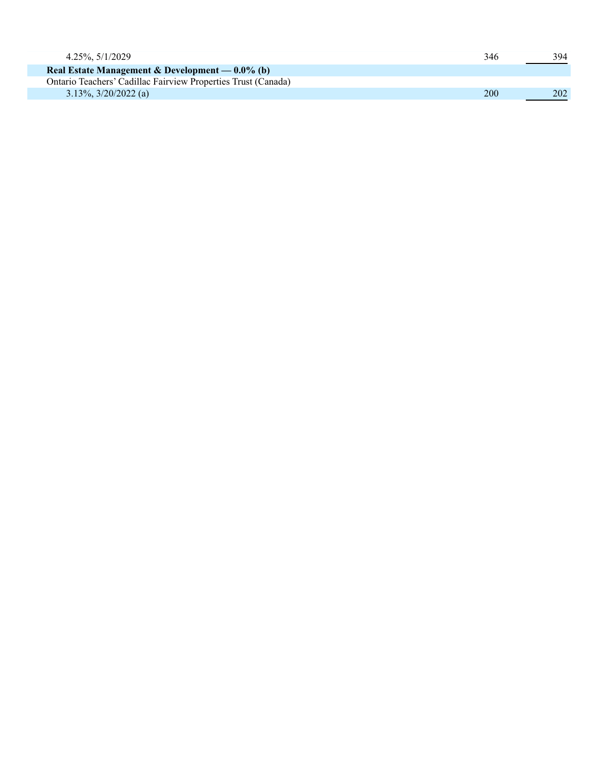| 4.25%, 5/1/2029                                               | 346 | 394 |
|---------------------------------------------------------------|-----|-----|
| Real Estate Management & Development — $0.0\%$ (b)            |     |     |
| Ontario Teachers' Cadillac Fairview Properties Trust (Canada) |     |     |
| $3.13\%$ , $3/20/2022$ (a)                                    | 200 | 202 |
|                                                               |     |     |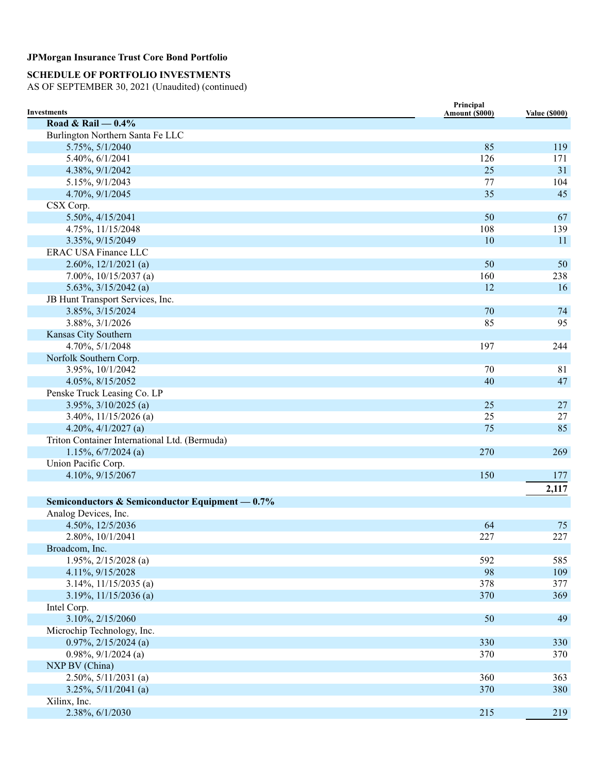## **SCHEDULE OF PORTFOLIO INVESTMENTS**

| <b>Investments</b>                              | Principal<br>Amount (\$000) | <b>Value (\$000)</b> |
|-------------------------------------------------|-----------------------------|----------------------|
| Road & Rail $-0.4\%$                            |                             |                      |
| Burlington Northern Santa Fe LLC                |                             |                      |
| 5.75%, 5/1/2040                                 | 85                          | 119                  |
| 5.40%, 6/1/2041                                 | 126                         | 171                  |
| 4.38%, 9/1/2042                                 | 25                          | 31                   |
| 5.15%, 9/1/2043                                 | 77                          | 104                  |
| 4.70%, 9/1/2045                                 | 35                          | 45                   |
| CSX Corp.                                       |                             |                      |
| 5.50%, 4/15/2041                                | 50                          | 67                   |
| 4.75%, 11/15/2048                               | 108                         | 139                  |
| 3.35%, 9/15/2049                                | 10                          | 11                   |
| <b>ERAC USA Finance LLC</b>                     |                             |                      |
| 2.60%, $12/1/2021$ (a)                          | 50                          | 50                   |
| 7.00%, $10/15/2037$ (a)                         | 160                         | 238                  |
| $5.63\%, 3/15/2042$ (a)                         | 12                          | 16                   |
| JB Hunt Transport Services, Inc.                |                             |                      |
| 3.85%, 3/15/2024                                | 70                          | 74                   |
| 3.88%, 3/1/2026                                 | 85                          | 95                   |
| Kansas City Southern                            |                             |                      |
| 4.70%, 5/1/2048                                 | 197                         | 244                  |
| Norfolk Southern Corp.                          |                             |                      |
| 3.95%, 10/1/2042                                | 70                          | 81                   |
| 4.05%, 8/15/2052                                | 40                          | 47                   |
| Penske Truck Leasing Co. LP                     |                             |                      |
| $3.95\%, \frac{3}{10/2025}$ (a)                 | 25                          | $27\,$               |
| 3.40%, $11/15/2026$ (a)                         | 25                          | 27                   |
| 4.20%, $4/1/2027$ (a)                           | 75                          | 85                   |
| Triton Container International Ltd. (Bermuda)   |                             |                      |
| $1.15\%, 6/7/2024$ (a)                          | 270                         | 269                  |
| Union Pacific Corp.                             |                             |                      |
| 4.10%, 9/15/2067                                | 150                         | 177                  |
|                                                 |                             | 2,117                |
|                                                 |                             |                      |
| Semiconductors & Semiconductor Equipment — 0.7% |                             |                      |
| Analog Devices, Inc.                            |                             |                      |
| 4.50%, 12/5/2036                                | 64                          | 75                   |
| 2.80%, 10/1/2041                                | 227                         | 227                  |
| Broadcom, Inc.                                  |                             |                      |
| $1.95\%, 2/15/2028$ (a)                         | 592                         | 585                  |
| 4.11%, 9/15/2028                                | 98                          | 109                  |
| $3.14\%, 11/15/2035$ (a)                        | 378                         | 377                  |
| 3.19%, $11/15/2036$ (a)                         | 370                         | 369                  |
| Intel Corp.                                     |                             |                      |
| 3.10%, 2/15/2060                                | 50                          | 49                   |
| Microchip Technology, Inc.                      |                             |                      |
| $0.97\%, 2/15/2024$ (a)                         | 330                         | 330                  |
| $0.98\%, 9/1/2024$ (a)                          | 370                         | 370                  |
| NXP BV (China)                                  |                             |                      |
| $2.50\%, 5/11/2031$ (a)                         | 360                         | 363                  |
| $3.25\%, 5/11/2041$ (a)                         | 370                         | 380                  |
| Xilinx, Inc.                                    |                             |                      |
| 2.38%, 6/1/2030                                 | 215                         | 219                  |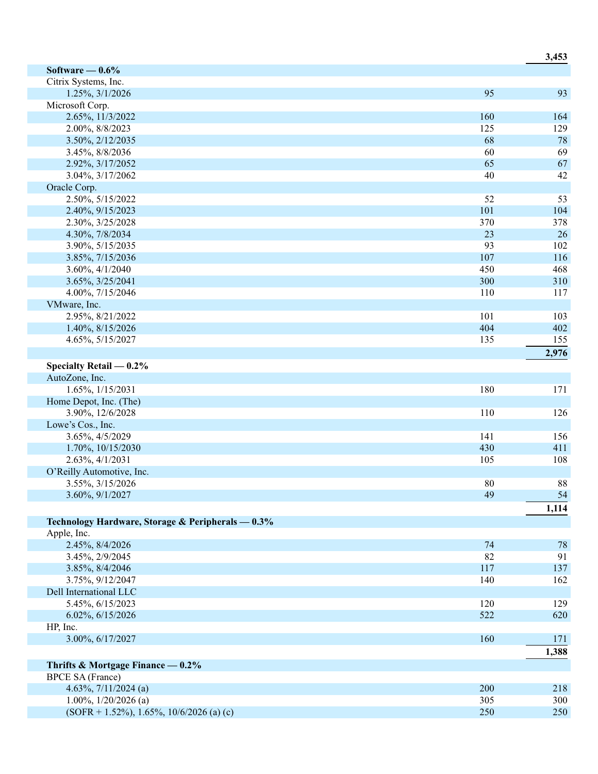|                                                   |     | J,49J |
|---------------------------------------------------|-----|-------|
| Software $-0.6\%$                                 |     |       |
| Citrix Systems, Inc.                              |     |       |
| 1.25%, 3/1/2026                                   | 95  | 93    |
| Microsoft Corp.                                   |     |       |
| 2.65%, 11/3/2022                                  | 160 | 164   |
| 2.00%, 8/8/2023                                   | 125 | 129   |
| 3.50%, 2/12/2035                                  | 68  | 78    |
| 3.45%, 8/8/2036                                   | 60  | 69    |
| 2.92%, 3/17/2052                                  | 65  | 67    |
| 3.04%, 3/17/2062                                  | 40  | 42    |
| Oracle Corp.                                      |     |       |
| 2.50%, 5/15/2022                                  | 52  | 53    |
| 2.40%, 9/15/2023                                  | 101 | 104   |
| 2.30%, 3/25/2028                                  | 370 | 378   |
| 4.30%, 7/8/2034                                   | 23  | 26    |
| 3.90%, 5/15/2035                                  | 93  | 102   |
| 3.85%, 7/15/2036                                  | 107 | 116   |
| 3.60%, 4/1/2040                                   | 450 | 468   |
| 3.65%, 3/25/2041                                  | 300 | 310   |
| 4.00%, 7/15/2046                                  | 110 | 117   |
| VMware, Inc.                                      |     |       |
| 2.95%, 8/21/2022                                  | 101 | 103   |
| 1.40%, 8/15/2026                                  | 404 | 402   |
| 4.65%, 5/15/2027                                  | 135 | 155   |
|                                                   |     | 2,976 |
| Specialty Retail $-0.2\%$                         |     |       |
| AutoZone, Inc.                                    |     |       |
| 1.65%, 1/15/2031                                  | 180 | 171   |
| Home Depot, Inc. (The)                            |     |       |
| 3.90%, 12/6/2028                                  | 110 | 126   |
| Lowe's Cos., Inc.                                 |     |       |
| 3.65%, 4/5/2029                                   | 141 | 156   |
| 1.70%, 10/15/2030                                 | 430 | 411   |
| 2.63%, 4/1/2031                                   | 105 | 108   |
| O'Reilly Automotive, Inc.                         |     |       |
| 3.55%, 3/15/2026                                  | 80  | 88    |
| 3.60%, 9/1/2027                                   | 49  | 54    |
|                                                   |     | 1,114 |
| Technology Hardware, Storage & Peripherals - 0.3% |     |       |
| Apple, Inc.                                       |     |       |
| 2.45%, 8/4/2026                                   | 74  | 78    |
| 3.45%, 2/9/2045                                   | 82  | 91    |
| 3.85%, 8/4/2046                                   | 117 | 137   |
| 3.75%, 9/12/2047                                  | 140 | 162   |
| Dell International LLC                            |     |       |
| 5.45%, 6/15/2023                                  | 120 | 129   |
| 6.02%, 6/15/2026                                  | 522 | 620   |
| HP, Inc.                                          |     |       |
| 3.00%, 6/17/2027                                  | 160 | 171   |
|                                                   |     | 1,388 |
| Thrifts & Mortgage Finance $-0.2\%$               |     |       |
| <b>BPCE SA (France)</b>                           |     |       |
| 4.63%, $7/11/2024$ (a)                            | 200 | 218   |
| $1.00\%, 1/20/2026$ (a)                           | 305 | 300   |
| $(SOFR + 1.52\%), 1.65\%, 10/6/2026$ (a) (c)      | 250 | 250   |
|                                                   |     |       |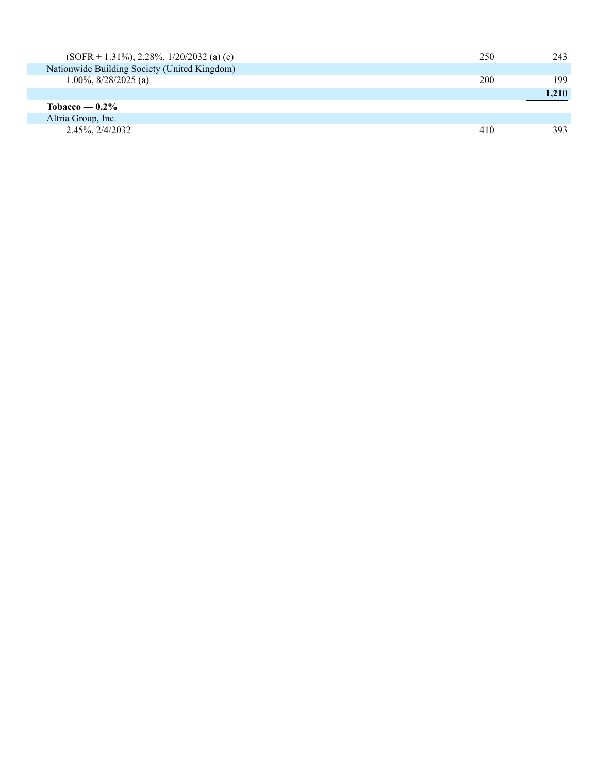| $(SOFR + 1.31\%), 2.28\%, 1/20/2032$ (a) (c) | 250 | 243   |
|----------------------------------------------|-----|-------|
| Nationwide Building Society (United Kingdom) |     |       |
| 1.00%, $8/28/2025$ (a)                       | 200 | 199   |
|                                              |     | 1.210 |
| Tobacco — $0.2\%$                            |     |       |
| Altria Group, Inc.                           |     |       |
| 2.45%, 2/4/2032                              | 410 | 393   |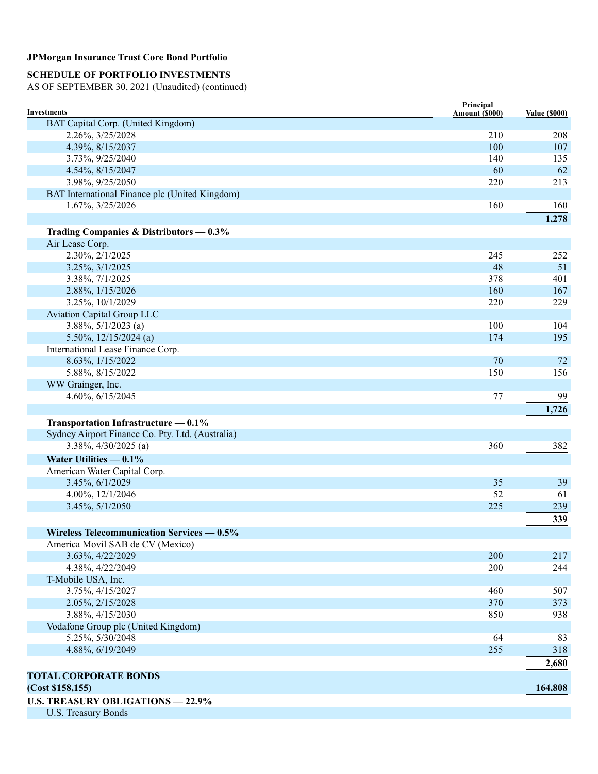## **SCHEDULE OF PORTFOLIO INVESTMENTS**

| Investments                                      | Principal<br>Amount (\$000) | <b>Value (\$000)</b> |
|--------------------------------------------------|-----------------------------|----------------------|
| BAT Capital Corp. (United Kingdom)               |                             |                      |
| 2.26%, 3/25/2028                                 | 210                         | 208                  |
| 4.39%, 8/15/2037                                 | 100                         | 107                  |
| 3.73%, 9/25/2040                                 | 140                         | 135                  |
| 4.54%, 8/15/2047                                 | 60                          | 62                   |
| 3.98%, 9/25/2050                                 | 220                         | 213                  |
| BAT International Finance plc (United Kingdom)   |                             |                      |
| 1.67%, 3/25/2026                                 | 160                         | 160                  |
|                                                  |                             | 1,278                |
| Trading Companies & Distributors $-0.3\%$        |                             |                      |
| Air Lease Corp.                                  |                             |                      |
| 2.30%, 2/1/2025                                  | 245                         | 252                  |
| 3.25%, 3/1/2025                                  | 48                          | 51                   |
| 3.38%, 7/1/2025                                  | 378                         | 401                  |
| 2.88%, 1/15/2026                                 | 160                         | 167                  |
| 3.25%, 10/1/2029                                 | 220                         | 229                  |
| <b>Aviation Capital Group LLC</b>                |                             |                      |
| $3.88\%, 5/1/2023$ (a)                           | 100                         | 104                  |
| 5.50%, $12/15/2024$ (a)                          | 174                         | 195                  |
| International Lease Finance Corp.                |                             |                      |
| 8.63%, 1/15/2022                                 | 70                          | 72                   |
| 5.88%, 8/15/2022                                 | 150                         | 156                  |
| WW Grainger, Inc.                                |                             |                      |
| 4.60%, 6/15/2045                                 | 77                          | 99                   |
|                                                  |                             | 1,726                |
| Transportation Infrastructure - 0.1%             |                             |                      |
| Sydney Airport Finance Co. Pty. Ltd. (Australia) |                             |                      |
| $3.38\%, \frac{4}{30/2025}$ (a)                  | 360                         | 382                  |
| Water Utilities $-0.1\%$                         |                             |                      |
| American Water Capital Corp.                     |                             |                      |
| 3.45%, 6/1/2029                                  | 35                          | 39                   |
| 4.00%, 12/1/2046                                 | 52                          | 61                   |
| 3.45%, 5/1/2050                                  | 225                         | 239                  |
|                                                  |                             | 339                  |
|                                                  |                             |                      |
| Wireless Telecommunication Services - 0.5%       |                             |                      |
| America Movil SAB de CV (Mexico)                 | 200                         | 217                  |
| 3.63%, 4/22/2029<br>4.38%, 4/22/2049             | 200                         | 244                  |
| T-Mobile USA, Inc.                               |                             |                      |
| 3.75%, 4/15/2027                                 | 460                         | 507                  |
| 2.05%, 2/15/2028                                 | 370                         | 373                  |
| 3.88%, 4/15/2030                                 | 850                         | 938                  |
| Vodafone Group plc (United Kingdom)              |                             |                      |
| 5.25%, 5/30/2048                                 | 64                          | 83                   |
| 4.88%, 6/19/2049                                 | 255                         | 318                  |
|                                                  |                             | 2,680                |
|                                                  |                             |                      |
| <b>TOTAL CORPORATE BONDS</b>                     |                             |                      |
| (Cost \$158, 155)                                |                             | 164,808              |
| <b>U.S. TREASURY OBLIGATIONS - 22.9%</b>         |                             |                      |
| <b>U.S. Treasury Bonds</b>                       |                             |                      |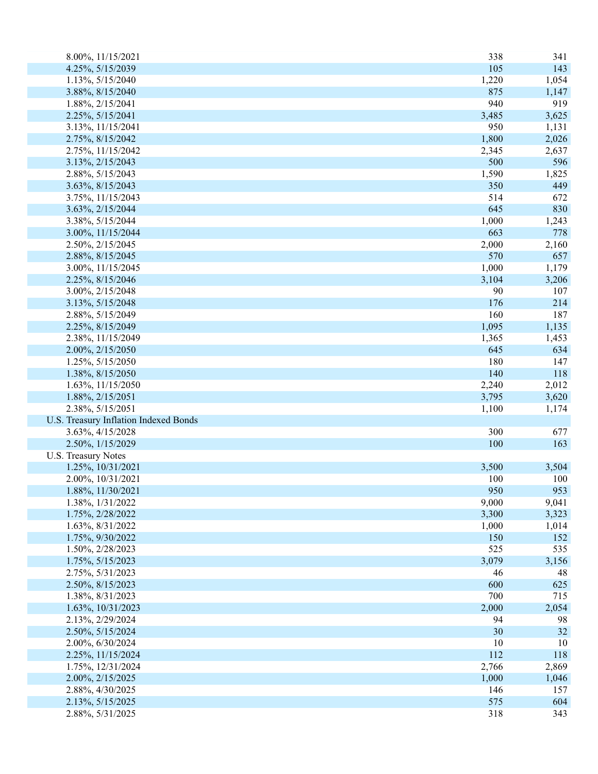| 8.00%, 11/15/2021                     | 338   | 341        |
|---------------------------------------|-------|------------|
| 4.25%, 5/15/2039                      | 105   | 143        |
| 1.13%, 5/15/2040                      | 1,220 | 1,054      |
| 3.88%, 8/15/2040                      | 875   | 1,147      |
| 1.88%, 2/15/2041                      | 940   | 919        |
| 2.25%, 5/15/2041                      | 3,485 | 3,625      |
| 3.13%, 11/15/2041                     | 950   | 1,131      |
| 2.75%, 8/15/2042                      | 1,800 | 2,026      |
| 2.75%, 11/15/2042                     | 2,345 | 2,637      |
| 3.13%, 2/15/2043                      | 500   | 596        |
| 2.88%, 5/15/2043                      | 1,590 | 1,825      |
| 3.63%, 8/15/2043                      | 350   | 449        |
| 3.75%, 11/15/2043                     | 514   | 672        |
| 3.63%, 2/15/2044                      | 645   | 830        |
| 3.38%, 5/15/2044                      | 1,000 | 1,243      |
| 3.00%, 11/15/2044                     | 663   | 778        |
| 2.50%, 2/15/2045                      | 2,000 | 2,160      |
| 2.88%, 8/15/2045                      | 570   | 657        |
| 3.00%, 11/15/2045                     | 1,000 | 1,179      |
| 2.25%, 8/15/2046                      | 3,104 | 3,206      |
| 3.00%, 2/15/2048                      | 90    | 107        |
| 3.13%, 5/15/2048                      | 176   | 214        |
| 2.88%, 5/15/2049                      | 160   | 187        |
| 2.25%, 8/15/2049                      | 1,095 | 1,135      |
| 2.38%, 11/15/2049                     | 1,365 | 1,453      |
| 2.00%, 2/15/2050                      | 645   | 634        |
| 1.25%, 5/15/2050                      | 180   | 147        |
| 1.38%, 8/15/2050                      | 140   | 118        |
|                                       | 2,240 | 2,012      |
| 1.63%, 11/15/2050                     |       |            |
| 1.88%, 2/15/2051                      | 3,795 | 3,620      |
| 2.38%, 5/15/2051                      | 1,100 | 1,174      |
| U.S. Treasury Inflation Indexed Bonds | 300   |            |
| 3.63%, 4/15/2028<br>2.50%, 1/15/2029  | 100   | 677<br>163 |
| <b>U.S. Treasury Notes</b>            |       |            |
|                                       |       |            |
| 1.25%, 10/31/2021                     | 3,500 | 3,504      |
| 2.00%, 10/31/2021                     | 100   | 100        |
| 1.88%, 11/30/2021                     | 950   | 953        |
| 1.38%, 1/31/2022                      | 9,000 | 9,041      |
| 1.75%, 2/28/2022                      | 3,300 | 3,323      |
| 1.63%, 8/31/2022                      | 1,000 | 1,014      |
| 1.75%, 9/30/2022                      | 150   | 152        |
| 1.50%, 2/28/2023                      | 525   | 535        |
| 1.75%, 5/15/2023                      | 3,079 | 3,156      |
| 2.75%, 5/31/2023                      | 46    | 48         |
| 2.50%, 8/15/2023                      | 600   | 625        |
| 1.38%, 8/31/2023                      | 700   | 715        |
| 1.63%, 10/31/2023                     | 2,000 | 2,054      |
| 2.13%, 2/29/2024                      | 94    | 98         |
| 2.50%, 5/15/2024                      | 30    | 32         |
| 2.00%, 6/30/2024                      | 10    | 10         |
| 2.25%, 11/15/2024                     | 112   | 118        |
| 1.75%, 12/31/2024                     | 2,766 | 2,869      |
| 2.00%, 2/15/2025                      | 1,000 | 1,046      |
| 2.88%, 4/30/2025                      | 146   | 157        |
| 2.13%, 5/15/2025                      | 575   | 604        |
| 2.88%, 5/31/2025                      | 318   | 343        |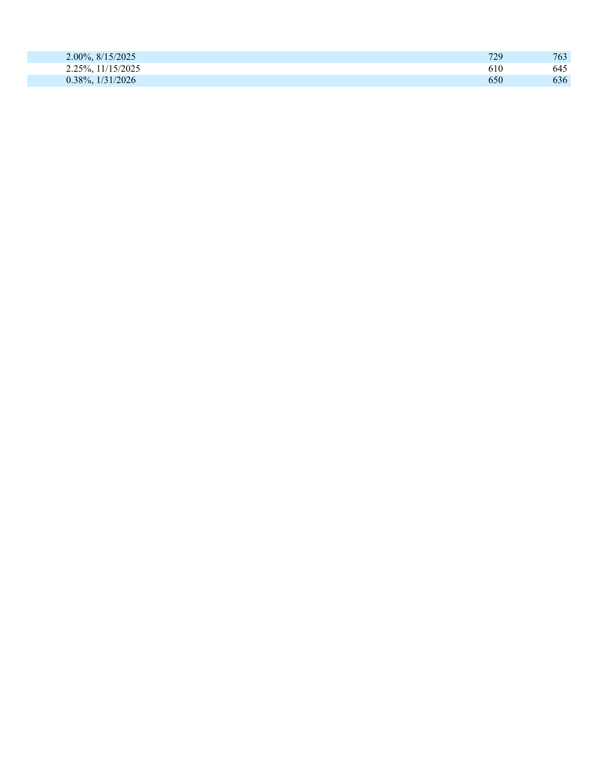| 2.00%, 8/15/2025    | 729 | 763 |
|---------------------|-----|-----|
| 2.25%, 11/15/2025   | 610 | 645 |
| $0.38\%, 1/31/2026$ | 650 | 636 |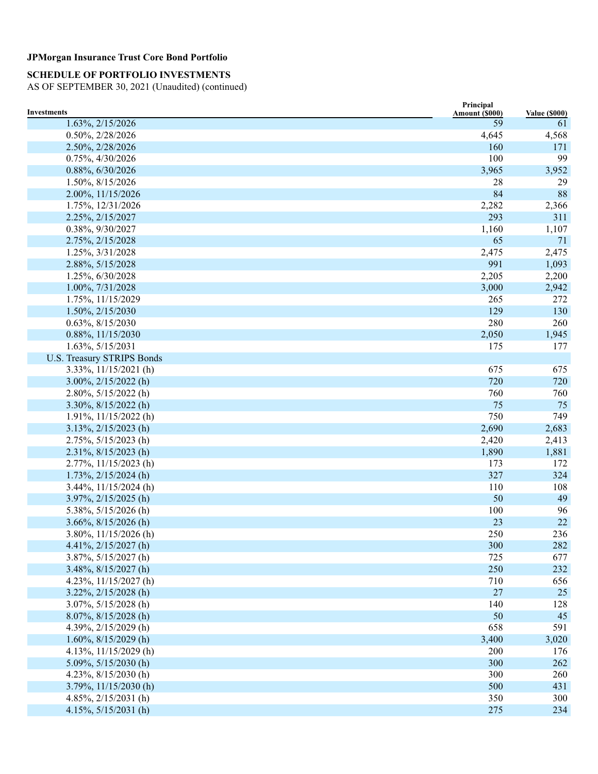# **SCHEDULE OF PORTFOLIO INVESTMENTS**

| <b>Investments</b>                | Principal<br>Amount (\$000) | <b>Value (\$000)</b> |
|-----------------------------------|-----------------------------|----------------------|
| 1.63%, 2/15/2026                  | 59                          | 61                   |
| 0.50%, 2/28/2026                  | 4,645                       | 4,568                |
| 2.50%, 2/28/2026                  | 160                         | 171                  |
| 0.75%, 4/30/2026                  | 100                         | 99                   |
| 0.88%, 6/30/2026                  | 3,965                       | 3,952                |
| 1.50%, 8/15/2026                  | 28                          | 29                   |
| 2.00%, 11/15/2026                 | 84                          | 88                   |
| 1.75%, 12/31/2026                 | 2,282                       | 2,366                |
| 2.25%, 2/15/2027                  | 293                         | 311                  |
| 0.38%, 9/30/2027                  | 1,160                       | 1,107                |
| 2.75%, 2/15/2028                  | 65                          | 71                   |
| 1.25%, 3/31/2028                  | 2,475                       | 2,475                |
| 2.88%, 5/15/2028                  | 991                         | 1,093                |
| 1.25%, 6/30/2028                  | 2,205                       | 2,200                |
| 1.00%, 7/31/2028                  | 3,000                       | 2,942                |
| 1.75%, 11/15/2029                 | 265                         | 272                  |
| 1.50%, 2/15/2030                  | 129                         | 130                  |
| 0.63%, 8/15/2030                  | 280                         | 260                  |
| 0.88%, 11/15/2030                 | 2,050                       | 1,945                |
| 1.63%, 5/15/2031                  | 175                         | 177                  |
| <b>U.S. Treasury STRIPS Bonds</b> |                             |                      |
| 3.33%, 11/15/2021 (h)             | 675                         | 675                  |
| $3.00\%, 2/15/2022$ (h)           | 720                         | 720                  |
| 2.80%, 5/15/2022 (h)              | 760                         | 760                  |
| $3.30\%, 8/15/2022$ (h)           | 75                          | 75                   |
| $1.91\%, 11/15/2022$ (h)          | 750                         | 749                  |
| $3.13\%, 2/15/2023$ (h)           | 2,690                       | 2,683                |
| 2.75%, 5/15/2023 (h)              | 2,420                       | 2,413                |
| 2.31%, 8/15/2023 (h)              | 1,890                       | 1,881                |
| 2.77%, 11/15/2023 (h)             | 173                         | 172                  |
| $1.73\%, 2/15/2024$ (h)           | 327                         | 324                  |
| $3.44\%, 11/15/2024$ (h)          | 110                         | 108                  |
| $3.97\%, 2/15/2025$ (h)           | 50                          | 49                   |
| 5.38%, 5/15/2026 (h)              | 100                         | 96                   |
| $3.66\%, 8/15/2026$ (h)           | 23                          | 22                   |
| $3.80\%, 11/15/2026$ (h)          | 250                         | 236                  |
| 4.41%, $2/15/2027$ (h)            | 300                         | 282                  |
| 3.87%, 5/15/2027 (h)              | 725                         | 677                  |
| $3.48\%, 8/15/2027$ (h)           | 250                         | 232                  |
| 4.23%, $11/15/2027$ (h)           | 710                         | 656                  |
| $3.22\%, 2/15/2028$ (h)           | 27                          | 25                   |
| $3.07\%, 5/15/2028$ (h)           | 140                         | 128                  |
| 8.07%, 8/15/2028 (h)              | 50                          | 45                   |
| 4.39%, 2/15/2029 (h)              | 658                         | 591                  |
| $1.60\%, 8/15/2029$ (h)           | 3,400                       | 3,020                |
| 4.13%, $11/15/2029$ (h)           | 200                         | 176                  |
| 5.09%, $5/15/2030$ (h)            | 300                         | 262                  |
| 4.23%, $8/15/2030$ (h)            | 300                         | 260                  |
| $3.79\%, 11/15/2030$ (h)          | 500                         | 431                  |
| 4.85%, $2/15/2031$ (h)            | 350                         | 300                  |
| 4.15%, 5/15/2031 (h)              | 275                         | 234                  |
|                                   |                             |                      |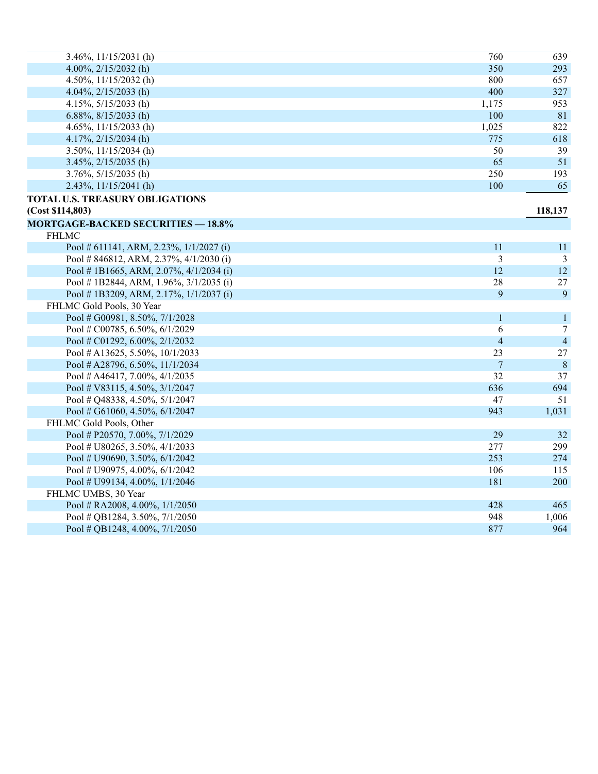| $3.46\%, 11/15/2031$ (h)                  | 760                      | 639             |
|-------------------------------------------|--------------------------|-----------------|
| 4.00%, $2/15/2032$ (h)                    | 350                      | 293             |
| 4.50%, $11/15/2032$ (h)                   | 800                      | 657             |
| 4.04%, $2/15/2033$ (h)                    | 400                      | 327             |
| 4.15%, $5/15/2033$ (h)                    | 1,175                    | 953             |
| 6.88%, $8/15/2033$ (h)                    | 100                      | 81              |
| 4.65%, $11/15/2033$ (h)                   | 1,025                    | 822             |
| 4.17%, $2/15/2034$ (h)                    | 775                      | 618             |
| $3.50\%, 11/15/2034$ (h)                  | 50                       | 39              |
| $3.45\%, 2/15/2035$ (h)                   | 65                       | 51              |
| $3.76\%, 5/15/2035$ (h)                   | 250                      | 193             |
| $2.43\%, 11/15/2041$ (h)                  | 100                      | 65              |
| TOTAL U.S. TREASURY OBLIGATIONS           |                          |                 |
| (Cost \$114,803)                          |                          | 118,137         |
| <b>MORTGAGE-BACKED SECURITIES - 18.8%</b> |                          |                 |
| <b>FHLMC</b>                              |                          |                 |
| Pool # 611141, ARM, 2.23%, 1/1/2027 (i)   | 11                       | 11              |
| Pool #846812, ARM, 2.37%, 4/1/2030 (i)    | 3                        | 3               |
| Pool #1B1665, ARM, 2.07%, 4/1/2034 (i)    | 12                       | 12              |
| Pool #1B2844, ARM, 1.96%, 3/1/2035 (i)    | 28                       | 27              |
| Pool #1B3209, ARM, 2.17%, 1/1/2037 (i)    | 9                        | 9               |
| FHLMC Gold Pools, 30 Year                 |                          |                 |
| Pool # G00981, 8.50%, 7/1/2028            | 1                        | $\mathbf{1}$    |
| Pool # C00785, 6.50%, 6/1/2029            | 6                        | $7\phantom{.0}$ |
| Pool # C01292, 6.00%, 2/1/2032            | $\overline{\mathcal{L}}$ | $\overline{4}$  |
| Pool # A13625, 5.50%, 10/1/2033           | 23                       | 27              |
| Pool # A28796, 6.50%, 11/1/2034           | $\overline{7}$           | $\,8\,$         |
| Pool # A46417, 7.00%, $4/1/2035$          | 32                       | 37              |
| Pool # $V83115$ , 4.50%, 3/1/2047         | 636                      | 694             |
| Pool # Q48338, 4.50%, 5/1/2047            | 47                       | 51              |
| Pool # G61060, 4.50%, 6/1/2047            | 943                      | 1,031           |
| FHLMC Gold Pools, Other                   |                          |                 |
| Pool # P20570, 7.00%, 7/1/2029            | 29                       | 32              |
| Pool # U80265, 3.50%, 4/1/2033            | 277                      | 299             |
| Pool # U90690, 3.50%, 6/1/2042            | 253                      | 274             |
| Pool # U90975, 4.00%, 6/1/2042            | 106                      | 115             |
| Pool # U99134, 4.00%, 1/1/2046            | 181                      | 200             |
| FHLMC UMBS, 30 Year                       |                          |                 |
| Pool # RA2008, 4.00%, 1/1/2050            | 428                      | 465             |
| Pool # QB1284, 3.50%, 7/1/2050            | 948                      | 1,006           |
| Pool # QB1248, 4.00%, 7/1/2050            | 877                      | 964             |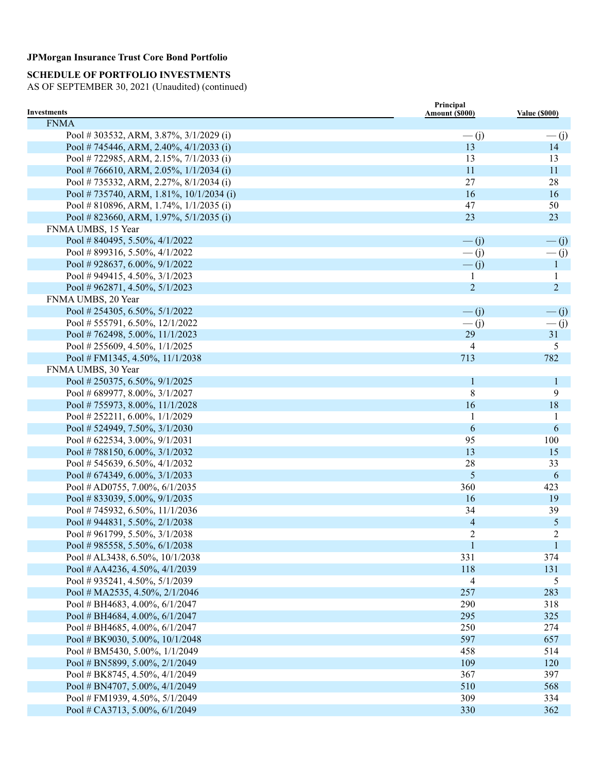# **SCHEDULE OF PORTFOLIO INVESTMENTS**

| <b>Investments</b>                        | Principal<br>Amount (\$000) | <b>Value (\$000)</b> |
|-------------------------------------------|-----------------------------|----------------------|
| <b>FNMA</b>                               |                             |                      |
| Pool #303532, ARM, 3.87%, 3/1/2029 (i)    | $\overline{-}$ (j)          | $\frac{(-1)^{n}}{2}$ |
| Pool # 745446, ARM, 2.40%, $4/1/2033$ (i) | 13                          | 14                   |
| Pool #722985, ARM, 2.15%, 7/1/2033 (i)    | 13                          | 13                   |
| Pool #766610, ARM, 2.05%, 1/1/2034 (i)    | 11                          | 11                   |
| Pool # 735332, ARM, 2.27%, 8/1/2034 (i)   | 27                          | 28                   |
| Pool #735740, ARM, 1.81%, 10/1/2034 (i)   | 16                          | 16                   |
| Pool # 810896, ARM, 1.74%, $1/1/2035$ (i) | 47                          | 50                   |
| Pool # 823660, ARM, 1.97%, 5/1/2035 (i)   | 23                          | 23                   |
| FNMA UMBS, 15 Year                        |                             |                      |
| Pool #840495, 5.50%, 4/1/2022             | $\overline{-}$ (j)          | $\frac{1}{1}$        |
| Pool #899316, 5.50%, 4/1/2022             | $-(j)$                      | $\overline{-}$ (j)   |
| Pool #928637, 6.00%, $9/1/2022$           | $-\overline{(j)}$           | $\mathbf{1}$         |
| Pool #949415, 4.50%, $3/1/2023$           | 1                           | $\mathbf{1}$         |
| Pool #962871, 4.50%, $5/1/2023$           | $\overline{2}$              | $\overline{2}$       |
| FNMA UMBS, 20 Year                        |                             |                      |
| Pool # 254305, 6.50%, $5/1/2022$          | $\overline{-}$ (j)          | $\frac{1}{1}$        |
| Pool # 555791, 6.50%, $12/1/2022$         | $-(j)$                      | $\frac{(-1)^{n}}{2}$ |
| Pool #762498, 5.00%, 11/1/2023            | 29                          | 31                   |
| Pool # 255609, 4.50%, $1/1/2025$          | 4                           | 5                    |
| Pool # FM1345, 4.50%, $11/1/2038$         | 713                         | 782                  |
| FNMA UMBS, 30 Year                        |                             |                      |
| Pool # 250375, 6.50%, $9/1/2025$          | $\mathbf{1}$                | $\mathbf{1}$         |
| Pool # 689977, 8.00%, 3/1/2027            | $\,8\,$                     | 9                    |
| Pool #755973, 8.00%, 11/1/2028            | 16                          | 18                   |
| Pool # 252211, 6.00%, $1/1/2029$          |                             | 1                    |
| Pool # 524949, 7.50%, $3/1/2030$          | 6                           | 6                    |
| Pool # 622534, 3.00%, $9/1/2031$          | 95                          | 100                  |
| Pool # 788150, 6.00%, $3/1/2032$          | 13                          | 15                   |
| Pool # 545639, 6.50%, $4/1/2032$          | 28                          | 33                   |
| Pool # 674349, 6.00%, $3/1/2033$          | 5                           | 6                    |
| Pool # AD0755, 7.00%, $6/1/2035$          | 360                         | 423                  |
| Pool #833039, 5.00%, $9/1/2035$           | 16                          | 19                   |
| Pool #745932, 6.50%, 11/1/2036            | 34                          | 39                   |
| Pool #944831, 5.50%, $2/1/2038$           | $\overline{\mathcal{A}}$    | $\mathfrak{H}$       |
| Pool #961799, 5.50%, 3/1/2038             | $\overline{c}$              | 2                    |
| Pool #985558, 5.50%, 6/1/2038             | $\mathbf{1}$                | 1                    |
| Pool # AL3438, 6.50%, $10/1/2038$         | 331                         | 374                  |
| Pool # AA4236, 4.50%, 4/1/2039            | 118                         | 131                  |
| Pool # 935241, 4.50%, $5/1/2039$          | 4                           | 5                    |
| Pool # MA2535, 4.50%, $2/1/2046$          | 257                         | 283                  |
| Pool # BH4683, 4.00%, 6/1/2047            | 290                         | 318                  |
| Pool # BH4684, 4.00%, $6/1/2047$          | 295                         | 325                  |
| Pool # BH4685, 4.00%, 6/1/2047            | 250                         | 274                  |
| Pool # BK9030, 5.00%, $10/1/2048$         | 597                         | 657                  |
| Pool # BM5430, 5.00%, 1/1/2049            | 458                         | 514                  |
| Pool # BN5899, 5.00%, 2/1/2049            | 109                         | 120                  |
| Pool # BK8745, 4.50%, 4/1/2049            | 367                         | 397                  |
| Pool # BN4707, 5.00%, $4/1/2049$          | 510                         | 568                  |
| Pool # FM1939, 4.50%, 5/1/2049            | 309                         | 334                  |
| Pool # CA3713, 5.00%, 6/1/2049            | 330                         | 362                  |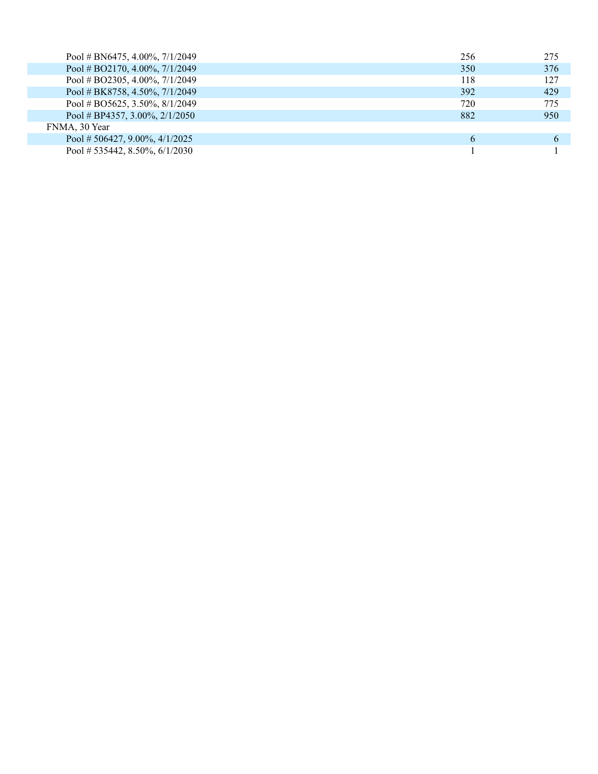| Pool # BN6475, 4.00%, $7/1/2049$ | 256 | 275 |
|----------------------------------|-----|-----|
| Pool # BO2170, 4.00%, $7/1/2049$ | 350 | 376 |
| Pool # BO2305, 4.00%, $7/1/2049$ | 118 | 127 |
| Pool # BK8758, 4.50%, 7/1/2049   | 392 | 429 |
| Pool # BO5625, 3.50%, $8/1/2049$ | 720 | 775 |
| Pool # BP4357, 3.00%, $2/1/2050$ | 882 | 950 |
| FNMA, 30 Year                    |     |     |
| Pool # 506427, 9.00%, 4/1/2025   | 6   |     |
| Pool # 535442, 8.50%, $6/1/2030$ |     |     |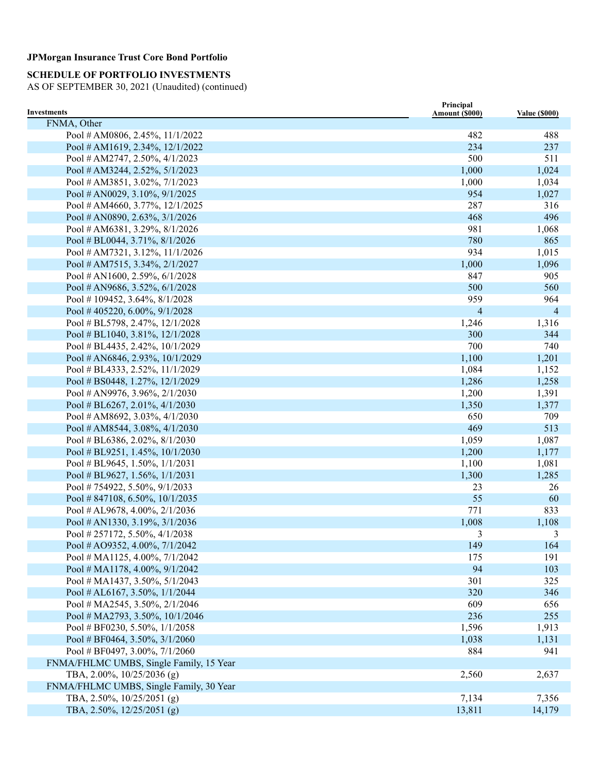# **SCHEDULE OF PORTFOLIO INVESTMENTS**

| Investments                             | Principal                |                      |
|-----------------------------------------|--------------------------|----------------------|
| FNMA, Other                             | Amount (\$000)           | <b>Value (\$000)</b> |
| Pool # AM0806, 2.45%, 11/1/2022         | 482                      | 488                  |
| Pool # AM1619, 2.34%, $12/1/2022$       | 234                      | 237                  |
| Pool # AM2747, 2.50%, 4/1/2023          | 500                      | 511                  |
| Pool # AM3244, 2.52%, 5/1/2023          | 1,000                    | 1,024                |
| Pool # AM3851, 3.02%, 7/1/2023          | 1,000                    | 1,034                |
| Pool # AN0029, 3.10%, $9/1/2025$        | 954                      | 1,027                |
| Pool # AM4660, 3.77%, 12/1/2025         | 287                      | 316                  |
| Pool # AN0890, 2.63%, $3/1/2026$        | 468                      | 496                  |
| Pool # AM6381, 3.29%, 8/1/2026          | 981                      | 1,068                |
| Pool # BL0044, 3.71%, 8/1/2026          | 780                      | 865                  |
| Pool # AM7321, 3.12%, 11/1/2026         | 934                      | 1,015                |
| Pool # AM7515, 3.34%, 2/1/2027          | 1,000                    | 1,096                |
| Pool # AN1600, 2.59%, $6/1/2028$        | 847                      | 905                  |
| Pool # AN9686, 3.52%, $6/1/2028$        | 500                      | 560                  |
| Pool #109452, 3.64%, 8/1/2028           | 959                      | 964                  |
| Pool #405220, 6.00%, $9/1/2028$         | $\overline{\mathcal{A}}$ | $\overline{4}$       |
| Pool # BL5798, 2.47%, 12/1/2028         | 1,246                    | 1,316                |
| Pool # BL1040, 3.81%, $12/1/2028$       | 300                      | 344                  |
| Pool # BL4435, 2.42%, $10/1/2029$       | 700                      | 740                  |
| Pool # AN6846, 2.93%, 10/1/2029         | 1,100                    | 1,201                |
| Pool # BL4333, 2.52%, 11/1/2029         | 1,084                    | 1,152                |
| Pool # BS0448, 1.27%, 12/1/2029         | 1,286                    | 1,258                |
| Pool # AN9976, 3.96%, $2/1/2030$        | 1,200                    | 1,391                |
| Pool # BL6267, 2.01%, $4/1/2030$        | 1,350                    | 1,377                |
| Pool # AM8692, 3.03%, 4/1/2030          | 650                      | 709                  |
| Pool # AM8544, 3.08%, $4/1/2030$        | 469                      | 513                  |
| Pool # BL6386, 2.02%, $8/1/2030$        | 1,059                    | 1,087                |
| Pool # BL9251, 1.45%, $10/1/2030$       | 1,200                    | 1,177                |
| Pool # BL9645, 1.50%, $1/1/2031$        | 1,100                    | 1,081                |
| Pool # BL9627, 1.56%, $1/1/2031$        | 1,300                    | 1,285                |
| Pool #754922, 5.50%, 9/1/2033           | 23                       | 26                   |
| Pool #847108, 6.50%, $10/1/2035$        | 55                       | 60                   |
| Pool # AL9678, 4.00%, 2/1/2036          | 771                      | 833                  |
| Pool # AN1330, 3.19%, 3/1/2036          | 1,008                    | 1,108                |
| Pool #257172, 5.50%, 4/1/2038           | 3                        | 3                    |
| Pool # AO9352, 4.00%, 7/1/2042          | 149                      | 164                  |
| Pool # MA1125, 4.00%, 7/1/2042          | 175                      | 191                  |
| Pool # MA1178, 4.00%, 9/1/2042          | 94                       | 103                  |
| Pool # MA1437, 3.50%, $5/1/2043$        | 301                      | 325                  |
| Pool # AL6167, 3.50%, 1/1/2044          | 320                      | 346                  |
| Pool # MA2545, 3.50%, 2/1/2046          | 609                      | 656                  |
| Pool # MA2793, 3.50%, 10/1/2046         | 236                      | 255                  |
| Pool # BF0230, 5.50%, 1/1/2058          | 1,596                    | 1,913                |
| Pool # BF0464, 3.50%, $3/1/2060$        | 1,038                    | 1,131                |
| Pool # BF0497, 3.00%, 7/1/2060          | 884                      | 941                  |
| FNMA/FHLMC UMBS, Single Family, 15 Year |                          |                      |
| TBA, 2.00%, 10/25/2036 (g)              | 2,560                    | 2,637                |
| FNMA/FHLMC UMBS, Single Family, 30 Year |                          |                      |
| TBA, 2.50%, 10/25/2051 (g)              | 7,134                    | 7,356                |
| TBA, 2.50%, 12/25/2051 (g)              | 13,811                   | 14,179               |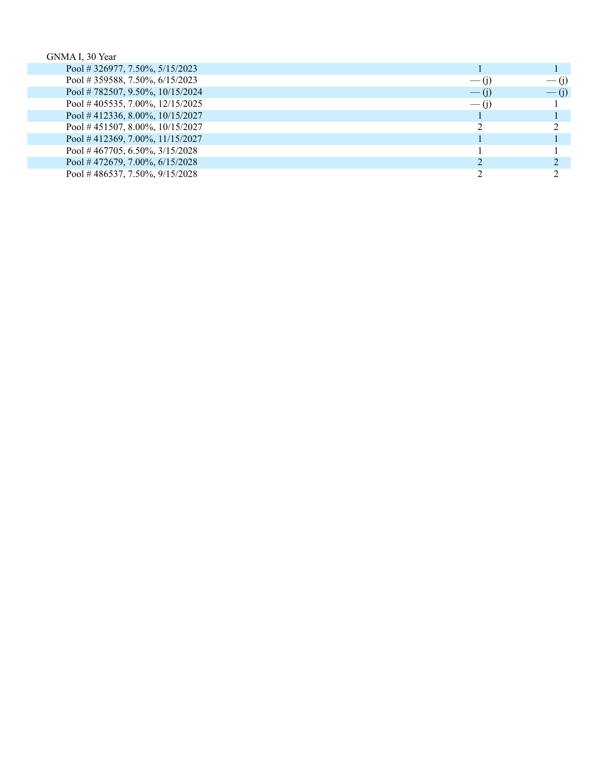| GNMA I, 30 Year                   |         |                    |
|-----------------------------------|---------|--------------------|
| Pool # 326977, 7.50%, 5/15/2023   |         |                    |
| Pool #359588, 7.50%, 6/15/2023    | $-$ (i) | $-$ (1)            |
| Pool #782507, 9.50%, 10/15/2024   | $-$ (i) | $\overline{ }$ (i) |
| Pool #405535, 7.00%, $12/15/2025$ | $-$ (1) |                    |
| Pool #412336, 8.00%, 10/15/2027   |         |                    |
| Pool #451507, 8.00%, $10/15/2027$ |         |                    |
| Pool #412369, 7.00%, 11/15/2027   |         |                    |
| Pool #467705, 6.50%, $3/15/2028$  |         |                    |
| Pool #472679, 7.00%, $6/15/2028$  |         |                    |
| Pool #486537, 7.50%, $9/15/2028$  |         |                    |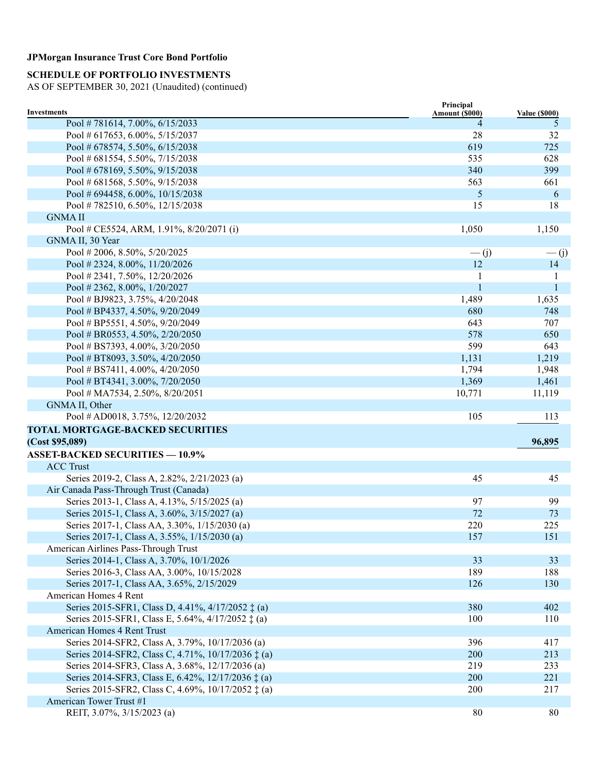# **SCHEDULE OF PORTFOLIO INVESTMENTS**

| Pool #781614, 7.00%, 6/15/2033<br>5<br>4<br>28<br>Pool # 617653, 6.00%, 5/15/2037<br>32<br>Pool # 678574, 5.50%, 6/15/2038<br>619<br>725<br>Pool # 681554, 5.50%, 7/15/2038<br>535<br>628<br>Pool # 678169, 5.50%, 9/15/2038<br>340<br>399<br>Pool # 681568, 5.50%, 9/15/2038<br>563<br>661<br>5<br>Pool # 694458, 6.00%, $10/15/2038$<br>6<br>15<br>Pool #782510, 6.50%, $12/15/2038$<br>18<br><b>GNMAII</b><br>Pool # CE5524, ARM, 1.91%, 8/20/2071 (i)<br>1,050<br>1,150<br>GNMA II, 30 Year<br>Pool # 2006, 8.50%, $5/20/2025$<br>$\overline{-}$ (j)<br>$\overline{-}$ (j)<br>12<br>Pool # 2324, 8.00%, $11/20/2026$<br>14<br>Pool #2341, 7.50%, 12/20/2026<br>1<br>1<br>$\mathbf{1}$<br>Pool # 2362, 8.00%, $1/20/2027$<br>$\mathbf{1}$<br>1,489<br>Pool # BJ9823, 3.75%, 4/20/2048<br>1,635<br>Pool # BP4337, 4.50%, 9/20/2049<br>680<br>748<br>Pool # BP5551, 4.50%, 9/20/2049<br>643<br>707<br>578<br>Pool # BR0553, 4.50%, $2/20/2050$<br>650<br>599<br>Pool # BS7393, 4.00%, 3/20/2050<br>643<br>1,131<br>Pool # BT8093, 3.50%, $4/20/2050$<br>1,219<br>Pool # BS7411, 4.00%, $4/20/2050$<br>1,794<br>1,948<br>Pool # BT4341, 3.00%, $7/20/2050$<br>1,369<br>1,461<br>Pool # MA7534, 2.50%, 8/20/2051<br>10,771<br>11,119<br>GNMA II, Other<br>105<br>Pool # AD0018, 3.75%, $12/20/2032$<br>113<br><b>TOTAL MORTGAGE-BACKED SECURITIES</b><br>(Cost \$95,089)<br>96,895<br><b>ASSET-BACKED SECURITIES - 10.9%</b><br><b>ACC Trust</b><br>Series 2019-2, Class A, 2.82%, 2/21/2023 (a)<br>45<br>45<br>Air Canada Pass-Through Trust (Canada)<br>97<br>Series 2013-1, Class A, 4.13%, 5/15/2025 (a)<br>99<br>Series 2015-1, Class A, 3.60%, 3/15/2027 (a)<br>72<br>73<br>220<br>Series 2017-1, Class AA, 3.30%, 1/15/2030 (a)<br>225<br>Series 2017-1, Class A, 3.55%, 1/15/2030 (a)<br>157<br>151<br>American Airlines Pass-Through Trust<br>Series 2014-1, Class A, 3.70%, 10/1/2026<br>33<br>33<br>Series 2016-3, Class AA, 3.00%, 10/15/2028<br>189<br>188<br>Series 2017-1, Class AA, 3.65%, 2/15/2029<br>126<br>130<br>American Homes 4 Rent<br>Series 2015-SFR1, Class D, 4.41%, 4/17/2052 $\ddagger$ (a)<br>380<br>402<br>Series 2015-SFR1, Class E, 5.64%, 4/17/2052 ‡ (a)<br>100<br>110<br>American Homes 4 Rent Trust<br>Series 2014-SFR2, Class A, 3.79%, 10/17/2036 (a)<br>396<br>417<br>Series 2014-SFR2, Class C, 4.71%, 10/17/2036 $\pm$ (a)<br>200<br>213<br>Series 2014-SFR3, Class A, 3.68%, 12/17/2036 (a)<br>219<br>233<br>Series 2014-SFR3, Class E, 6.42%, 12/17/2036 ‡ (a)<br>200<br>221<br>Series 2015-SFR2, Class C, 4.69%, 10/17/2052 ‡ (a)<br>200<br>217<br>American Tower Trust #1<br>80<br>REIT, 3.07%, 3/15/2023 (a)<br>80 | <b>Investments</b> | Principal      |                      |
|-------------------------------------------------------------------------------------------------------------------------------------------------------------------------------------------------------------------------------------------------------------------------------------------------------------------------------------------------------------------------------------------------------------------------------------------------------------------------------------------------------------------------------------------------------------------------------------------------------------------------------------------------------------------------------------------------------------------------------------------------------------------------------------------------------------------------------------------------------------------------------------------------------------------------------------------------------------------------------------------------------------------------------------------------------------------------------------------------------------------------------------------------------------------------------------------------------------------------------------------------------------------------------------------------------------------------------------------------------------------------------------------------------------------------------------------------------------------------------------------------------------------------------------------------------------------------------------------------------------------------------------------------------------------------------------------------------------------------------------------------------------------------------------------------------------------------------------------------------------------------------------------------------------------------------------------------------------------------------------------------------------------------------------------------------------------------------------------------------------------------------------------------------------------------------------------------------------------------------------------------------------------------------------------------------------------------------------------------------------------------------------------------------------------------------------------------------------------------------------------------------------------------------------------------------------------------------------------------------------------------------------------------------------------|--------------------|----------------|----------------------|
|                                                                                                                                                                                                                                                                                                                                                                                                                                                                                                                                                                                                                                                                                                                                                                                                                                                                                                                                                                                                                                                                                                                                                                                                                                                                                                                                                                                                                                                                                                                                                                                                                                                                                                                                                                                                                                                                                                                                                                                                                                                                                                                                                                                                                                                                                                                                                                                                                                                                                                                                                                                                                                                                   |                    | Amount (\$000) | <b>Value (\$000)</b> |
|                                                                                                                                                                                                                                                                                                                                                                                                                                                                                                                                                                                                                                                                                                                                                                                                                                                                                                                                                                                                                                                                                                                                                                                                                                                                                                                                                                                                                                                                                                                                                                                                                                                                                                                                                                                                                                                                                                                                                                                                                                                                                                                                                                                                                                                                                                                                                                                                                                                                                                                                                                                                                                                                   |                    |                |                      |
|                                                                                                                                                                                                                                                                                                                                                                                                                                                                                                                                                                                                                                                                                                                                                                                                                                                                                                                                                                                                                                                                                                                                                                                                                                                                                                                                                                                                                                                                                                                                                                                                                                                                                                                                                                                                                                                                                                                                                                                                                                                                                                                                                                                                                                                                                                                                                                                                                                                                                                                                                                                                                                                                   |                    |                |                      |
|                                                                                                                                                                                                                                                                                                                                                                                                                                                                                                                                                                                                                                                                                                                                                                                                                                                                                                                                                                                                                                                                                                                                                                                                                                                                                                                                                                                                                                                                                                                                                                                                                                                                                                                                                                                                                                                                                                                                                                                                                                                                                                                                                                                                                                                                                                                                                                                                                                                                                                                                                                                                                                                                   |                    |                |                      |
|                                                                                                                                                                                                                                                                                                                                                                                                                                                                                                                                                                                                                                                                                                                                                                                                                                                                                                                                                                                                                                                                                                                                                                                                                                                                                                                                                                                                                                                                                                                                                                                                                                                                                                                                                                                                                                                                                                                                                                                                                                                                                                                                                                                                                                                                                                                                                                                                                                                                                                                                                                                                                                                                   |                    |                |                      |
|                                                                                                                                                                                                                                                                                                                                                                                                                                                                                                                                                                                                                                                                                                                                                                                                                                                                                                                                                                                                                                                                                                                                                                                                                                                                                                                                                                                                                                                                                                                                                                                                                                                                                                                                                                                                                                                                                                                                                                                                                                                                                                                                                                                                                                                                                                                                                                                                                                                                                                                                                                                                                                                                   |                    |                |                      |
|                                                                                                                                                                                                                                                                                                                                                                                                                                                                                                                                                                                                                                                                                                                                                                                                                                                                                                                                                                                                                                                                                                                                                                                                                                                                                                                                                                                                                                                                                                                                                                                                                                                                                                                                                                                                                                                                                                                                                                                                                                                                                                                                                                                                                                                                                                                                                                                                                                                                                                                                                                                                                                                                   |                    |                |                      |
|                                                                                                                                                                                                                                                                                                                                                                                                                                                                                                                                                                                                                                                                                                                                                                                                                                                                                                                                                                                                                                                                                                                                                                                                                                                                                                                                                                                                                                                                                                                                                                                                                                                                                                                                                                                                                                                                                                                                                                                                                                                                                                                                                                                                                                                                                                                                                                                                                                                                                                                                                                                                                                                                   |                    |                |                      |
|                                                                                                                                                                                                                                                                                                                                                                                                                                                                                                                                                                                                                                                                                                                                                                                                                                                                                                                                                                                                                                                                                                                                                                                                                                                                                                                                                                                                                                                                                                                                                                                                                                                                                                                                                                                                                                                                                                                                                                                                                                                                                                                                                                                                                                                                                                                                                                                                                                                                                                                                                                                                                                                                   |                    |                |                      |
|                                                                                                                                                                                                                                                                                                                                                                                                                                                                                                                                                                                                                                                                                                                                                                                                                                                                                                                                                                                                                                                                                                                                                                                                                                                                                                                                                                                                                                                                                                                                                                                                                                                                                                                                                                                                                                                                                                                                                                                                                                                                                                                                                                                                                                                                                                                                                                                                                                                                                                                                                                                                                                                                   |                    |                |                      |
|                                                                                                                                                                                                                                                                                                                                                                                                                                                                                                                                                                                                                                                                                                                                                                                                                                                                                                                                                                                                                                                                                                                                                                                                                                                                                                                                                                                                                                                                                                                                                                                                                                                                                                                                                                                                                                                                                                                                                                                                                                                                                                                                                                                                                                                                                                                                                                                                                                                                                                                                                                                                                                                                   |                    |                |                      |
|                                                                                                                                                                                                                                                                                                                                                                                                                                                                                                                                                                                                                                                                                                                                                                                                                                                                                                                                                                                                                                                                                                                                                                                                                                                                                                                                                                                                                                                                                                                                                                                                                                                                                                                                                                                                                                                                                                                                                                                                                                                                                                                                                                                                                                                                                                                                                                                                                                                                                                                                                                                                                                                                   |                    |                |                      |
|                                                                                                                                                                                                                                                                                                                                                                                                                                                                                                                                                                                                                                                                                                                                                                                                                                                                                                                                                                                                                                                                                                                                                                                                                                                                                                                                                                                                                                                                                                                                                                                                                                                                                                                                                                                                                                                                                                                                                                                                                                                                                                                                                                                                                                                                                                                                                                                                                                                                                                                                                                                                                                                                   |                    |                |                      |
|                                                                                                                                                                                                                                                                                                                                                                                                                                                                                                                                                                                                                                                                                                                                                                                                                                                                                                                                                                                                                                                                                                                                                                                                                                                                                                                                                                                                                                                                                                                                                                                                                                                                                                                                                                                                                                                                                                                                                                                                                                                                                                                                                                                                                                                                                                                                                                                                                                                                                                                                                                                                                                                                   |                    |                |                      |
|                                                                                                                                                                                                                                                                                                                                                                                                                                                                                                                                                                                                                                                                                                                                                                                                                                                                                                                                                                                                                                                                                                                                                                                                                                                                                                                                                                                                                                                                                                                                                                                                                                                                                                                                                                                                                                                                                                                                                                                                                                                                                                                                                                                                                                                                                                                                                                                                                                                                                                                                                                                                                                                                   |                    |                |                      |
|                                                                                                                                                                                                                                                                                                                                                                                                                                                                                                                                                                                                                                                                                                                                                                                                                                                                                                                                                                                                                                                                                                                                                                                                                                                                                                                                                                                                                                                                                                                                                                                                                                                                                                                                                                                                                                                                                                                                                                                                                                                                                                                                                                                                                                                                                                                                                                                                                                                                                                                                                                                                                                                                   |                    |                |                      |
|                                                                                                                                                                                                                                                                                                                                                                                                                                                                                                                                                                                                                                                                                                                                                                                                                                                                                                                                                                                                                                                                                                                                                                                                                                                                                                                                                                                                                                                                                                                                                                                                                                                                                                                                                                                                                                                                                                                                                                                                                                                                                                                                                                                                                                                                                                                                                                                                                                                                                                                                                                                                                                                                   |                    |                |                      |
|                                                                                                                                                                                                                                                                                                                                                                                                                                                                                                                                                                                                                                                                                                                                                                                                                                                                                                                                                                                                                                                                                                                                                                                                                                                                                                                                                                                                                                                                                                                                                                                                                                                                                                                                                                                                                                                                                                                                                                                                                                                                                                                                                                                                                                                                                                                                                                                                                                                                                                                                                                                                                                                                   |                    |                |                      |
|                                                                                                                                                                                                                                                                                                                                                                                                                                                                                                                                                                                                                                                                                                                                                                                                                                                                                                                                                                                                                                                                                                                                                                                                                                                                                                                                                                                                                                                                                                                                                                                                                                                                                                                                                                                                                                                                                                                                                                                                                                                                                                                                                                                                                                                                                                                                                                                                                                                                                                                                                                                                                                                                   |                    |                |                      |
|                                                                                                                                                                                                                                                                                                                                                                                                                                                                                                                                                                                                                                                                                                                                                                                                                                                                                                                                                                                                                                                                                                                                                                                                                                                                                                                                                                                                                                                                                                                                                                                                                                                                                                                                                                                                                                                                                                                                                                                                                                                                                                                                                                                                                                                                                                                                                                                                                                                                                                                                                                                                                                                                   |                    |                |                      |
|                                                                                                                                                                                                                                                                                                                                                                                                                                                                                                                                                                                                                                                                                                                                                                                                                                                                                                                                                                                                                                                                                                                                                                                                                                                                                                                                                                                                                                                                                                                                                                                                                                                                                                                                                                                                                                                                                                                                                                                                                                                                                                                                                                                                                                                                                                                                                                                                                                                                                                                                                                                                                                                                   |                    |                |                      |
|                                                                                                                                                                                                                                                                                                                                                                                                                                                                                                                                                                                                                                                                                                                                                                                                                                                                                                                                                                                                                                                                                                                                                                                                                                                                                                                                                                                                                                                                                                                                                                                                                                                                                                                                                                                                                                                                                                                                                                                                                                                                                                                                                                                                                                                                                                                                                                                                                                                                                                                                                                                                                                                                   |                    |                |                      |
|                                                                                                                                                                                                                                                                                                                                                                                                                                                                                                                                                                                                                                                                                                                                                                                                                                                                                                                                                                                                                                                                                                                                                                                                                                                                                                                                                                                                                                                                                                                                                                                                                                                                                                                                                                                                                                                                                                                                                                                                                                                                                                                                                                                                                                                                                                                                                                                                                                                                                                                                                                                                                                                                   |                    |                |                      |
|                                                                                                                                                                                                                                                                                                                                                                                                                                                                                                                                                                                                                                                                                                                                                                                                                                                                                                                                                                                                                                                                                                                                                                                                                                                                                                                                                                                                                                                                                                                                                                                                                                                                                                                                                                                                                                                                                                                                                                                                                                                                                                                                                                                                                                                                                                                                                                                                                                                                                                                                                                                                                                                                   |                    |                |                      |
|                                                                                                                                                                                                                                                                                                                                                                                                                                                                                                                                                                                                                                                                                                                                                                                                                                                                                                                                                                                                                                                                                                                                                                                                                                                                                                                                                                                                                                                                                                                                                                                                                                                                                                                                                                                                                                                                                                                                                                                                                                                                                                                                                                                                                                                                                                                                                                                                                                                                                                                                                                                                                                                                   |                    |                |                      |
|                                                                                                                                                                                                                                                                                                                                                                                                                                                                                                                                                                                                                                                                                                                                                                                                                                                                                                                                                                                                                                                                                                                                                                                                                                                                                                                                                                                                                                                                                                                                                                                                                                                                                                                                                                                                                                                                                                                                                                                                                                                                                                                                                                                                                                                                                                                                                                                                                                                                                                                                                                                                                                                                   |                    |                |                      |
|                                                                                                                                                                                                                                                                                                                                                                                                                                                                                                                                                                                                                                                                                                                                                                                                                                                                                                                                                                                                                                                                                                                                                                                                                                                                                                                                                                                                                                                                                                                                                                                                                                                                                                                                                                                                                                                                                                                                                                                                                                                                                                                                                                                                                                                                                                                                                                                                                                                                                                                                                                                                                                                                   |                    |                |                      |
|                                                                                                                                                                                                                                                                                                                                                                                                                                                                                                                                                                                                                                                                                                                                                                                                                                                                                                                                                                                                                                                                                                                                                                                                                                                                                                                                                                                                                                                                                                                                                                                                                                                                                                                                                                                                                                                                                                                                                                                                                                                                                                                                                                                                                                                                                                                                                                                                                                                                                                                                                                                                                                                                   |                    |                |                      |
|                                                                                                                                                                                                                                                                                                                                                                                                                                                                                                                                                                                                                                                                                                                                                                                                                                                                                                                                                                                                                                                                                                                                                                                                                                                                                                                                                                                                                                                                                                                                                                                                                                                                                                                                                                                                                                                                                                                                                                                                                                                                                                                                                                                                                                                                                                                                                                                                                                                                                                                                                                                                                                                                   |                    |                |                      |
|                                                                                                                                                                                                                                                                                                                                                                                                                                                                                                                                                                                                                                                                                                                                                                                                                                                                                                                                                                                                                                                                                                                                                                                                                                                                                                                                                                                                                                                                                                                                                                                                                                                                                                                                                                                                                                                                                                                                                                                                                                                                                                                                                                                                                                                                                                                                                                                                                                                                                                                                                                                                                                                                   |                    |                |                      |
|                                                                                                                                                                                                                                                                                                                                                                                                                                                                                                                                                                                                                                                                                                                                                                                                                                                                                                                                                                                                                                                                                                                                                                                                                                                                                                                                                                                                                                                                                                                                                                                                                                                                                                                                                                                                                                                                                                                                                                                                                                                                                                                                                                                                                                                                                                                                                                                                                                                                                                                                                                                                                                                                   |                    |                |                      |
|                                                                                                                                                                                                                                                                                                                                                                                                                                                                                                                                                                                                                                                                                                                                                                                                                                                                                                                                                                                                                                                                                                                                                                                                                                                                                                                                                                                                                                                                                                                                                                                                                                                                                                                                                                                                                                                                                                                                                                                                                                                                                                                                                                                                                                                                                                                                                                                                                                                                                                                                                                                                                                                                   |                    |                |                      |
|                                                                                                                                                                                                                                                                                                                                                                                                                                                                                                                                                                                                                                                                                                                                                                                                                                                                                                                                                                                                                                                                                                                                                                                                                                                                                                                                                                                                                                                                                                                                                                                                                                                                                                                                                                                                                                                                                                                                                                                                                                                                                                                                                                                                                                                                                                                                                                                                                                                                                                                                                                                                                                                                   |                    |                |                      |
|                                                                                                                                                                                                                                                                                                                                                                                                                                                                                                                                                                                                                                                                                                                                                                                                                                                                                                                                                                                                                                                                                                                                                                                                                                                                                                                                                                                                                                                                                                                                                                                                                                                                                                                                                                                                                                                                                                                                                                                                                                                                                                                                                                                                                                                                                                                                                                                                                                                                                                                                                                                                                                                                   |                    |                |                      |
|                                                                                                                                                                                                                                                                                                                                                                                                                                                                                                                                                                                                                                                                                                                                                                                                                                                                                                                                                                                                                                                                                                                                                                                                                                                                                                                                                                                                                                                                                                                                                                                                                                                                                                                                                                                                                                                                                                                                                                                                                                                                                                                                                                                                                                                                                                                                                                                                                                                                                                                                                                                                                                                                   |                    |                |                      |
|                                                                                                                                                                                                                                                                                                                                                                                                                                                                                                                                                                                                                                                                                                                                                                                                                                                                                                                                                                                                                                                                                                                                                                                                                                                                                                                                                                                                                                                                                                                                                                                                                                                                                                                                                                                                                                                                                                                                                                                                                                                                                                                                                                                                                                                                                                                                                                                                                                                                                                                                                                                                                                                                   |                    |                |                      |
|                                                                                                                                                                                                                                                                                                                                                                                                                                                                                                                                                                                                                                                                                                                                                                                                                                                                                                                                                                                                                                                                                                                                                                                                                                                                                                                                                                                                                                                                                                                                                                                                                                                                                                                                                                                                                                                                                                                                                                                                                                                                                                                                                                                                                                                                                                                                                                                                                                                                                                                                                                                                                                                                   |                    |                |                      |
|                                                                                                                                                                                                                                                                                                                                                                                                                                                                                                                                                                                                                                                                                                                                                                                                                                                                                                                                                                                                                                                                                                                                                                                                                                                                                                                                                                                                                                                                                                                                                                                                                                                                                                                                                                                                                                                                                                                                                                                                                                                                                                                                                                                                                                                                                                                                                                                                                                                                                                                                                                                                                                                                   |                    |                |                      |
|                                                                                                                                                                                                                                                                                                                                                                                                                                                                                                                                                                                                                                                                                                                                                                                                                                                                                                                                                                                                                                                                                                                                                                                                                                                                                                                                                                                                                                                                                                                                                                                                                                                                                                                                                                                                                                                                                                                                                                                                                                                                                                                                                                                                                                                                                                                                                                                                                                                                                                                                                                                                                                                                   |                    |                |                      |
|                                                                                                                                                                                                                                                                                                                                                                                                                                                                                                                                                                                                                                                                                                                                                                                                                                                                                                                                                                                                                                                                                                                                                                                                                                                                                                                                                                                                                                                                                                                                                                                                                                                                                                                                                                                                                                                                                                                                                                                                                                                                                                                                                                                                                                                                                                                                                                                                                                                                                                                                                                                                                                                                   |                    |                |                      |
|                                                                                                                                                                                                                                                                                                                                                                                                                                                                                                                                                                                                                                                                                                                                                                                                                                                                                                                                                                                                                                                                                                                                                                                                                                                                                                                                                                                                                                                                                                                                                                                                                                                                                                                                                                                                                                                                                                                                                                                                                                                                                                                                                                                                                                                                                                                                                                                                                                                                                                                                                                                                                                                                   |                    |                |                      |
|                                                                                                                                                                                                                                                                                                                                                                                                                                                                                                                                                                                                                                                                                                                                                                                                                                                                                                                                                                                                                                                                                                                                                                                                                                                                                                                                                                                                                                                                                                                                                                                                                                                                                                                                                                                                                                                                                                                                                                                                                                                                                                                                                                                                                                                                                                                                                                                                                                                                                                                                                                                                                                                                   |                    |                |                      |
|                                                                                                                                                                                                                                                                                                                                                                                                                                                                                                                                                                                                                                                                                                                                                                                                                                                                                                                                                                                                                                                                                                                                                                                                                                                                                                                                                                                                                                                                                                                                                                                                                                                                                                                                                                                                                                                                                                                                                                                                                                                                                                                                                                                                                                                                                                                                                                                                                                                                                                                                                                                                                                                                   |                    |                |                      |
|                                                                                                                                                                                                                                                                                                                                                                                                                                                                                                                                                                                                                                                                                                                                                                                                                                                                                                                                                                                                                                                                                                                                                                                                                                                                                                                                                                                                                                                                                                                                                                                                                                                                                                                                                                                                                                                                                                                                                                                                                                                                                                                                                                                                                                                                                                                                                                                                                                                                                                                                                                                                                                                                   |                    |                |                      |
|                                                                                                                                                                                                                                                                                                                                                                                                                                                                                                                                                                                                                                                                                                                                                                                                                                                                                                                                                                                                                                                                                                                                                                                                                                                                                                                                                                                                                                                                                                                                                                                                                                                                                                                                                                                                                                                                                                                                                                                                                                                                                                                                                                                                                                                                                                                                                                                                                                                                                                                                                                                                                                                                   |                    |                |                      |
|                                                                                                                                                                                                                                                                                                                                                                                                                                                                                                                                                                                                                                                                                                                                                                                                                                                                                                                                                                                                                                                                                                                                                                                                                                                                                                                                                                                                                                                                                                                                                                                                                                                                                                                                                                                                                                                                                                                                                                                                                                                                                                                                                                                                                                                                                                                                                                                                                                                                                                                                                                                                                                                                   |                    |                |                      |
|                                                                                                                                                                                                                                                                                                                                                                                                                                                                                                                                                                                                                                                                                                                                                                                                                                                                                                                                                                                                                                                                                                                                                                                                                                                                                                                                                                                                                                                                                                                                                                                                                                                                                                                                                                                                                                                                                                                                                                                                                                                                                                                                                                                                                                                                                                                                                                                                                                                                                                                                                                                                                                                                   |                    |                |                      |
|                                                                                                                                                                                                                                                                                                                                                                                                                                                                                                                                                                                                                                                                                                                                                                                                                                                                                                                                                                                                                                                                                                                                                                                                                                                                                                                                                                                                                                                                                                                                                                                                                                                                                                                                                                                                                                                                                                                                                                                                                                                                                                                                                                                                                                                                                                                                                                                                                                                                                                                                                                                                                                                                   |                    |                |                      |
|                                                                                                                                                                                                                                                                                                                                                                                                                                                                                                                                                                                                                                                                                                                                                                                                                                                                                                                                                                                                                                                                                                                                                                                                                                                                                                                                                                                                                                                                                                                                                                                                                                                                                                                                                                                                                                                                                                                                                                                                                                                                                                                                                                                                                                                                                                                                                                                                                                                                                                                                                                                                                                                                   |                    |                |                      |
|                                                                                                                                                                                                                                                                                                                                                                                                                                                                                                                                                                                                                                                                                                                                                                                                                                                                                                                                                                                                                                                                                                                                                                                                                                                                                                                                                                                                                                                                                                                                                                                                                                                                                                                                                                                                                                                                                                                                                                                                                                                                                                                                                                                                                                                                                                                                                                                                                                                                                                                                                                                                                                                                   |                    |                |                      |
|                                                                                                                                                                                                                                                                                                                                                                                                                                                                                                                                                                                                                                                                                                                                                                                                                                                                                                                                                                                                                                                                                                                                                                                                                                                                                                                                                                                                                                                                                                                                                                                                                                                                                                                                                                                                                                                                                                                                                                                                                                                                                                                                                                                                                                                                                                                                                                                                                                                                                                                                                                                                                                                                   |                    |                |                      |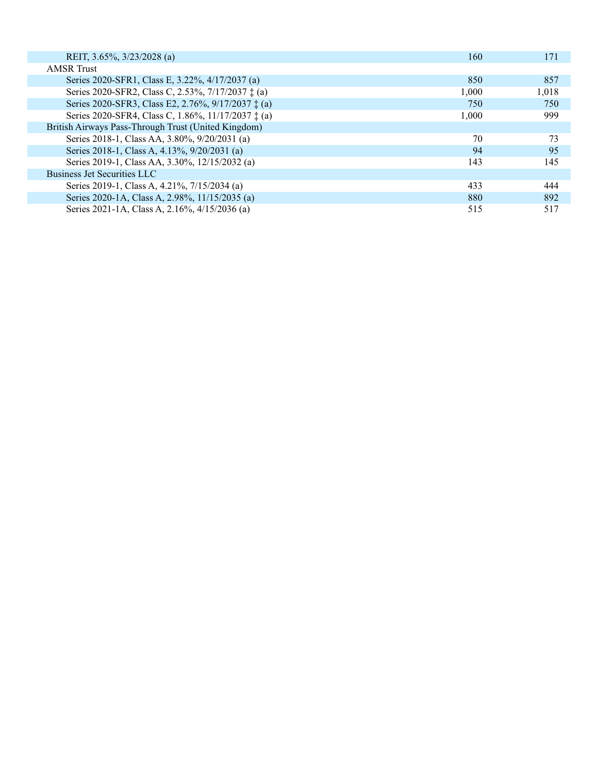| REIT, 3.65%, 3/23/2028 (a)                                  | 160   | 171   |
|-------------------------------------------------------------|-------|-------|
| <b>AMSR</b> Trust                                           |       |       |
| Series 2020-SFR1, Class E, 3.22%, 4/17/2037 (a)             | 850   | 857   |
| Series 2020-SFR2, Class C, 2.53%, 7/17/2037 ‡ (a)           | 1.000 | 1,018 |
| Series 2020-SFR3, Class E2, 2.76%, 9/17/2037 ± (a)          | 750   | 750   |
| Series 2020-SFR4, Class C, 1.86%, 11/17/2037 $\ddagger$ (a) | 1,000 | 999   |
| British Airways Pass-Through Trust (United Kingdom)         |       |       |
| Series 2018-1, Class AA, 3.80%, 9/20/2031 (a)               | 70    | 73    |
| Series 2018-1, Class A, 4.13%, 9/20/2031 (a)                | 94    | 95    |
| Series 2019-1, Class AA, 3.30%, 12/15/2032 (a)              | 143   | 145   |
| Business Jet Securities LLC                                 |       |       |
| Series 2019-1, Class A, 4.21%, 7/15/2034 (a)                | 433   | 444   |
| Series 2020-1A, Class A, 2.98%, 11/15/2035 (a)              | 880   | 892   |
| Series 2021-1A, Class A, 2.16%, 4/15/2036 (a)               | 515   | 517   |
|                                                             |       |       |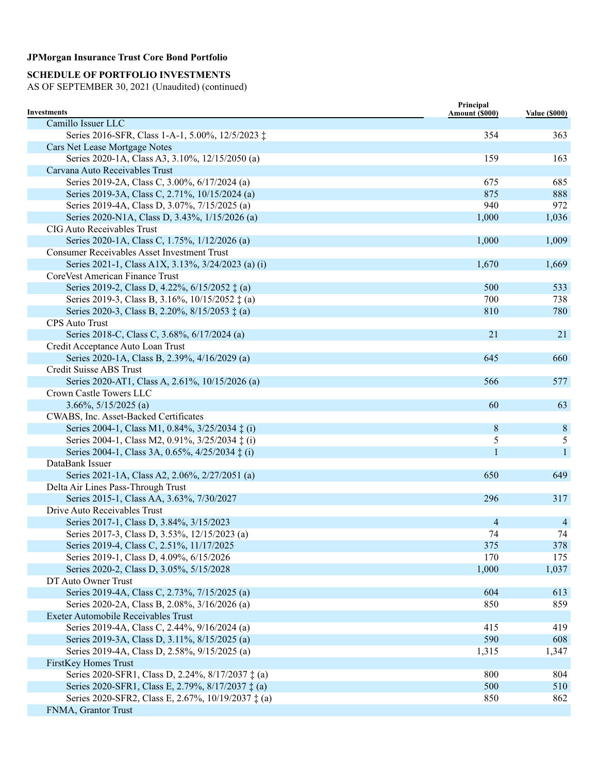## **SCHEDULE OF PORTFOLIO INVESTMENTS**

| Camillo Issuer LLC<br>Series 2016-SFR, Class 1-A-1, 5.00%, 12/5/2023 ‡<br>354<br>363<br>Cars Net Lease Mortgage Notes<br>Series 2020-1A, Class A3, 3.10%, 12/15/2050 (a)<br>159<br>163<br>Carvana Auto Receivables Trust<br>Series 2019-2A, Class C, 3.00%, 6/17/2024 (a)<br>675<br>685<br>Series 2019-3A, Class C, 2.71%, 10/15/2024 (a)<br>875<br>888<br>Series 2019-4A, Class D, 3.07%, 7/15/2025 (a)<br>940<br>972<br>Series 2020-N1A, Class D, 3.43%, 1/15/2026 (a)<br>1,000<br>1,036<br>CIG Auto Receivables Trust<br>Series 2020-1A, Class C, 1.75%, 1/12/2026 (a)<br>1,000<br>1,009<br><b>Consumer Receivables Asset Investment Trust</b><br>Series 2021-1, Class A1X, 3.13%, 3/24/2023 (a) (i)<br>1,670<br>1,669<br>CoreVest American Finance Trust<br>Series 2019-2, Class D, 4.22%, 6/15/2052 ‡ (a)<br>500<br>533<br>Series 2019-3, Class B, 3.16%, 10/15/2052 ‡ (a)<br>700<br>738<br>Series 2020-3, Class B, 2.20%, 8/15/2053 ± (a)<br>810<br>780<br><b>CPS</b> Auto Trust<br>21<br>21<br>Series 2018-C, Class C, 3.68%, 6/17/2024 (a)<br>Credit Acceptance Auto Loan Trust<br>Series 2020-1A, Class B, 2.39%, 4/16/2029 (a)<br>645<br>660<br>Credit Suisse ABS Trust<br>566<br>Series 2020-AT1, Class A, 2.61%, 10/15/2026 (a)<br>577<br>Crown Castle Towers LLC<br>$3.66\%, 5/15/2025$ (a)<br>60<br>63<br>CWABS, Inc. Asset-Backed Certificates<br>Series 2004-1, Class M1, 0.84%, 3/25/2034 ‡ (i)<br>8<br>8<br>Series 2004-1, Class M2, 0.91%, 3/25/2034 ‡ (i)<br>5<br>5<br>Series 2004-1, Class 3A, 0.65%, 4/25/2034 ‡ (i)<br>1<br>$\mathbf{1}$<br>DataBank Issuer<br>650<br>Series 2021-1A, Class A2, 2.06%, 2/27/2051 (a)<br>649<br>Delta Air Lines Pass-Through Trust<br>Series 2015-1, Class AA, 3.63%, 7/30/2027<br>296<br>317<br>Drive Auto Receivables Trust<br>Series 2017-1, Class D, 3.84%, 3/15/2023<br>$\overline{4}$<br>$\overline{4}$<br>Series 2017-3, Class D, 3.53%, 12/15/2023 (a)<br>74<br>74<br>Series 2019-4, Class C, 2.51%, 11/17/2025<br>375<br>378<br>Series 2019-1, Class D, 4.09%, 6/15/2026<br>170<br>175<br>Series 2020-2, Class D, 3.05%, 5/15/2028<br>1,000<br>1,037<br>DT Auto Owner Trust<br>Series 2019-4A, Class C, 2.73%, 7/15/2025 (a)<br>604<br>613<br>Series 2020-2A, Class B, 2.08%, 3/16/2026 (a)<br>850<br>859<br><b>Exeter Automobile Receivables Trust</b><br>Series 2019-4A, Class C, 2.44%, 9/16/2024 (a)<br>415<br>419<br>Series 2019-3A, Class D, 3.11%, 8/15/2025 (a)<br>590<br>608<br>Series 2019-4A, Class D, 2.58%, 9/15/2025 (a)<br>1,315<br>1,347<br>FirstKey Homes Trust<br>Series 2020-SFR1, Class D, 2.24%, 8/17/2037 ‡ (a)<br>800<br>804 | Investments                                       | Principal<br>Amount (\$000) | <b>Value (\$000)</b> |
|--------------------------------------------------------------------------------------------------------------------------------------------------------------------------------------------------------------------------------------------------------------------------------------------------------------------------------------------------------------------------------------------------------------------------------------------------------------------------------------------------------------------------------------------------------------------------------------------------------------------------------------------------------------------------------------------------------------------------------------------------------------------------------------------------------------------------------------------------------------------------------------------------------------------------------------------------------------------------------------------------------------------------------------------------------------------------------------------------------------------------------------------------------------------------------------------------------------------------------------------------------------------------------------------------------------------------------------------------------------------------------------------------------------------------------------------------------------------------------------------------------------------------------------------------------------------------------------------------------------------------------------------------------------------------------------------------------------------------------------------------------------------------------------------------------------------------------------------------------------------------------------------------------------------------------------------------------------------------------------------------------------------------------------------------------------------------------------------------------------------------------------------------------------------------------------------------------------------------------------------------------------------------------------------------------------------------------------------------------------------------------------------------------------------------------------------------------------------------------------------------------------------------------------------------------------------------------------------------------------------|---------------------------------------------------|-----------------------------|----------------------|
|                                                                                                                                                                                                                                                                                                                                                                                                                                                                                                                                                                                                                                                                                                                                                                                                                                                                                                                                                                                                                                                                                                                                                                                                                                                                                                                                                                                                                                                                                                                                                                                                                                                                                                                                                                                                                                                                                                                                                                                                                                                                                                                                                                                                                                                                                                                                                                                                                                                                                                                                                                                                                    |                                                   |                             |                      |
|                                                                                                                                                                                                                                                                                                                                                                                                                                                                                                                                                                                                                                                                                                                                                                                                                                                                                                                                                                                                                                                                                                                                                                                                                                                                                                                                                                                                                                                                                                                                                                                                                                                                                                                                                                                                                                                                                                                                                                                                                                                                                                                                                                                                                                                                                                                                                                                                                                                                                                                                                                                                                    |                                                   |                             |                      |
|                                                                                                                                                                                                                                                                                                                                                                                                                                                                                                                                                                                                                                                                                                                                                                                                                                                                                                                                                                                                                                                                                                                                                                                                                                                                                                                                                                                                                                                                                                                                                                                                                                                                                                                                                                                                                                                                                                                                                                                                                                                                                                                                                                                                                                                                                                                                                                                                                                                                                                                                                                                                                    |                                                   |                             |                      |
|                                                                                                                                                                                                                                                                                                                                                                                                                                                                                                                                                                                                                                                                                                                                                                                                                                                                                                                                                                                                                                                                                                                                                                                                                                                                                                                                                                                                                                                                                                                                                                                                                                                                                                                                                                                                                                                                                                                                                                                                                                                                                                                                                                                                                                                                                                                                                                                                                                                                                                                                                                                                                    |                                                   |                             |                      |
|                                                                                                                                                                                                                                                                                                                                                                                                                                                                                                                                                                                                                                                                                                                                                                                                                                                                                                                                                                                                                                                                                                                                                                                                                                                                                                                                                                                                                                                                                                                                                                                                                                                                                                                                                                                                                                                                                                                                                                                                                                                                                                                                                                                                                                                                                                                                                                                                                                                                                                                                                                                                                    |                                                   |                             |                      |
|                                                                                                                                                                                                                                                                                                                                                                                                                                                                                                                                                                                                                                                                                                                                                                                                                                                                                                                                                                                                                                                                                                                                                                                                                                                                                                                                                                                                                                                                                                                                                                                                                                                                                                                                                                                                                                                                                                                                                                                                                                                                                                                                                                                                                                                                                                                                                                                                                                                                                                                                                                                                                    |                                                   |                             |                      |
|                                                                                                                                                                                                                                                                                                                                                                                                                                                                                                                                                                                                                                                                                                                                                                                                                                                                                                                                                                                                                                                                                                                                                                                                                                                                                                                                                                                                                                                                                                                                                                                                                                                                                                                                                                                                                                                                                                                                                                                                                                                                                                                                                                                                                                                                                                                                                                                                                                                                                                                                                                                                                    |                                                   |                             |                      |
|                                                                                                                                                                                                                                                                                                                                                                                                                                                                                                                                                                                                                                                                                                                                                                                                                                                                                                                                                                                                                                                                                                                                                                                                                                                                                                                                                                                                                                                                                                                                                                                                                                                                                                                                                                                                                                                                                                                                                                                                                                                                                                                                                                                                                                                                                                                                                                                                                                                                                                                                                                                                                    |                                                   |                             |                      |
|                                                                                                                                                                                                                                                                                                                                                                                                                                                                                                                                                                                                                                                                                                                                                                                                                                                                                                                                                                                                                                                                                                                                                                                                                                                                                                                                                                                                                                                                                                                                                                                                                                                                                                                                                                                                                                                                                                                                                                                                                                                                                                                                                                                                                                                                                                                                                                                                                                                                                                                                                                                                                    |                                                   |                             |                      |
|                                                                                                                                                                                                                                                                                                                                                                                                                                                                                                                                                                                                                                                                                                                                                                                                                                                                                                                                                                                                                                                                                                                                                                                                                                                                                                                                                                                                                                                                                                                                                                                                                                                                                                                                                                                                                                                                                                                                                                                                                                                                                                                                                                                                                                                                                                                                                                                                                                                                                                                                                                                                                    |                                                   |                             |                      |
|                                                                                                                                                                                                                                                                                                                                                                                                                                                                                                                                                                                                                                                                                                                                                                                                                                                                                                                                                                                                                                                                                                                                                                                                                                                                                                                                                                                                                                                                                                                                                                                                                                                                                                                                                                                                                                                                                                                                                                                                                                                                                                                                                                                                                                                                                                                                                                                                                                                                                                                                                                                                                    |                                                   |                             |                      |
|                                                                                                                                                                                                                                                                                                                                                                                                                                                                                                                                                                                                                                                                                                                                                                                                                                                                                                                                                                                                                                                                                                                                                                                                                                                                                                                                                                                                                                                                                                                                                                                                                                                                                                                                                                                                                                                                                                                                                                                                                                                                                                                                                                                                                                                                                                                                                                                                                                                                                                                                                                                                                    |                                                   |                             |                      |
|                                                                                                                                                                                                                                                                                                                                                                                                                                                                                                                                                                                                                                                                                                                                                                                                                                                                                                                                                                                                                                                                                                                                                                                                                                                                                                                                                                                                                                                                                                                                                                                                                                                                                                                                                                                                                                                                                                                                                                                                                                                                                                                                                                                                                                                                                                                                                                                                                                                                                                                                                                                                                    |                                                   |                             |                      |
|                                                                                                                                                                                                                                                                                                                                                                                                                                                                                                                                                                                                                                                                                                                                                                                                                                                                                                                                                                                                                                                                                                                                                                                                                                                                                                                                                                                                                                                                                                                                                                                                                                                                                                                                                                                                                                                                                                                                                                                                                                                                                                                                                                                                                                                                                                                                                                                                                                                                                                                                                                                                                    |                                                   |                             |                      |
|                                                                                                                                                                                                                                                                                                                                                                                                                                                                                                                                                                                                                                                                                                                                                                                                                                                                                                                                                                                                                                                                                                                                                                                                                                                                                                                                                                                                                                                                                                                                                                                                                                                                                                                                                                                                                                                                                                                                                                                                                                                                                                                                                                                                                                                                                                                                                                                                                                                                                                                                                                                                                    |                                                   |                             |                      |
|                                                                                                                                                                                                                                                                                                                                                                                                                                                                                                                                                                                                                                                                                                                                                                                                                                                                                                                                                                                                                                                                                                                                                                                                                                                                                                                                                                                                                                                                                                                                                                                                                                                                                                                                                                                                                                                                                                                                                                                                                                                                                                                                                                                                                                                                                                                                                                                                                                                                                                                                                                                                                    |                                                   |                             |                      |
|                                                                                                                                                                                                                                                                                                                                                                                                                                                                                                                                                                                                                                                                                                                                                                                                                                                                                                                                                                                                                                                                                                                                                                                                                                                                                                                                                                                                                                                                                                                                                                                                                                                                                                                                                                                                                                                                                                                                                                                                                                                                                                                                                                                                                                                                                                                                                                                                                                                                                                                                                                                                                    |                                                   |                             |                      |
|                                                                                                                                                                                                                                                                                                                                                                                                                                                                                                                                                                                                                                                                                                                                                                                                                                                                                                                                                                                                                                                                                                                                                                                                                                                                                                                                                                                                                                                                                                                                                                                                                                                                                                                                                                                                                                                                                                                                                                                                                                                                                                                                                                                                                                                                                                                                                                                                                                                                                                                                                                                                                    |                                                   |                             |                      |
|                                                                                                                                                                                                                                                                                                                                                                                                                                                                                                                                                                                                                                                                                                                                                                                                                                                                                                                                                                                                                                                                                                                                                                                                                                                                                                                                                                                                                                                                                                                                                                                                                                                                                                                                                                                                                                                                                                                                                                                                                                                                                                                                                                                                                                                                                                                                                                                                                                                                                                                                                                                                                    |                                                   |                             |                      |
|                                                                                                                                                                                                                                                                                                                                                                                                                                                                                                                                                                                                                                                                                                                                                                                                                                                                                                                                                                                                                                                                                                                                                                                                                                                                                                                                                                                                                                                                                                                                                                                                                                                                                                                                                                                                                                                                                                                                                                                                                                                                                                                                                                                                                                                                                                                                                                                                                                                                                                                                                                                                                    |                                                   |                             |                      |
|                                                                                                                                                                                                                                                                                                                                                                                                                                                                                                                                                                                                                                                                                                                                                                                                                                                                                                                                                                                                                                                                                                                                                                                                                                                                                                                                                                                                                                                                                                                                                                                                                                                                                                                                                                                                                                                                                                                                                                                                                                                                                                                                                                                                                                                                                                                                                                                                                                                                                                                                                                                                                    |                                                   |                             |                      |
|                                                                                                                                                                                                                                                                                                                                                                                                                                                                                                                                                                                                                                                                                                                                                                                                                                                                                                                                                                                                                                                                                                                                                                                                                                                                                                                                                                                                                                                                                                                                                                                                                                                                                                                                                                                                                                                                                                                                                                                                                                                                                                                                                                                                                                                                                                                                                                                                                                                                                                                                                                                                                    |                                                   |                             |                      |
|                                                                                                                                                                                                                                                                                                                                                                                                                                                                                                                                                                                                                                                                                                                                                                                                                                                                                                                                                                                                                                                                                                                                                                                                                                                                                                                                                                                                                                                                                                                                                                                                                                                                                                                                                                                                                                                                                                                                                                                                                                                                                                                                                                                                                                                                                                                                                                                                                                                                                                                                                                                                                    |                                                   |                             |                      |
|                                                                                                                                                                                                                                                                                                                                                                                                                                                                                                                                                                                                                                                                                                                                                                                                                                                                                                                                                                                                                                                                                                                                                                                                                                                                                                                                                                                                                                                                                                                                                                                                                                                                                                                                                                                                                                                                                                                                                                                                                                                                                                                                                                                                                                                                                                                                                                                                                                                                                                                                                                                                                    |                                                   |                             |                      |
|                                                                                                                                                                                                                                                                                                                                                                                                                                                                                                                                                                                                                                                                                                                                                                                                                                                                                                                                                                                                                                                                                                                                                                                                                                                                                                                                                                                                                                                                                                                                                                                                                                                                                                                                                                                                                                                                                                                                                                                                                                                                                                                                                                                                                                                                                                                                                                                                                                                                                                                                                                                                                    |                                                   |                             |                      |
|                                                                                                                                                                                                                                                                                                                                                                                                                                                                                                                                                                                                                                                                                                                                                                                                                                                                                                                                                                                                                                                                                                                                                                                                                                                                                                                                                                                                                                                                                                                                                                                                                                                                                                                                                                                                                                                                                                                                                                                                                                                                                                                                                                                                                                                                                                                                                                                                                                                                                                                                                                                                                    |                                                   |                             |                      |
|                                                                                                                                                                                                                                                                                                                                                                                                                                                                                                                                                                                                                                                                                                                                                                                                                                                                                                                                                                                                                                                                                                                                                                                                                                                                                                                                                                                                                                                                                                                                                                                                                                                                                                                                                                                                                                                                                                                                                                                                                                                                                                                                                                                                                                                                                                                                                                                                                                                                                                                                                                                                                    |                                                   |                             |                      |
|                                                                                                                                                                                                                                                                                                                                                                                                                                                                                                                                                                                                                                                                                                                                                                                                                                                                                                                                                                                                                                                                                                                                                                                                                                                                                                                                                                                                                                                                                                                                                                                                                                                                                                                                                                                                                                                                                                                                                                                                                                                                                                                                                                                                                                                                                                                                                                                                                                                                                                                                                                                                                    |                                                   |                             |                      |
|                                                                                                                                                                                                                                                                                                                                                                                                                                                                                                                                                                                                                                                                                                                                                                                                                                                                                                                                                                                                                                                                                                                                                                                                                                                                                                                                                                                                                                                                                                                                                                                                                                                                                                                                                                                                                                                                                                                                                                                                                                                                                                                                                                                                                                                                                                                                                                                                                                                                                                                                                                                                                    |                                                   |                             |                      |
|                                                                                                                                                                                                                                                                                                                                                                                                                                                                                                                                                                                                                                                                                                                                                                                                                                                                                                                                                                                                                                                                                                                                                                                                                                                                                                                                                                                                                                                                                                                                                                                                                                                                                                                                                                                                                                                                                                                                                                                                                                                                                                                                                                                                                                                                                                                                                                                                                                                                                                                                                                                                                    |                                                   |                             |                      |
|                                                                                                                                                                                                                                                                                                                                                                                                                                                                                                                                                                                                                                                                                                                                                                                                                                                                                                                                                                                                                                                                                                                                                                                                                                                                                                                                                                                                                                                                                                                                                                                                                                                                                                                                                                                                                                                                                                                                                                                                                                                                                                                                                                                                                                                                                                                                                                                                                                                                                                                                                                                                                    |                                                   |                             |                      |
|                                                                                                                                                                                                                                                                                                                                                                                                                                                                                                                                                                                                                                                                                                                                                                                                                                                                                                                                                                                                                                                                                                                                                                                                                                                                                                                                                                                                                                                                                                                                                                                                                                                                                                                                                                                                                                                                                                                                                                                                                                                                                                                                                                                                                                                                                                                                                                                                                                                                                                                                                                                                                    |                                                   |                             |                      |
|                                                                                                                                                                                                                                                                                                                                                                                                                                                                                                                                                                                                                                                                                                                                                                                                                                                                                                                                                                                                                                                                                                                                                                                                                                                                                                                                                                                                                                                                                                                                                                                                                                                                                                                                                                                                                                                                                                                                                                                                                                                                                                                                                                                                                                                                                                                                                                                                                                                                                                                                                                                                                    |                                                   |                             |                      |
|                                                                                                                                                                                                                                                                                                                                                                                                                                                                                                                                                                                                                                                                                                                                                                                                                                                                                                                                                                                                                                                                                                                                                                                                                                                                                                                                                                                                                                                                                                                                                                                                                                                                                                                                                                                                                                                                                                                                                                                                                                                                                                                                                                                                                                                                                                                                                                                                                                                                                                                                                                                                                    |                                                   |                             |                      |
|                                                                                                                                                                                                                                                                                                                                                                                                                                                                                                                                                                                                                                                                                                                                                                                                                                                                                                                                                                                                                                                                                                                                                                                                                                                                                                                                                                                                                                                                                                                                                                                                                                                                                                                                                                                                                                                                                                                                                                                                                                                                                                                                                                                                                                                                                                                                                                                                                                                                                                                                                                                                                    |                                                   |                             |                      |
|                                                                                                                                                                                                                                                                                                                                                                                                                                                                                                                                                                                                                                                                                                                                                                                                                                                                                                                                                                                                                                                                                                                                                                                                                                                                                                                                                                                                                                                                                                                                                                                                                                                                                                                                                                                                                                                                                                                                                                                                                                                                                                                                                                                                                                                                                                                                                                                                                                                                                                                                                                                                                    |                                                   |                             |                      |
|                                                                                                                                                                                                                                                                                                                                                                                                                                                                                                                                                                                                                                                                                                                                                                                                                                                                                                                                                                                                                                                                                                                                                                                                                                                                                                                                                                                                                                                                                                                                                                                                                                                                                                                                                                                                                                                                                                                                                                                                                                                                                                                                                                                                                                                                                                                                                                                                                                                                                                                                                                                                                    |                                                   |                             |                      |
|                                                                                                                                                                                                                                                                                                                                                                                                                                                                                                                                                                                                                                                                                                                                                                                                                                                                                                                                                                                                                                                                                                                                                                                                                                                                                                                                                                                                                                                                                                                                                                                                                                                                                                                                                                                                                                                                                                                                                                                                                                                                                                                                                                                                                                                                                                                                                                                                                                                                                                                                                                                                                    |                                                   |                             |                      |
|                                                                                                                                                                                                                                                                                                                                                                                                                                                                                                                                                                                                                                                                                                                                                                                                                                                                                                                                                                                                                                                                                                                                                                                                                                                                                                                                                                                                                                                                                                                                                                                                                                                                                                                                                                                                                                                                                                                                                                                                                                                                                                                                                                                                                                                                                                                                                                                                                                                                                                                                                                                                                    |                                                   |                             |                      |
|                                                                                                                                                                                                                                                                                                                                                                                                                                                                                                                                                                                                                                                                                                                                                                                                                                                                                                                                                                                                                                                                                                                                                                                                                                                                                                                                                                                                                                                                                                                                                                                                                                                                                                                                                                                                                                                                                                                                                                                                                                                                                                                                                                                                                                                                                                                                                                                                                                                                                                                                                                                                                    |                                                   |                             |                      |
|                                                                                                                                                                                                                                                                                                                                                                                                                                                                                                                                                                                                                                                                                                                                                                                                                                                                                                                                                                                                                                                                                                                                                                                                                                                                                                                                                                                                                                                                                                                                                                                                                                                                                                                                                                                                                                                                                                                                                                                                                                                                                                                                                                                                                                                                                                                                                                                                                                                                                                                                                                                                                    |                                                   |                             |                      |
|                                                                                                                                                                                                                                                                                                                                                                                                                                                                                                                                                                                                                                                                                                                                                                                                                                                                                                                                                                                                                                                                                                                                                                                                                                                                                                                                                                                                                                                                                                                                                                                                                                                                                                                                                                                                                                                                                                                                                                                                                                                                                                                                                                                                                                                                                                                                                                                                                                                                                                                                                                                                                    |                                                   |                             |                      |
|                                                                                                                                                                                                                                                                                                                                                                                                                                                                                                                                                                                                                                                                                                                                                                                                                                                                                                                                                                                                                                                                                                                                                                                                                                                                                                                                                                                                                                                                                                                                                                                                                                                                                                                                                                                                                                                                                                                                                                                                                                                                                                                                                                                                                                                                                                                                                                                                                                                                                                                                                                                                                    |                                                   |                             |                      |
|                                                                                                                                                                                                                                                                                                                                                                                                                                                                                                                                                                                                                                                                                                                                                                                                                                                                                                                                                                                                                                                                                                                                                                                                                                                                                                                                                                                                                                                                                                                                                                                                                                                                                                                                                                                                                                                                                                                                                                                                                                                                                                                                                                                                                                                                                                                                                                                                                                                                                                                                                                                                                    |                                                   |                             |                      |
|                                                                                                                                                                                                                                                                                                                                                                                                                                                                                                                                                                                                                                                                                                                                                                                                                                                                                                                                                                                                                                                                                                                                                                                                                                                                                                                                                                                                                                                                                                                                                                                                                                                                                                                                                                                                                                                                                                                                                                                                                                                                                                                                                                                                                                                                                                                                                                                                                                                                                                                                                                                                                    |                                                   |                             |                      |
|                                                                                                                                                                                                                                                                                                                                                                                                                                                                                                                                                                                                                                                                                                                                                                                                                                                                                                                                                                                                                                                                                                                                                                                                                                                                                                                                                                                                                                                                                                                                                                                                                                                                                                                                                                                                                                                                                                                                                                                                                                                                                                                                                                                                                                                                                                                                                                                                                                                                                                                                                                                                                    |                                                   |                             |                      |
|                                                                                                                                                                                                                                                                                                                                                                                                                                                                                                                                                                                                                                                                                                                                                                                                                                                                                                                                                                                                                                                                                                                                                                                                                                                                                                                                                                                                                                                                                                                                                                                                                                                                                                                                                                                                                                                                                                                                                                                                                                                                                                                                                                                                                                                                                                                                                                                                                                                                                                                                                                                                                    |                                                   |                             |                      |
|                                                                                                                                                                                                                                                                                                                                                                                                                                                                                                                                                                                                                                                                                                                                                                                                                                                                                                                                                                                                                                                                                                                                                                                                                                                                                                                                                                                                                                                                                                                                                                                                                                                                                                                                                                                                                                                                                                                                                                                                                                                                                                                                                                                                                                                                                                                                                                                                                                                                                                                                                                                                                    |                                                   |                             |                      |
|                                                                                                                                                                                                                                                                                                                                                                                                                                                                                                                                                                                                                                                                                                                                                                                                                                                                                                                                                                                                                                                                                                                                                                                                                                                                                                                                                                                                                                                                                                                                                                                                                                                                                                                                                                                                                                                                                                                                                                                                                                                                                                                                                                                                                                                                                                                                                                                                                                                                                                                                                                                                                    | Series 2020-SFR1, Class E, 2.79%, 8/17/2037 ‡ (a) | 500                         | 510                  |
| Series 2020-SFR2, Class E, 2.67%, 10/19/2037 ‡ (a)<br>850<br>862                                                                                                                                                                                                                                                                                                                                                                                                                                                                                                                                                                                                                                                                                                                                                                                                                                                                                                                                                                                                                                                                                                                                                                                                                                                                                                                                                                                                                                                                                                                                                                                                                                                                                                                                                                                                                                                                                                                                                                                                                                                                                                                                                                                                                                                                                                                                                                                                                                                                                                                                                   |                                                   |                             |                      |
|                                                                                                                                                                                                                                                                                                                                                                                                                                                                                                                                                                                                                                                                                                                                                                                                                                                                                                                                                                                                                                                                                                                                                                                                                                                                                                                                                                                                                                                                                                                                                                                                                                                                                                                                                                                                                                                                                                                                                                                                                                                                                                                                                                                                                                                                                                                                                                                                                                                                                                                                                                                                                    | FNMA, Grantor Trust                               |                             |                      |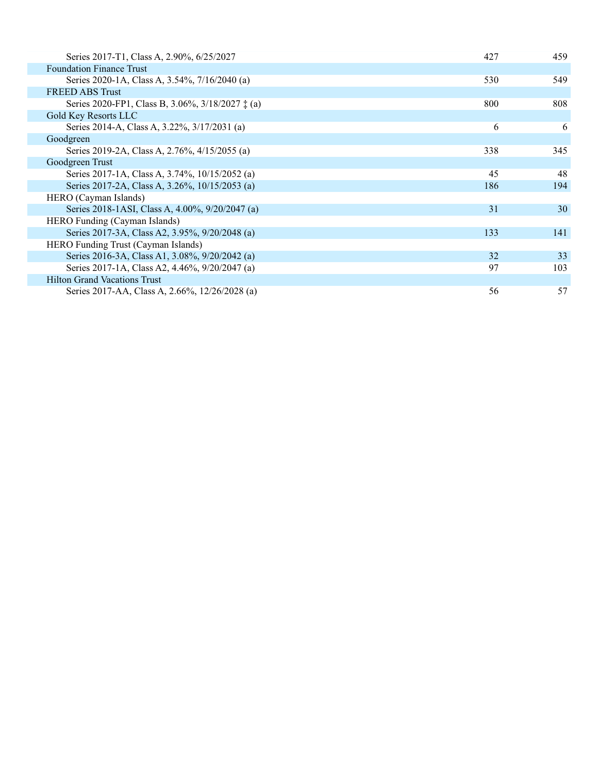| Series 2017-T1, Class A, 2.90%, 6/25/2027        | 427 | 459 |
|--------------------------------------------------|-----|-----|
| <b>Foundation Finance Trust</b>                  |     |     |
| Series 2020-1A, Class A, 3.54%, 7/16/2040 (a)    | 530 | 549 |
| <b>FREED ABS Trust</b>                           |     |     |
| Series 2020-FP1, Class B, 3.06%, 3/18/2027 ‡ (a) | 800 | 808 |
| Gold Key Resorts LLC                             |     |     |
| Series 2014-A, Class A, 3.22%, 3/17/2031 (a)     | 6   | 6   |
| Goodgreen                                        |     |     |
| Series 2019-2A, Class A, 2.76%, 4/15/2055 (a)    | 338 | 345 |
| Goodgreen Trust                                  |     |     |
| Series 2017-1A, Class A, 3.74%, 10/15/2052 (a)   | 45  | 48  |
| Series 2017-2A, Class A, 3.26%, 10/15/2053 (a)   | 186 | 194 |
| HERO (Cayman Islands)                            |     |     |
| Series 2018-1ASI, Class A, 4.00%, 9/20/2047 (a)  | 31  | 30  |
| HERO Funding (Cayman Islands)                    |     |     |
| Series 2017-3A, Class A2, 3.95%, 9/20/2048 (a)   | 133 | 141 |
| HERO Funding Trust (Cayman Islands)              |     |     |
| Series 2016-3A, Class A1, 3.08%, 9/20/2042 (a)   | 32  | 33  |
| Series 2017-1A, Class A2, 4.46%, 9/20/2047 (a)   | 97  | 103 |
| <b>Hilton Grand Vacations Trust</b>              |     |     |
| Series 2017-AA, Class A, 2.66%, 12/26/2028 (a)   | 56  | 57  |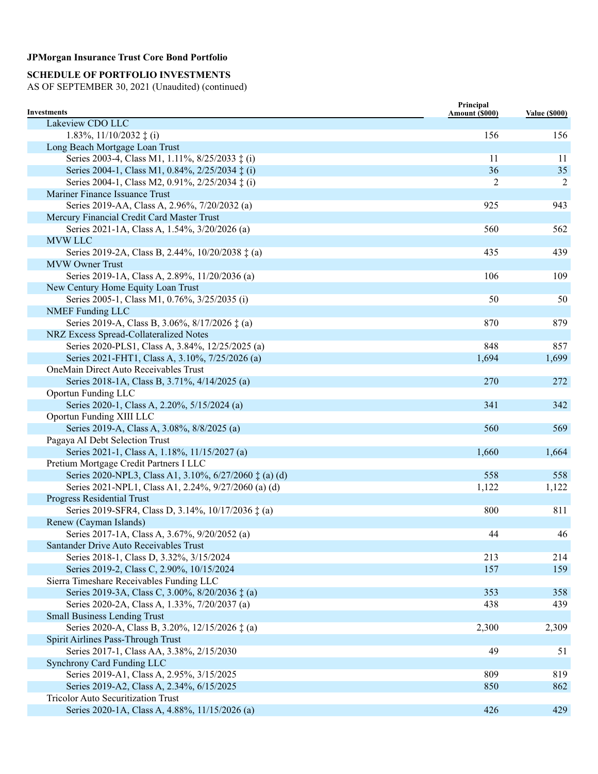# **SCHEDULE OF PORTFOLIO INVESTMENTS**

| <b>Investments</b>                                              | Principal<br>Amount (\$000) | <b>Value (\$000)</b> |
|-----------------------------------------------------------------|-----------------------------|----------------------|
| Lakeview CDO LLC                                                |                             |                      |
| 1.83%, $11/10/2032 \pm (i)$                                     | 156                         | 156                  |
| Long Beach Mortgage Loan Trust                                  |                             |                      |
| Series 2003-4, Class M1, 1.11%, 8/25/2033 ‡ (i)                 | 11                          | 11                   |
| Series 2004-1, Class M1, 0.84%, 2/25/2034 ‡ (i)                 | 36                          | 35                   |
| Series 2004-1, Class M2, 0.91%, 2/25/2034 ‡ (i)                 | $\overline{2}$              | $\overline{2}$       |
| Mariner Finance Issuance Trust                                  |                             |                      |
| Series 2019-AA, Class A, 2.96%, 7/20/2032 (a)                   | 925                         | 943                  |
| Mercury Financial Credit Card Master Trust                      |                             |                      |
| Series 2021-1A, Class A, 1.54%, 3/20/2026 (a)                   | 560                         | 562                  |
| <b>MVW LLC</b>                                                  |                             |                      |
| Series 2019-2A, Class B, 2.44%, 10/20/2038 ‡ (a)                | 435                         | 439                  |
| <b>MVW Owner Trust</b>                                          |                             |                      |
| Series 2019-1A, Class A, 2.89%, 11/20/2036 (a)                  | 106                         | 109                  |
| New Century Home Equity Loan Trust                              |                             |                      |
| Series 2005-1, Class M1, 0.76%, 3/25/2035 (i)                   | 50                          | 50                   |
| <b>NMEF</b> Funding LLC                                         |                             |                      |
| Series 2019-A, Class B, 3.06%, 8/17/2026 ‡ (a)                  | 870                         | 879                  |
| NRZ Excess Spread-Collateralized Notes                          |                             |                      |
| Series 2020-PLS1, Class A, 3.84%, 12/25/2025 (a)                | 848                         | 857                  |
| Series 2021-FHT1, Class A, 3.10%, 7/25/2026 (a)                 | 1,694                       | 1,699                |
| OneMain Direct Auto Receivables Trust                           |                             |                      |
| Series 2018-1A, Class B, 3.71%, 4/14/2025 (a)                   | 270                         | 272                  |
| Oportun Funding LLC                                             |                             |                      |
| Series 2020-1, Class A, 2.20%, 5/15/2024 (a)                    | 341                         | 342                  |
| Oportun Funding XIII LLC                                        |                             |                      |
| Series 2019-A, Class A, 3.08%, 8/8/2025 (a)                     | 560                         | 569                  |
| Pagaya AI Debt Selection Trust                                  |                             |                      |
| Series 2021-1, Class A, 1.18%, 11/15/2027 (a)                   | 1,660                       | 1,664                |
| Pretium Mortgage Credit Partners I LLC                          |                             |                      |
| Series 2020-NPL3, Class A1, 3.10%, 6/27/2060 $\ddagger$ (a) (d) | 558                         | 558                  |
| Series 2021-NPL1, Class A1, 2.24%, 9/27/2060 (a) (d)            | 1,122                       | 1,122                |
| <b>Progress Residential Trust</b>                               |                             |                      |
| Series 2019-SFR4, Class D, 3.14%, 10/17/2036 ‡ (a)              | 800                         | 811                  |
| Renew (Cayman Islands)                                          |                             |                      |
| Series 2017-1A, Class A, 3.67%, 9/20/2052 (a)                   | 44                          | 46                   |
| Santander Drive Auto Receivables Trust                          |                             |                      |
| Series 2018-1, Class D, 3.32%, 3/15/2024                        | 213                         | 214                  |
| Series 2019-2, Class C, 2.90%, 10/15/2024                       | 157                         | 159                  |
| Sierra Timeshare Receivables Funding LLC                        |                             |                      |
| Series 2019-3A, Class C, 3.00%, 8/20/2036 ‡ (a)                 | 353                         | 358                  |
| Series 2020-2A, Class A, 1.33%, 7/20/2037 (a)                   | 438                         | 439                  |
| <b>Small Business Lending Trust</b>                             |                             |                      |
| Series 2020-A, Class B, 3.20%, 12/15/2026 ‡ (a)                 | 2,300                       | 2,309                |
| Spirit Airlines Pass-Through Trust                              |                             |                      |
| Series 2017-1, Class AA, 3.38%, 2/15/2030                       | 49                          | 51                   |
| Synchrony Card Funding LLC                                      |                             |                      |
| Series 2019-A1, Class A, 2.95%, 3/15/2025                       | 809                         | 819                  |
| Series 2019-A2, Class A, 2.34%, 6/15/2025                       | 850                         | 862                  |
| <b>Tricolor Auto Securitization Trust</b>                       |                             |                      |
| Series 2020-1A, Class A, 4.88%, 11/15/2026 (a)                  | 426                         | 429                  |
|                                                                 |                             |                      |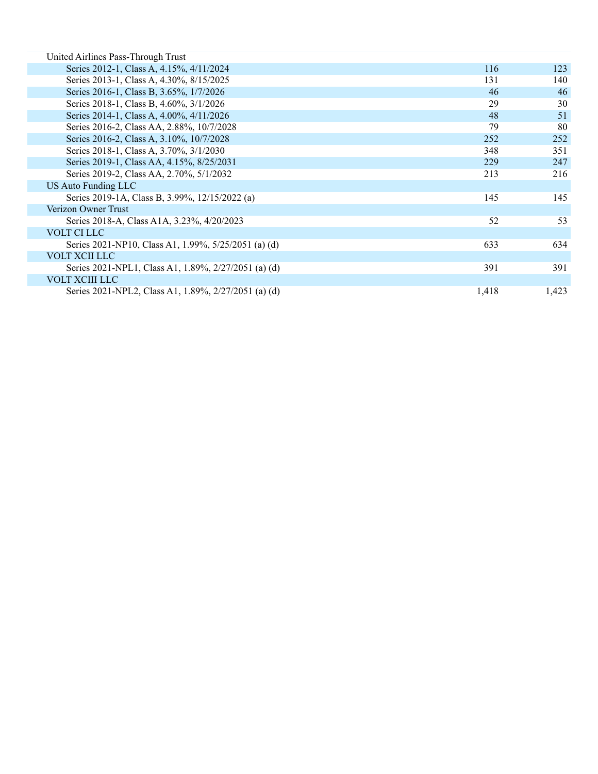| United Airlines Pass-Through Trust                   |       |       |
|------------------------------------------------------|-------|-------|
| Series 2012-1, Class A, 4.15%, 4/11/2024             | 116   | 123   |
| Series 2013-1, Class A, 4.30%, 8/15/2025             | 131   | 140   |
| Series 2016-1, Class B, 3.65%, 1/7/2026              | 46    | 46    |
| Series 2018-1, Class B, 4.60%, 3/1/2026              | 29    | 30    |
| Series 2014-1, Class A, 4.00%, 4/11/2026             | 48    | 51    |
| Series 2016-2, Class AA, 2.88%, 10/7/2028            | 79    | 80    |
| Series 2016-2, Class A, 3.10%, 10/7/2028             | 252   | 252   |
| Series 2018-1, Class A, 3.70%, 3/1/2030              | 348   | 351   |
| Series 2019-1, Class AA, 4.15%, 8/25/2031            | 229   | 247   |
| Series 2019-2, Class AA, 2.70%, 5/1/2032             | 213   | 216   |
| <b>US Auto Funding LLC</b>                           |       |       |
| Series 2019-1A, Class B, 3.99%, 12/15/2022 (a)       | 145   | 145   |
| Verizon Owner Trust                                  |       |       |
| Series 2018-A, Class A1A, 3.23%, 4/20/2023           | 52    | 53    |
| VOLT CI LLC                                          |       |       |
| Series 2021-NP10, Class A1, 1.99%, 5/25/2051 (a) (d) | 633   | 634   |
| <b>VOLT XCII LLC</b>                                 |       |       |
| Series 2021-NPL1, Class A1, 1.89%, 2/27/2051 (a) (d) | 391   | 391   |
| <b>VOLT XCIII LLC</b>                                |       |       |
| Series 2021-NPL2, Class A1, 1.89%, 2/27/2051 (a) (d) | 1,418 | 1,423 |
|                                                      |       |       |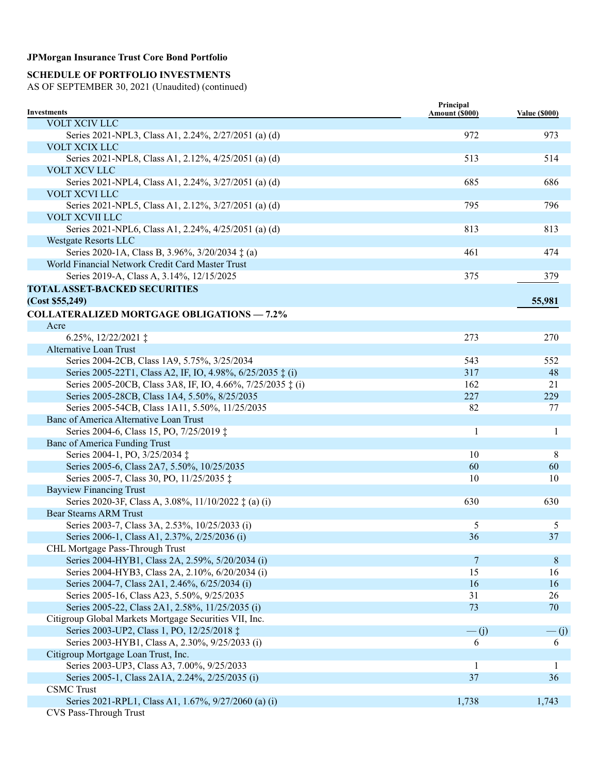### **SCHEDULE OF PORTFOLIO INVESTMENTS**

| Investments                                                 | Principal<br>Amount (\$000) | <b>Value (\$000)</b> |
|-------------------------------------------------------------|-----------------------------|----------------------|
| VOLT XCIV LLC                                               |                             |                      |
| Series 2021-NPL3, Class A1, 2.24%, 2/27/2051 (a) (d)        | 972                         | 973                  |
| VOLT XCIX LLC                                               |                             |                      |
| Series 2021-NPL8, Class A1, 2.12%, 4/25/2051 (a) (d)        | 513                         | 514                  |
| VOLT XCV LLC                                                |                             |                      |
| Series 2021-NPL4, Class A1, 2.24%, 3/27/2051 (a) (d)        | 685                         | 686                  |
| VOLT XCVI LLC                                               |                             |                      |
| Series 2021-NPL5, Class A1, 2.12%, 3/27/2051 (a) (d)        | 795                         | 796                  |
| <b>VOLT XCVII LLC</b>                                       |                             |                      |
| Series 2021-NPL6, Class A1, 2.24%, 4/25/2051 (a) (d)        | 813                         | 813                  |
| Westgate Resorts LLC                                        |                             |                      |
| Series 2020-1A, Class B, 3.96%, 3/20/2034 ‡ (a)             | 461                         | 474                  |
| World Financial Network Credit Card Master Trust            |                             |                      |
| Series 2019-A, Class A, 3.14%, 12/15/2025                   | 375                         | 379                  |
| <b>TOTAL ASSET-BACKED SECURITIES</b>                        |                             |                      |
|                                                             |                             |                      |
| (Cost \$55,249)                                             |                             | 55,981               |
| <b>COLLATERALIZED MORTGAGE OBLIGATIONS - 7.2%</b>           |                             |                      |
| Acre                                                        |                             |                      |
| 6.25%, $12/22/2021$ $\ddagger$                              | 273                         | 270                  |
| Alternative Loan Trust                                      |                             |                      |
| Series 2004-2CB, Class 1A9, 5.75%, 3/25/2034                | 543                         | 552                  |
| Series 2005-22T1, Class A2, IF, IO, 4.98%, 6/25/2035 ‡ (i)  | 317                         | 48                   |
| Series 2005-20CB, Class 3A8, IF, IO, 4.66%, 7/25/2035 ‡ (i) | 162                         | 21                   |
| Series 2005-28CB, Class 1A4, 5.50%, 8/25/2035               | 227                         | 229                  |
| Series 2005-54CB, Class 1A11, 5.50%, 11/25/2035             | 82                          | 77                   |
| Banc of America Alternative Loan Trust                      |                             |                      |
| Series 2004-6, Class 15, PO, 7/25/2019 ‡                    | 1                           | 1                    |
| <b>Banc of America Funding Trust</b>                        |                             |                      |
| Series 2004-1, PO, 3/25/2034 ‡                              | 10                          | 8                    |
| Series 2005-6, Class 2A7, 5.50%, 10/25/2035                 | 60                          | 60                   |
| Series 2005-7, Class 30, PO, 11/25/2035 ‡                   | 10                          | 10                   |
| <b>Bayview Financing Trust</b>                              |                             |                      |
| Series 2020-3F, Class A, 3.08%, 11/10/2022 ‡ (a) (i)        | 630                         | 630                  |
| <b>Bear Stearns ARM Trust</b>                               |                             |                      |
| Series 2003-7, Class 3A, 2.53%, 10/25/2033 (i)              | 5                           | 5                    |
| Series 2006-1, Class A1, 2.37%, 2/25/2036 (i)               | 36                          | 37                   |
| CHL Mortgage Pass-Through Trust                             |                             |                      |
| Series 2004-HYB1, Class 2A, 2.59%, 5/20/2034 (i)            | 7                           | 8                    |
| Series 2004-HYB3, Class 2A, 2.10%, 6/20/2034 (i)            | 15                          | 16                   |
| Series 2004-7, Class 2A1, 2.46%, 6/25/2034 (i)              | 16                          | 16                   |
| Series 2005-16, Class A23, 5.50%, 9/25/2035                 | 31                          | 26                   |
| Series 2005-22, Class 2A1, 2.58%, 11/25/2035 (i)            | 73                          | 70                   |
| Citigroup Global Markets Mortgage Securities VII, Inc.      |                             |                      |
| Series 2003-UP2, Class 1, PO, 12/25/2018 ‡                  | $\overline{-}$ (j)          | $\frac{1}{1}$        |
| Series 2003-HYB1, Class A, 2.30%, 9/25/2033 (i)             | 6                           | 6                    |
| Citigroup Mortgage Loan Trust, Inc.                         |                             |                      |
| Series 2003-UP3, Class A3, 7.00%, 9/25/2033                 | 1                           | 1                    |
| Series 2005-1, Class 2A1A, 2.24%, 2/25/2035 (i)             | 37                          | 36                   |
| <b>CSMC</b> Trust                                           |                             |                      |
| Series 2021-RPL1, Class A1, 1.67%, 9/27/2060 (a) (i)        | 1,738                       | 1,743                |
| CVS Pass-Through Trust                                      |                             |                      |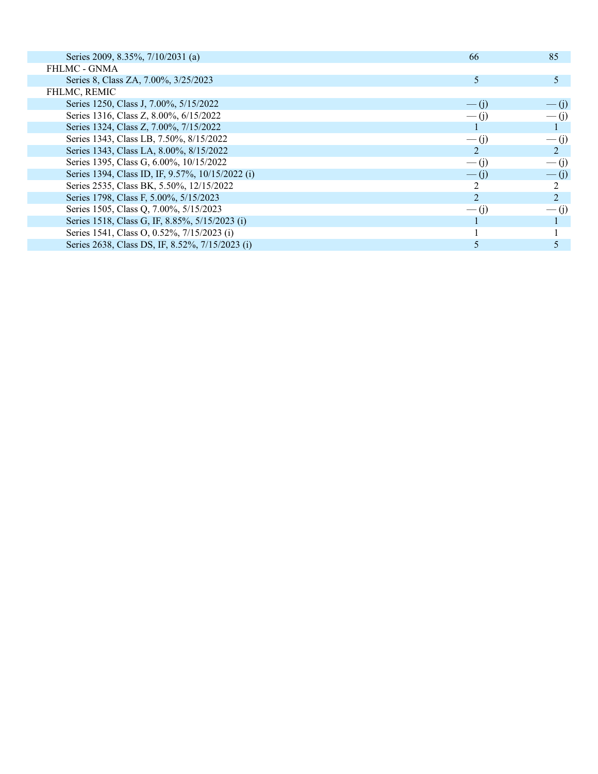| Series 2009, 8.35%, 7/10/2031 (a)                | -66                | 85                 |
|--------------------------------------------------|--------------------|--------------------|
| <b>FHLMC - GNMA</b>                              |                    |                    |
| Series 8, Class ZA, 7.00%, 3/25/2023             | 5                  |                    |
| <b>FHLMC, REMIC</b>                              |                    |                    |
| Series 1250, Class J, 7.00%, 5/15/2022           | $- (1)$            | $-$ (j)            |
| Series 1316, Class Z, 8.00%, 6/15/2022           | $\overline{-}$ (i) | $\overline{-}$ (i) |
| Series 1324, Class Z, 7.00%, 7/15/2022           |                    |                    |
| Series 1343, Class LB, 7.50%, 8/15/2022          | $-$ (1)            | $\overline{-}$ (j) |
| Series 1343, Class LA, 8.00%, 8/15/2022          | 2                  |                    |
| Series 1395, Class G, 6.00%, 10/15/2022          | $\overline{-}$ (j) | $\overline{-}$ (j) |
| Series 1394, Class ID, IF, 9.57%, 10/15/2022 (i) | $-$ (i)            | $\overline{-}$ (j) |
| Series 2535, Class BK, 5.50%, 12/15/2022         | 2                  |                    |
| Series 1798, Class F, 5.00%, 5/15/2023           | $\overline{2}$     |                    |
| Series 1505, Class Q, 7.00%, 5/15/2023           | $-$ (1)            | $-$ (1)            |
| Series 1518, Class G, IF, 8.85%, 5/15/2023 (i)   |                    |                    |
| Series 1541, Class O, 0.52%, 7/15/2023 (i)       |                    |                    |
| Series 2638, Class DS, IF, 8.52%, 7/15/2023 (i)  |                    |                    |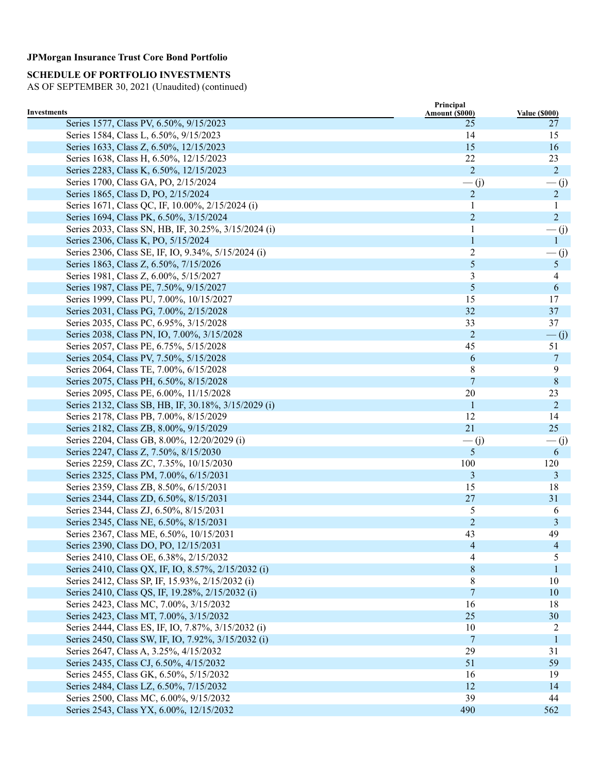# **SCHEDULE OF PORTFOLIO INVESTMENTS**

|                                                        | Principal            |                            |
|--------------------------------------------------------|----------------------|----------------------------|
| Investments<br>Series 1577, Class PV, 6.50%, 9/15/2023 | Amount (\$000)<br>25 | <b>Value (\$000)</b><br>27 |
| Series 1584, Class L, 6.50%, 9/15/2023                 | 14                   | 15                         |
| Series 1633, Class Z, 6.50%, 12/15/2023                | 15                   | 16                         |
|                                                        | 22                   |                            |
| Series 1638, Class H, 6.50%, 12/15/2023                | $\overline{2}$       | 23<br>$\overline{2}$       |
| Series 2283, Class K, 6.50%, 12/15/2023                |                      |                            |
| Series 1700, Class GA, PO, 2/15/2024                   | $\overline{-}$ (j)   | $\frac{1}{1}$              |
| Series 1865, Class D, PO, 2/15/2024                    | $\overline{2}$       | $\overline{2}$             |
| Series 1671, Class QC, IF, 10.00%, 2/15/2024 (i)       |                      | 1                          |
| Series 1694, Class PK, 6.50%, 3/15/2024                | $\overline{c}$       | $\overline{2}$             |
| Series 2033, Class SN, HB, IF, 30.25%, 3/15/2024 (i)   | $\mathbf{1}$         | $-(j)$                     |
| Series 2306, Class K, PO, 5/15/2024                    | $\mathbf{1}$         | $\mathbf{1}$               |
| Series 2306, Class SE, IF, IO, 9.34%, 5/15/2024 (i)    | $\overline{c}$       | $-(j)$                     |
| Series 1863, Class Z, 6.50%, 7/15/2026                 | 5                    | 5 <sup>5</sup>             |
| Series 1981, Class Z, 6.00%, 5/15/2027                 | 3                    | 4                          |
| Series 1987, Class PE, 7.50%, 9/15/2027                | 5                    | 6                          |
| Series 1999, Class PU, 7.00%, 10/15/2027               | 15                   | 17                         |
| Series 2031, Class PG, 7.00%, 2/15/2028                | 32                   | 37                         |
| Series 2035, Class PC, 6.95%, 3/15/2028                | 33                   | 37                         |
| Series 2038, Class PN, IO, 7.00%, 3/15/2028            | $\overline{c}$       | $\overline{-}$ (j)         |
| Series 2057, Class PE, 6.75%, 5/15/2028                | 45                   | 51                         |
| Series 2054, Class PV, 7.50%, 5/15/2028                | 6                    | 7                          |
| Series 2064, Class TE, 7.00%, 6/15/2028                | 8                    | 9                          |
| Series 2075, Class PH, 6.50%, 8/15/2028                | 7                    | 8                          |
| Series 2095, Class PE, 6.00%, 11/15/2028               | 20                   | 23                         |
| Series 2132, Class SB, HB, IF, 30.18%, 3/15/2029 (i)   | 1                    | 2                          |
| Series 2178, Class PB, 7.00%, 8/15/2029                | 12                   | 14                         |
| Series 2182, Class ZB, 8.00%, 9/15/2029                | 21                   | 25                         |
| Series 2204, Class GB, 8.00%, 12/20/2029 (i)           | $\overline{-}$ (j)   | — (j)                      |
| Series 2247, Class Z, 7.50%, 8/15/2030                 | 5                    | 6                          |
| Series 2259, Class ZC, 7.35%, 10/15/2030               | 100                  | 120                        |
| Series 2325, Class PM, 7.00%, 6/15/2031                | 3                    | 3                          |
| Series 2359, Class ZB, 8.50%, 6/15/2031                | 15                   | 18                         |
| Series 2344, Class ZD, 6.50%, 8/15/2031                | 27                   | 31                         |
| Series 2344, Class ZJ, 6.50%, 8/15/2031                | 5                    | 6                          |
| Series 2345, Class NE, 6.50%, 8/15/2031                | $\overline{c}$       | 3                          |
| Series 2367, Class ME, 6.50%, 10/15/2031               | 43                   | 49                         |
| Series 2390, Class DO, PO, 12/15/2031                  | $\overline{4}$       | 4                          |
| Series 2410, Class OE, 6.38%, 2/15/2032                | 4                    | 5                          |
| Series 2410, Class QX, IF, IO, 8.57%, 2/15/2032 (i)    | 8                    | 1                          |
| Series 2412, Class SP, IF, 15.93%, 2/15/2032 (i)       | 8                    | 10                         |
| Series 2410, Class QS, IF, 19.28%, 2/15/2032 (i)       | $\boldsymbol{7}$     | 10                         |
| Series 2423, Class MC, 7.00%, 3/15/2032                | 16                   | 18                         |
| Series 2423, Class MT, 7.00%, 3/15/2032                | 25                   | 30                         |
| Series 2444, Class ES, IF, IO, 7.87%, 3/15/2032 (i)    | 10                   | 2                          |
| Series 2450, Class SW, IF, IO, 7.92%, 3/15/2032 (i)    | 7                    | 1                          |
| Series 2647, Class A, 3.25%, 4/15/2032                 | 29                   | 31                         |
| Series 2435, Class CJ, 6.50%, 4/15/2032                | 51                   | 59                         |
| Series 2455, Class GK, 6.50%, 5/15/2032                | 16                   | 19                         |
| Series 2484, Class LZ, 6.50%, 7/15/2032                | 12                   | 14                         |
| Series 2500, Class MC, 6.00%, 9/15/2032                | 39                   | 44                         |
| Series 2543, Class YX, 6.00%, 12/15/2032               | 490                  | 562                        |
|                                                        |                      |                            |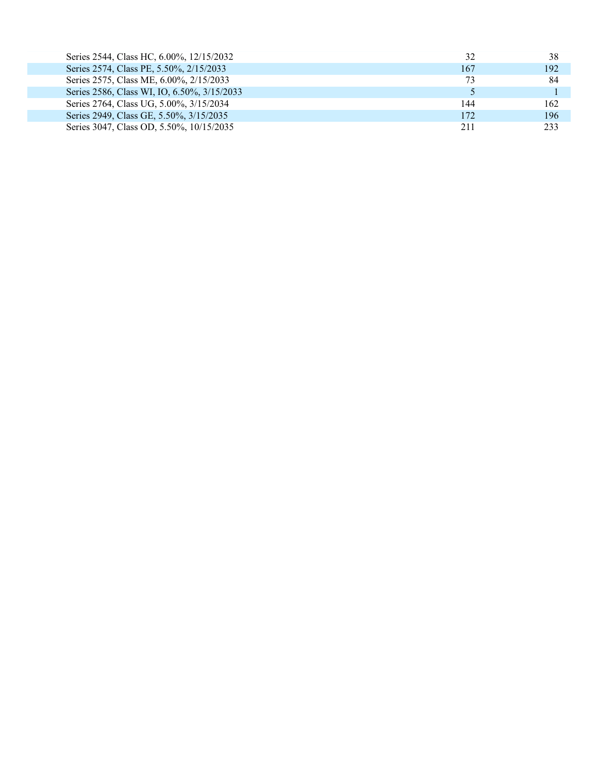| Series 2544, Class HC, 6.00%, 12/15/2032    | 32  | 38  |
|---------------------------------------------|-----|-----|
| Series 2574, Class PE, 5.50%, 2/15/2033     | 167 | 192 |
| Series 2575, Class ME, 6.00%, 2/15/2033     | 73  | 84  |
| Series 2586, Class WI, IO, 6.50%, 3/15/2033 |     |     |
| Series 2764, Class UG, 5.00%, 3/15/2034     | 144 | 162 |
| Series 2949, Class GE, 5.50%, 3/15/2035     | 172 | 196 |
| Series 3047, Class OD, 5.50%, 10/15/2035    | 211 | 233 |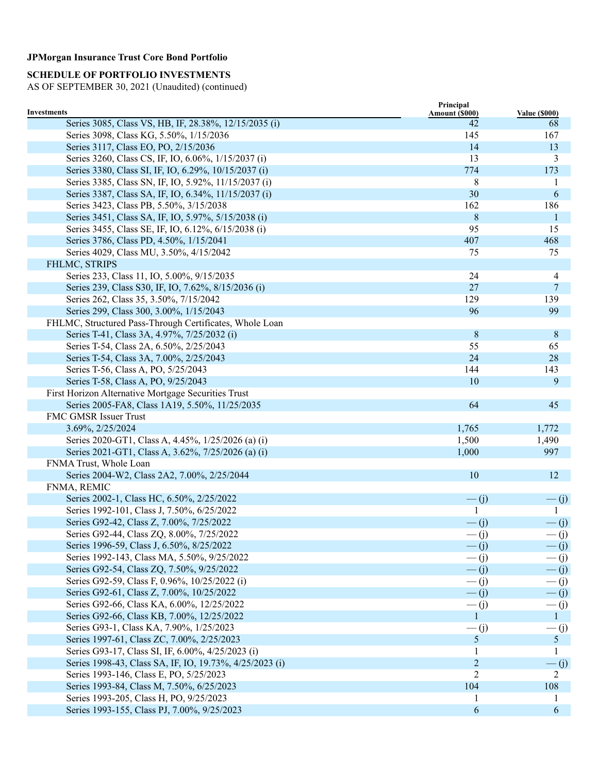# **SCHEDULE OF PORTFOLIO INVESTMENTS**

|                                                                      | Principal            |                            |
|----------------------------------------------------------------------|----------------------|----------------------------|
| Investments<br>Series 3085, Class VS, HB, IF, 28.38%, 12/15/2035 (i) | Amount (\$000)<br>42 | <b>Value (\$000)</b><br>68 |
| Series 3098, Class KG, 5.50%, 1/15/2036                              | 145                  | 167                        |
| Series 3117, Class EO, PO, 2/15/2036                                 | 14                   | 13                         |
| Series 3260, Class CS, IF, IO, 6.06%, 1/15/2037 (i)                  | 13                   | 3                          |
| Series 3380, Class SI, IF, IO, 6.29%, 10/15/2037 (i)                 | 774                  | 173                        |
|                                                                      |                      |                            |
| Series 3385, Class SN, IF, IO, 5.92%, 11/15/2037 (i)                 | 8                    | 1                          |
| Series 3387, Class SA, IF, IO, 6.34%, 11/15/2037 (i)                 | 30                   | 6                          |
| Series 3423, Class PB, 5.50%, 3/15/2038                              | 162                  | 186                        |
| Series 3451, Class SA, IF, IO, 5.97%, 5/15/2038 (i)                  | 8                    | 1                          |
| Series 3455, Class SE, IF, IO, 6.12%, 6/15/2038 (i)                  | 95                   | 15                         |
| Series 3786, Class PD, 4.50%, 1/15/2041                              | 407                  | 468                        |
| Series 4029, Class MU, 3.50%, 4/15/2042                              | 75                   | 75                         |
| FHLMC, STRIPS                                                        |                      |                            |
| Series 233, Class 11, IO, 5.00%, 9/15/2035                           | 24                   | 4                          |
| Series 239, Class S30, IF, IO, 7.62%, 8/15/2036 (i)                  | 27                   | 7                          |
| Series 262, Class 35, 3.50%, 7/15/2042                               | 129                  | 139                        |
| Series 299, Class 300, 3.00%, 1/15/2043                              | 96                   | 99                         |
| FHLMC, Structured Pass-Through Certificates, Whole Loan              |                      |                            |
| Series T-41, Class 3A, 4.97%, 7/25/2032 (i)                          | 8                    | 8                          |
| Series T-54, Class 2A, 6.50%, 2/25/2043                              | 55                   | 65                         |
| Series T-54, Class 3A, 7.00%, 2/25/2043                              | 24                   | 28                         |
| Series T-56, Class A, PO, 5/25/2043                                  | 144                  | 143                        |
| Series T-58, Class A, PO, 9/25/2043                                  | 10                   | 9                          |
| First Horizon Alternative Mortgage Securities Trust                  |                      |                            |
| Series 2005-FA8, Class 1A19, 5.50%, 11/25/2035                       | 64                   | 45                         |
| FMC GMSR Issuer Trust                                                |                      |                            |
| 3.69%, 2/25/2024                                                     | 1,765                | 1,772                      |
| Series 2020-GT1, Class A, 4.45%, 1/25/2026 (a) (i)                   | 1,500                | 1,490                      |
| Series 2021-GT1, Class A, 3.62%, 7/25/2026 (a) (i)                   | 1,000                | 997                        |
| FNMA Trust, Whole Loan                                               |                      |                            |
| Series 2004-W2, Class 2A2, 7.00%, 2/25/2044                          | 10                   | 12                         |
| FNMA, REMIC                                                          |                      |                            |
| Series 2002-1, Class HC, 6.50%, 2/25/2022                            | $\overline{-}$ (j)   | $-(j)$                     |
| Series 1992-101, Class J, 7.50%, 6/25/2022                           | $\mathbf{1}$         | 1                          |
| Series G92-42, Class Z, 7.00%, 7/25/2022                             | $\overline{-}$ (j)   | $-(j)$                     |
| Series G92-44, Class ZQ, 8.00%, 7/25/2022                            | $\overline{-}$ (j)   | $-(j)$                     |
| Series 1996-59, Class J, 6.50%, 8/25/2022                            | $\overline{-}$ (j)   | $\frac{(-1)^{n}}{2}$       |
| Series 1992-143, Class MA, 5.50%, 9/25/2022                          | $\frac{1}{\sqrt{2}}$ | – (j)                      |
| Series G92-54, Class ZQ, 7.50%, 9/25/2022                            | $\overline{-}$ (j)   | $-(j)$                     |
| Series G92-59, Class F, 0.96%, 10/25/2022 (i)                        | $\overline{-}$ (j)   | $-(j)$                     |
| Series G92-61, Class Z, 7.00%, 10/25/2022                            | $-(j)$               | $-(j)$                     |
| Series G92-66, Class KA, 6.00%, 12/25/2022                           | $\overline{-}$ (j)   | $\frac{(-1)^{n}}{2}$       |
| Series G92-66, Class KB, 7.00%, 12/25/2022                           | $\mathbf{1}$         | $\mathbf{1}$               |
| Series G93-1, Class KA, 7.90%, 1/25/2023                             | $\overline{-}$ (j)   | $\frac{1}{\sqrt{2}}$       |
| Series 1997-61, Class ZC, 7.00%, 2/25/2023                           | $\mathfrak{S}$       | 5 <sup>5</sup>             |
| Series G93-17, Class SI, IF, 6.00%, 4/25/2023 (i)                    |                      | 1                          |
| Series 1998-43, Class SA, IF, IO, 19.73%, 4/25/2023 (i)              | $\overline{c}$       | $\frac{(-1)^{2}}{2}$       |
| Series 1993-146, Class E, PO, 5/25/2023                              | $\overline{2}$       | 2                          |
| Series 1993-84, Class M, 7.50%, 6/25/2023                            | 104                  | 108                        |
| Series 1993-205, Class H, PO, 9/25/2023                              |                      |                            |
| Series 1993-155, Class PJ, 7.00%, 9/25/2023                          | 6                    | 6                          |
|                                                                      |                      |                            |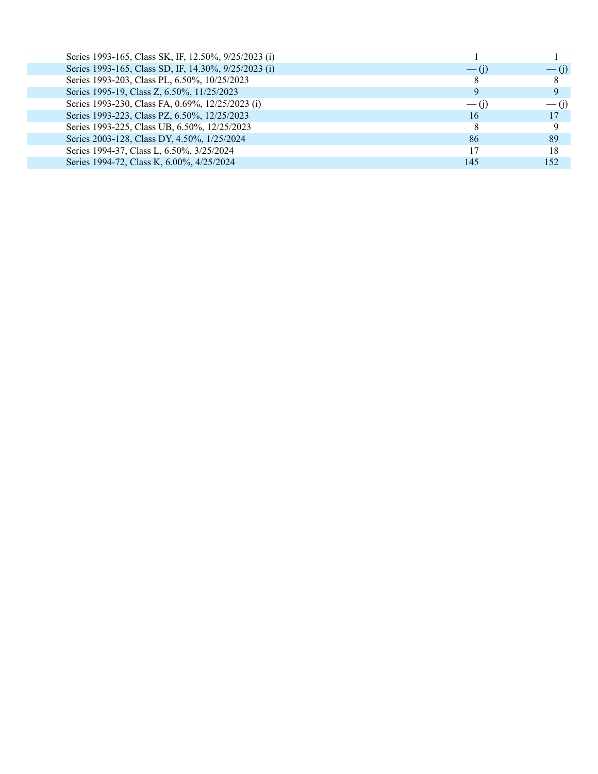| Series 1993-165, Class SK, IF, 12.50%, 9/25/2023 (i) |                    |               |
|------------------------------------------------------|--------------------|---------------|
| Series 1993-165, Class SD, IF, 14.30%, 9/25/2023 (i) | $-$ (1)            | $- (1)$       |
| Series 1993-203, Class PL, 6.50%, 10/25/2023         |                    |               |
| Series 1995-19, Class Z, 6.50%, 11/25/2023           | 9                  |               |
| Series 1993-230, Class FA, 0.69%, 12/25/2023 (i)     | $\overline{-}$ (i) | $\frac{1}{1}$ |
| Series 1993-223, Class PZ, 6.50%, 12/25/2023         | 16                 | 17            |
| Series 1993-225, Class UB, 6.50%, 12/25/2023         |                    |               |
| Series 2003-128, Class DY, 4.50%, 1/25/2024          | 86                 | 89            |
| Series 1994-37, Class L, 6.50%, 3/25/2024            | 17                 | 18            |
| Series 1994-72, Class K, 6.00%, 4/25/2024            | 145                | 152           |
|                                                      |                    |               |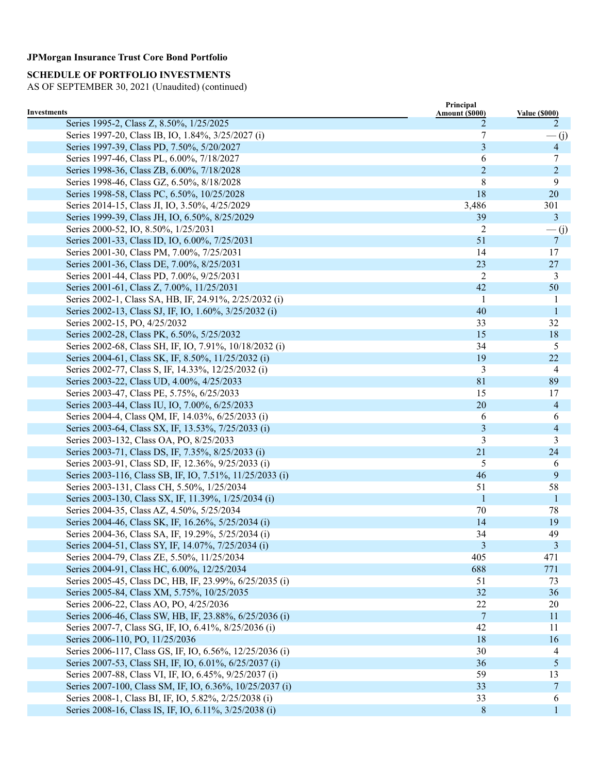# **SCHEDULE OF PORTFOLIO INVESTMENTS**

| Investments                                              | Principal           |                           |
|----------------------------------------------------------|---------------------|---------------------------|
| Series 1995-2, Class Z, 8.50%, 1/25/2025                 | Amount (\$000)<br>2 | <b>Value (\$000)</b><br>2 |
| Series 1997-20, Class IB, IO, 1.84%, 3/25/2027 (i)       | 7                   | $\frac{(-1)^{n}}{2}$      |
| Series 1997-39, Class PD, 7.50%, 5/20/2027               | 3                   | $\overline{4}$            |
| Series 1997-46, Class PL, 6.00%, 7/18/2027               | 6                   | 7                         |
| Series 1998-36, Class ZB, 6.00%, 7/18/2028               | $\overline{2}$      | $\overline{2}$            |
| Series 1998-46, Class GZ, 6.50%, 8/18/2028               | 8                   | 9                         |
| Series 1998-58, Class PC, 6.50%, 10/25/2028              | 18                  | 20                        |
| Series 2014-15, Class JI, IO, 3.50%, 4/25/2029           | 3,486               | 301                       |
| Series 1999-39, Class JH, IO, 6.50%, 8/25/2029           | 39                  | $\mathbf{3}$              |
| Series 2000-52, IO, 8.50%, 1/25/2031                     | 2                   | $\frac{(-1)^{2}}{2}$      |
| Series 2001-33, Class ID, IO, 6.00%, 7/25/2031           | 51                  | $\overline{7}$            |
| Series 2001-30, Class PM, 7.00%, 7/25/2031               | 14                  | 17                        |
| Series 2001-36, Class DE, 7.00%, 8/25/2031               | 23                  | 27                        |
| Series 2001-44, Class PD, 7.00%, 9/25/2031               | 2                   | 3                         |
| Series 2001-61, Class Z, 7.00%, 11/25/2031               | 42                  | 50                        |
| Series 2002-1, Class SA, HB, IF, 24.91%, 2/25/2032 (i)   | -1                  | -1                        |
| Series 2002-13, Class SJ, IF, IO, 1.60%, 3/25/2032 (i)   | 40                  | -1                        |
| Series 2002-15, PO, 4/25/2032                            | 33                  | 32                        |
| Series 2002-28, Class PK, 6.50%, 5/25/2032               | 15                  | 18                        |
| Series 2002-68, Class SH, IF, IO, 7.91%, 10/18/2032 (i)  | 34                  | 5                         |
| Series 2004-61, Class SK, IF, 8.50%, 11/25/2032 (i)      | 19                  | 22                        |
| Series 2002-77, Class S, IF, 14.33%, 12/25/2032 (i)      | 3                   | 4                         |
| Series 2003-22, Class UD, 4.00%, 4/25/2033               | 81                  | 89                        |
| Series 2003-47, Class PE, 5.75%, 6/25/2033               | 15                  | 17                        |
| Series 2003-44, Class IU, IO, 7.00%, 6/25/2033           | 20                  | $\overline{4}$            |
| Series 2004-4, Class QM, IF, 14.03%, 6/25/2033 (i)       | 6                   | 6                         |
| Series 2003-64, Class SX, IF, 13.53%, 7/25/2033 (i)      | 3                   | $\overline{4}$            |
| Series 2003-132, Class OA, PO, 8/25/2033                 | 3                   | 3                         |
| Series 2003-71, Class DS, IF, 7.35%, 8/25/2033 (i)       | 21                  | 24                        |
| Series 2003-91, Class SD, IF, 12.36%, 9/25/2033 (i)      | 5                   | 6                         |
| Series 2003-116, Class SB, IF, IO, 7.51%, 11/25/2033 (i) | 46                  | 9                         |
| Series 2003-131, Class CH, 5.50%, 1/25/2034              | 51                  | 58                        |
| Series 2003-130, Class SX, IF, 11.39%, 1/25/2034 (i)     | -1                  | -1                        |
| Series 2004-35, Class AZ, 4.50%, 5/25/2034               | 70                  | 78                        |
| Series 2004-46, Class SK, IF, 16.26%, 5/25/2034 (i)      | 14                  | 19                        |
| Series 2004-36, Class SA, IF, 19.29%, 5/25/2034 (i)      | 34                  | 49                        |
| Series 2004-51, Class SY, IF, 14.07%, 7/25/2034 (i)      | 3                   | 3                         |
| Series 2004-79, Class ZE, 5.50%, 11/25/2034              | 405                 | 471                       |
| Series 2004-91, Class HC, 6.00%, 12/25/2034              | 688                 | 771                       |
| Series 2005-45, Class DC, HB, IF, 23.99%, 6/25/2035 (i)  | 51                  | 73                        |
| Series 2005-84, Class XM, 5.75%, 10/25/2035              | 32                  | 36                        |
| Series 2006-22, Class AO, PO, 4/25/2036                  | 22                  | 20                        |
| Series 2006-46, Class SW, HB, IF, 23.88%, 6/25/2036 (i)  | 7                   | 11                        |
| Series 2007-7, Class SG, IF, IO, 6.41%, 8/25/2036 (i)    | 42                  | 11                        |
| Series 2006-110, PO, 11/25/2036                          | 18                  | 16                        |
| Series 2006-117, Class GS, IF, IO, 6.56%, 12/25/2036 (i) | 30                  | 4                         |
| Series 2007-53, Class SH, IF, IO, 6.01%, 6/25/2037 (i)   | 36                  | 5                         |
| Series 2007-88, Class VI, IF, IO, 6.45%, 9/25/2037 (i)   | 59                  | 13                        |
| Series 2007-100, Class SM, IF, IO, 6.36%, 10/25/2037 (i) | 33                  | 7                         |
| Series 2008-1, Class BI, IF, IO, 5.82%, 2/25/2038 (i)    | 33                  | 6                         |
| Series 2008-16, Class IS, IF, IO, 6.11%, 3/25/2038 (i)   | 8                   | $\mathbf{1}$              |
|                                                          |                     |                           |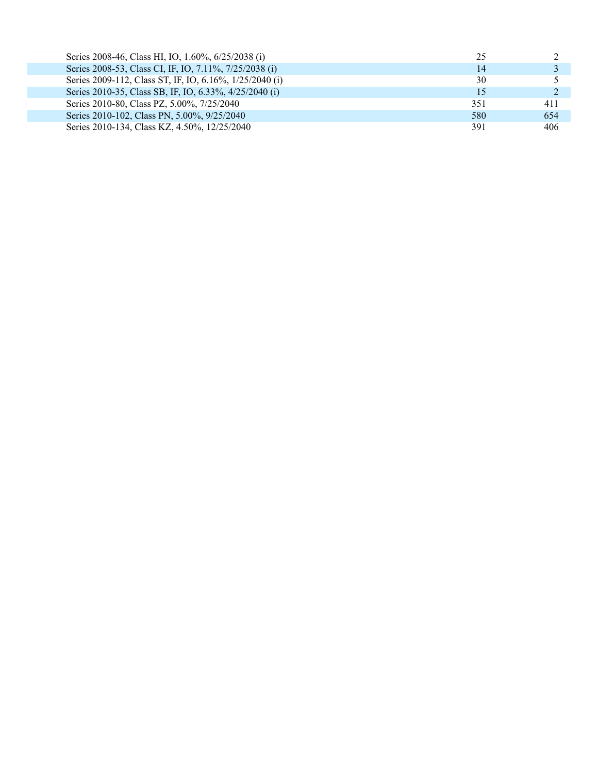| Series 2008-46, Class HI, IO, 1.60%, 6/25/2038 (i)      | 25  |     |
|---------------------------------------------------------|-----|-----|
| Series 2008-53, Class CI, IF, IO, 7.11%, 7/25/2038 (i)  | 14  |     |
| Series 2009-112, Class ST, IF, IO, 6.16%, 1/25/2040 (i) | 30  |     |
| Series 2010-35, Class SB, IF, IO, 6.33%, 4/25/2040 (i)  | 15  |     |
| Series 2010-80, Class PZ, 5.00%, 7/25/2040              | 351 | 411 |
| Series 2010-102, Class PN, 5.00%, 9/25/2040             | 580 | 654 |
| Series 2010-134, Class KZ, 4.50%, 12/25/2040            | 391 | 406 |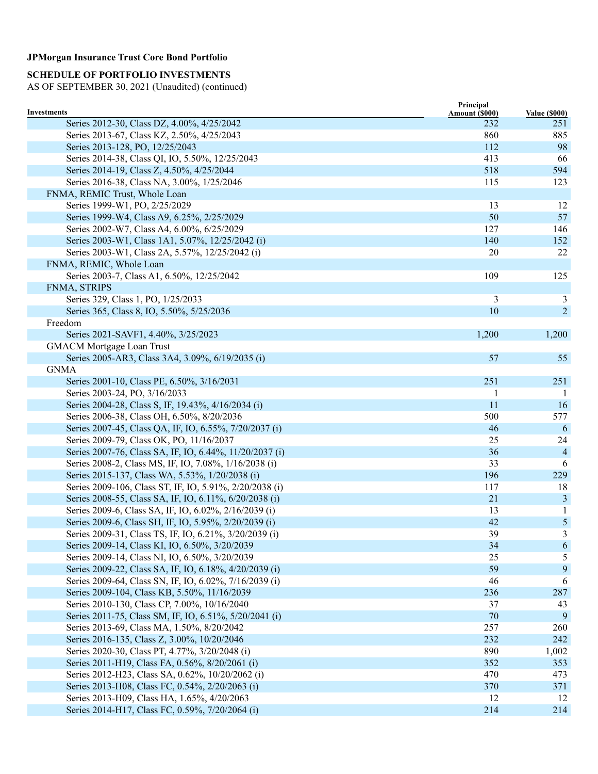# **SCHEDULE OF PORTFOLIO INVESTMENTS**

| Investments                                             | Principal<br>Amount (\$000) | <b>Value (\$000)</b> |
|---------------------------------------------------------|-----------------------------|----------------------|
| Series 2012-30, Class DZ, 4.00%, 4/25/2042              | 232                         | 251                  |
| Series 2013-67, Class KZ, 2.50%, 4/25/2043              | 860                         | 885                  |
| Series 2013-128, PO, 12/25/2043                         | 112                         | 98                   |
| Series 2014-38, Class QI, IO, 5.50%, 12/25/2043         | 413                         | 66                   |
| Series 2014-19, Class Z, 4.50%, 4/25/2044               | 518                         | 594                  |
| Series 2016-38, Class NA, 3.00%, 1/25/2046              | 115                         | 123                  |
| FNMA, REMIC Trust, Whole Loan                           |                             |                      |
| Series 1999-W1, PO, 2/25/2029                           | 13                          | 12                   |
| Series 1999-W4, Class A9, 6.25%, 2/25/2029              | 50                          | 57                   |
| Series 2002-W7, Class A4, 6.00%, 6/25/2029              | 127                         | 146                  |
| Series 2003-W1, Class 1A1, 5.07%, 12/25/2042 (i)        | 140                         | 152                  |
| Series 2003-W1, Class 2A, 5.57%, 12/25/2042 (i)         | 20                          | 22                   |
| FNMA, REMIC, Whole Loan                                 |                             |                      |
| Series 2003-7, Class A1, 6.50%, 12/25/2042              | 109                         | 125                  |
| FNMA, STRIPS                                            |                             |                      |
| Series 329, Class 1, PO, 1/25/2033                      | 3                           | 3                    |
| Series 365, Class 8, IO, 5.50%, 5/25/2036               | 10                          | 2                    |
| Freedom                                                 |                             |                      |
| Series 2021-SAVF1, 4.40%, 3/25/2023                     | 1,200                       | 1,200                |
| <b>GMACM Mortgage Loan Trust</b>                        |                             |                      |
| Series 2005-AR3, Class 3A4, 3.09%, 6/19/2035 (i)        | 57                          | 55                   |
| <b>GNMA</b>                                             |                             |                      |
| Series 2001-10, Class PE, 6.50%, 3/16/2031              | 251                         | 251                  |
| Series 2003-24, PO, 3/16/2033                           |                             | -1                   |
| Series 2004-28, Class S, IF, 19.43%, 4/16/2034 (i)      | 11                          | <b>16</b>            |
| Series 2006-38, Class OH, 6.50%, 8/20/2036              | 500                         | 577                  |
| Series 2007-45, Class QA, IF, IO, 6.55%, 7/20/2037 (i)  | 46                          | -6                   |
| Series 2009-79, Class OK, PO, 11/16/2037                | 25                          | 24                   |
| Series 2007-76, Class SA, IF, IO, 6.44%, 11/20/2037 (i) | 36                          | $\overline{4}$       |
| Series 2008-2, Class MS, IF, IO, 7.08%, 1/16/2038 (i)   | 33                          | 6                    |
| Series 2015-137, Class WA, 5.53%, 1/20/2038 (i)         | 196                         | 229                  |
| Series 2009-106, Class ST, IF, IO, 5.91%, 2/20/2038 (i) | 117                         | 18                   |
| Series 2008-55, Class SA, IF, IO, 6.11%, 6/20/2038 (i)  | 21                          | $\mathfrak{Z}$       |
| Series 2009-6, Class SA, IF, IO, 6.02%, 2/16/2039 (i)   | 13                          | 1                    |
| Series 2009-6, Class SH, IF, IO, 5.95%, 2/20/2039 (i)   | 42                          | 5                    |
| Series 2009-31, Class TS, IF, IO, 6.21%, 3/20/2039 (i)  | 39                          | 3                    |
| Series 2009-14, Class KI, IO, 6.50%, 3/20/2039          | 34                          | 6                    |
| Series 2009-14, Class NI, IO, 6.50%, 3/20/2039          | 25                          | 5                    |
| Series 2009-22, Class SA, IF, IO, 6.18%, 4/20/2039 (i)  | 59                          | 9                    |
| Series 2009-64, Class SN, IF, IO, 6.02%, 7/16/2039 (i)  | 46                          | 6                    |
| Series 2009-104, Class KB, 5.50%, 11/16/2039            | 236                         | 287                  |
| Series 2010-130, Class CP, 7.00%, 10/16/2040            | 37                          | 43                   |
| Series 2011-75, Class SM, IF, IO, 6.51%, 5/20/2041 (i)  | 70                          | 9                    |
| Series 2013-69, Class MA, 1.50%, 8/20/2042              | 257                         | 260                  |
| Series 2016-135, Class Z, 3.00%, 10/20/2046             | 232                         | 242                  |
| Series 2020-30, Class PT, 4.77%, 3/20/2048 (i)          | 890                         | 1,002                |
| Series 2011-H19, Class FA, 0.56%, 8/20/2061 (i)         | 352                         | 353                  |
| Series 2012-H23, Class SA, 0.62%, 10/20/2062 (i)        | 470                         | 473                  |
| Series 2013-H08, Class FC, 0.54%, 2/20/2063 (i)         | 370                         | 371                  |
| Series 2013-H09, Class HA, 1.65%, 4/20/2063             | 12                          | 12                   |
| Series 2014-H17, Class FC, 0.59%, 7/20/2064 (i)         | 214                         | 214                  |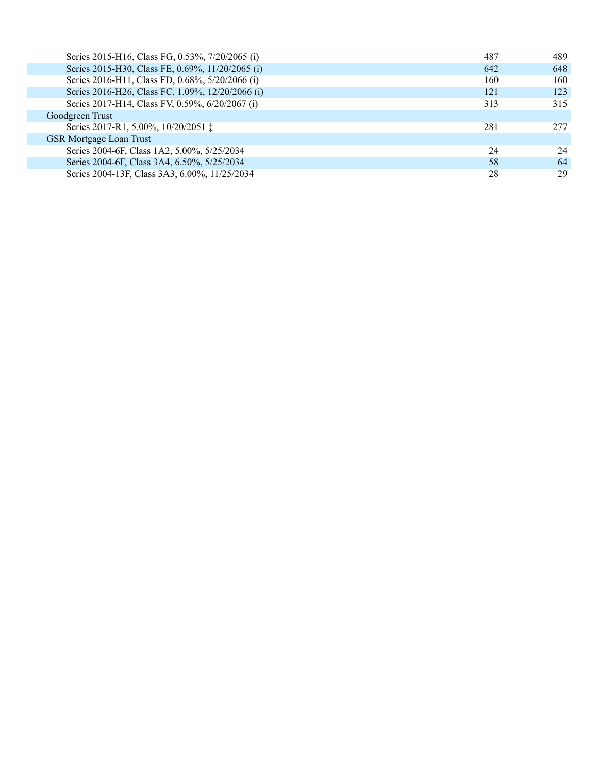| Series 2015-H16, Class FG, 0.53%, 7/20/2065 (i)  | 487 | 489  |
|--------------------------------------------------|-----|------|
| Series 2015-H30, Class FE, 0.69%, 11/20/2065 (i) | 642 | 648  |
| Series 2016-H11, Class FD, 0.68%, 5/20/2066 (i)  | 160 | 160  |
| Series 2016-H26, Class FC, 1.09%, 12/20/2066 (i) | 121 | 123  |
| Series 2017-H14, Class FV, 0.59%, 6/20/2067 (i)  | 313 | 315  |
| Goodgreen Trust                                  |     |      |
| Series 2017-R1, 5.00%, 10/20/2051 ‡              | 281 | 2.77 |
| <b>GSR Mortgage Loan Trust</b>                   |     |      |
| Series 2004-6F, Class 1A2, 5.00%, 5/25/2034      | 24  | 24   |
| Series 2004-6F, Class 3A4, 6.50%, 5/25/2034      | 58  | 64   |
| Series 2004-13F, Class 3A3, 6.00%, 11/25/2034    | 28  | 29   |
|                                                  |     |      |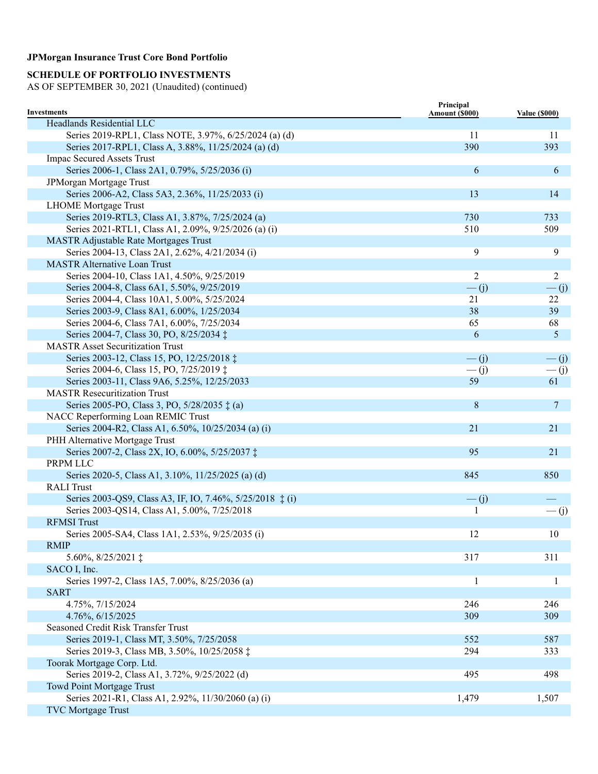# **SCHEDULE OF PORTFOLIO INVESTMENTS**

| Investments                                               | Principal<br>Amount (\$000) | <b>Value (\$000)</b> |
|-----------------------------------------------------------|-----------------------------|----------------------|
| Headlands Residential LLC                                 |                             |                      |
| Series 2019-RPL1, Class NOTE, 3.97%, 6/25/2024 (a) (d)    | 11                          | 11                   |
| Series 2017-RPL1, Class A, 3.88%, 11/25/2024 (a) (d)      | 390                         | 393                  |
| <b>Impac Secured Assets Trust</b>                         |                             |                      |
| Series 2006-1, Class 2A1, 0.79%, 5/25/2036 (i)            | 6                           | 6                    |
| JPMorgan Mortgage Trust                                   |                             |                      |
| Series 2006-A2, Class 5A3, 2.36%, 11/25/2033 (i)          | 13                          | 14                   |
| <b>LHOME</b> Mortgage Trust                               |                             |                      |
| Series 2019-RTL3, Class A1, 3.87%, 7/25/2024 (a)          | 730                         | 733                  |
| Series 2021-RTL1, Class A1, 2.09%, 9/25/2026 (a) (i)      | 510                         | 509                  |
| <b>MASTR Adjustable Rate Mortgages Trust</b>              |                             |                      |
| Series 2004-13, Class 2A1, 2.62%, 4/21/2034 (i)           | 9                           | 9                    |
| <b>MASTR Alternative Loan Trust</b>                       |                             |                      |
| Series 2004-10, Class 1A1, 4.50%, 9/25/2019               | $\overline{2}$              | 2                    |
| Series 2004-8, Class 6A1, 5.50%, 9/25/2019                | $\overline{-}$ (j)          | $\frac{(-1)^{n}}{2}$ |
| Series 2004-4, Class 10A1, 5.00%, 5/25/2024               | 21                          | 22                   |
| Series 2003-9, Class 8A1, 6.00%, 1/25/2034                | 38                          | 39                   |
| Series 2004-6, Class 7A1, 6.00%, 7/25/2034                | 65                          | 68                   |
| Series 2004-7, Class 30, PO, 8/25/2034 ‡                  | 6                           | $\mathfrak{S}$       |
| <b>MASTR Asset Securitization Trust</b>                   |                             |                      |
| Series 2003-12, Class 15, PO, 12/25/2018 ‡                | $\overline{-}$ (j)          | $-(j)$               |
| Series 2004-6, Class 15, PO, 7/25/2019 ‡                  | $\frac{(-1)^{n}}{2}$        | $\frac{(-1)^{n}}{2}$ |
| Series 2003-11, Class 9A6, 5.25%, 12/25/2033              | 59                          | 61                   |
| <b>MASTR Resecuritization Trust</b>                       |                             |                      |
| Series 2005-PO, Class 3, PO, 5/28/2035 $\ddagger$ (a)     | 8                           | $\overline{7}$       |
| NACC Reperforming Loan REMIC Trust                        |                             |                      |
| Series 2004-R2, Class A1, 6.50%, 10/25/2034 (a) (i)       | 21                          | 21                   |
| PHH Alternative Mortgage Trust                            |                             |                      |
| Series 2007-2, Class 2X, IO, 6.00%, 5/25/2037 ‡           | 95                          | 21                   |
| PRPM LLC                                                  |                             |                      |
| Series 2020-5, Class A1, 3.10%, 11/25/2025 (a) (d)        | 845                         | 850                  |
| <b>RALI</b> Trust                                         |                             |                      |
| Series 2003-QS9, Class A3, IF, IO, 7.46%, 5/25/2018 ‡ (i) | $\overline{-}$ (j)          |                      |
| Series 2003-QS14, Class A1, 5.00%, 7/25/2018              | 1                           | $\frac{(-1)^{n}}{2}$ |
| <b>RFMSI</b> Trust                                        |                             |                      |
| Series 2005-SA4, Class 1A1, 2.53%, 9/25/2035 (i)          | 12                          | 10                   |
| <b>RMIP</b>                                               |                             |                      |
| 5.60%, 8/25/2021 $\ddagger$                               | 317                         | 311                  |
| SACO I, Inc.                                              |                             |                      |
| Series 1997-2, Class 1A5, 7.00%, 8/25/2036 (a)            | 1                           | 1                    |
| <b>SART</b>                                               |                             |                      |
| 4.75%, 7/15/2024                                          | 246                         | 246                  |
| 4.76%, 6/15/2025                                          | 309                         | 309                  |
| Seasoned Credit Risk Transfer Trust                       |                             |                      |
| Series 2019-1, Class MT, 3.50%, 7/25/2058                 | 552                         | 587                  |
| Series 2019-3, Class MB, 3.50%, 10/25/2058 ‡              | 294                         | 333                  |
| Toorak Mortgage Corp. Ltd.                                |                             |                      |
| Series 2019-2, Class A1, 3.72%, 9/25/2022 (d)             | 495                         | 498                  |
| Towd Point Mortgage Trust                                 |                             |                      |
| Series 2021-R1, Class A1, 2.92%, 11/30/2060 (a) (i)       | 1,479                       | 1,507                |
| <b>TVC</b> Mortgage Trust                                 |                             |                      |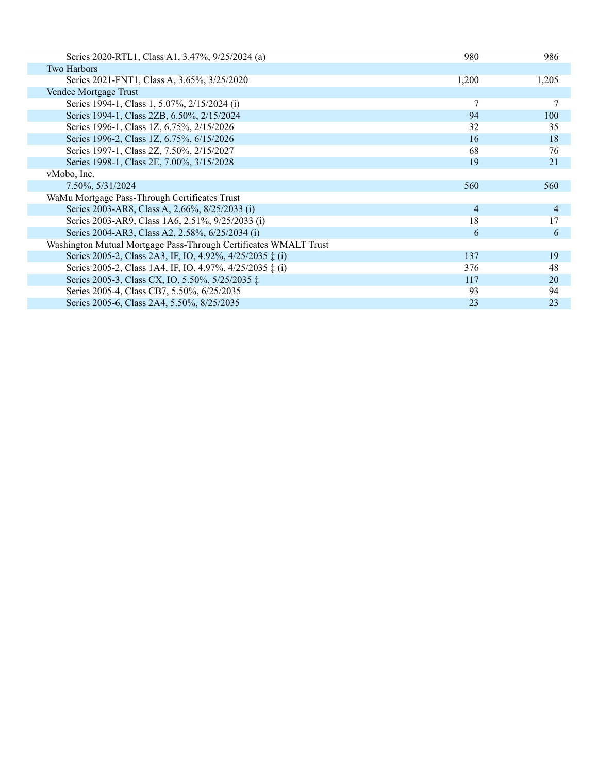| Series 2020-RTL1, Class A1, 3.47%, 9/25/2024 (a)                  | 980   | 986   |
|-------------------------------------------------------------------|-------|-------|
| <b>Two Harbors</b>                                                |       |       |
| Series 2021-FNT1, Class A, 3.65%, 3/25/2020                       | 1,200 | 1,205 |
| Vendee Mortgage Trust                                             |       |       |
| Series 1994-1, Class 1, 5.07%, 2/15/2024 (i)                      |       |       |
| Series 1994-1, Class 2ZB, 6.50%, 2/15/2024                        | 94    | 100   |
| Series 1996-1, Class 1Z, 6.75%, 2/15/2026                         | 32    | 35    |
| Series 1996-2, Class 1Z, 6.75%, 6/15/2026                         | 16    | 18    |
| Series 1997-1, Class 2Z, 7.50%, 2/15/2027                         | 68    | 76    |
| Series 1998-1, Class 2E, 7.00%, 3/15/2028                         | 19    | 21    |
| vMobo, Inc.                                                       |       |       |
| 7.50%, 5/31/2024                                                  | 560   | 560   |
| WaMu Mortgage Pass-Through Certificates Trust                     |       |       |
| Series 2003-AR8, Class A, 2.66%, 8/25/2033 (i)                    | 4     | 4     |
| Series 2003-AR9, Class 1A6, 2.51%, 9/25/2033 (i)                  | 18    | 17    |
| Series 2004-AR3, Class A2, 2.58%, 6/25/2034 (i)                   | 6     | 6     |
| Washington Mutual Mortgage Pass-Through Certificates WMALT Trust  |       |       |
| Series 2005-2, Class 2A3, IF, IO, 4.92%, 4/25/2035 $\ddagger$ (i) | 137   | 19    |
| Series 2005-2, Class 1A4, IF, IO, 4.97%, 4/25/2035 $\ddagger$ (i) | 376   | 48    |
| Series 2005-3, Class CX, IO, 5.50%, 5/25/2035 ‡                   | 117   | 20    |
| Series 2005-4, Class CB7, 5.50%, 6/25/2035                        | 93    | 94    |
| Series 2005-6, Class 2A4, 5.50%, 8/25/2035                        | 23    | 23    |
|                                                                   |       |       |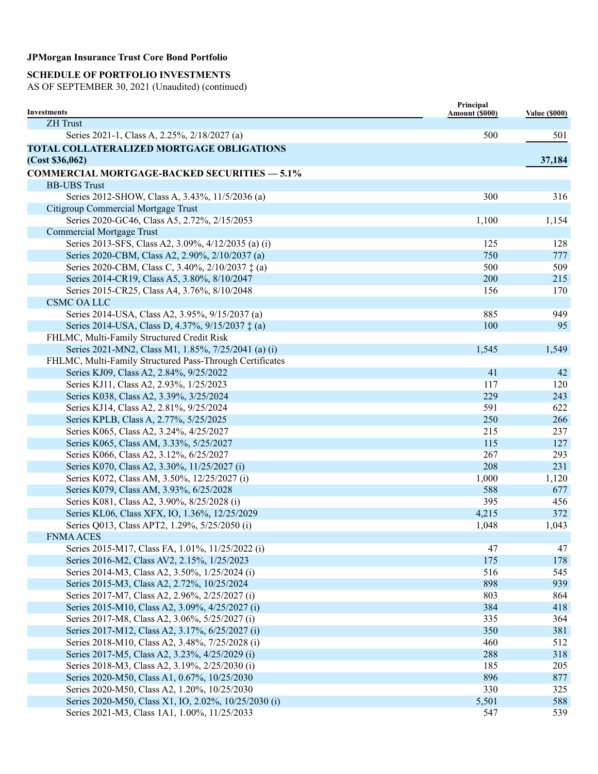### **SCHEDULE OF PORTFOLIO INVESTMENTS**

| Investments                                              | Principal<br>Amount (\$000) | <b>Value (\$000)</b> |
|----------------------------------------------------------|-----------------------------|----------------------|
| <b>ZH</b> Trust                                          |                             |                      |
| Series 2021-1, Class A, 2.25%, 2/18/2027 (a)             | 500                         | 501                  |
| TOTAL COLLATERALIZED MORTGAGE OBLIGATIONS                |                             |                      |
| (Cost \$36,062)                                          |                             | 37,184               |
| <b>COMMERCIAL MORTGAGE-BACKED SECURITIES - 5.1%</b>      |                             |                      |
| <b>BB-UBS Trust</b>                                      |                             |                      |
| Series 2012-SHOW, Class A, 3.43%, 11/5/2036 (a)          | 300                         | 316                  |
| Citigroup Commercial Mortgage Trust                      |                             |                      |
| Series 2020-GC46, Class A5, 2.72%, 2/15/2053             | 1,100                       | 1,154                |
| <b>Commercial Mortgage Trust</b>                         |                             |                      |
| Series 2013-SFS, Class A2, 3.09%, 4/12/2035 (a) (i)      | 125                         | 128                  |
| Series 2020-CBM, Class A2, 2.90%, 2/10/2037 (a)          | 750                         | 777                  |
| Series 2020-CBM, Class C, 3.40%, 2/10/2037 ‡ (a)         | 500                         | 509                  |
| Series 2014-CR19, Class A5, 3.80%, 8/10/2047             | 200                         | 215                  |
| Series 2015-CR25, Class A4, 3.76%, 8/10/2048             | 156                         | 170                  |
| <b>CSMC OA LLC</b>                                       |                             |                      |
| Series 2014-USA, Class A2, 3.95%, 9/15/2037 (a)          | 885                         | 949                  |
| Series 2014-USA, Class D, 4.37%, 9/15/2037 ‡ (a)         | 100                         | 95                   |
| FHLMC, Multi-Family Structured Credit Risk               |                             |                      |
| Series 2021-MN2, Class M1, 1.85%, 7/25/2041 (a) (i)      | 1,545                       | 1,549                |
| FHLMC, Multi-Family Structured Pass-Through Certificates |                             |                      |
| Series KJ09, Class A2, 2.84%, 9/25/2022                  | 41                          | 42                   |
| Series KJ11, Class A2, 2.93%, 1/25/2023                  | 117                         | 120                  |
| Series K038, Class A2, 3.39%, 3/25/2024                  | 229                         | 243                  |
| Series KJ14, Class A2, 2.81%, 9/25/2024                  | 591                         | 622                  |
| Series KPLB, Class A, 2.77%, 5/25/2025                   | 250                         | 266                  |
| Series K065, Class A2, 3.24%, 4/25/2027                  | 215                         | 237                  |
| Series K065, Class AM, 3.33%, 5/25/2027                  | 115                         | 127                  |
| Series K066, Class A2, 3.12%, 6/25/2027                  | 267                         | 293                  |
| Series K070, Class A2, 3.30%, 11/25/2027 (i)             | 208                         | 231                  |
| Series K072, Class AM, 3.50%, 12/25/2027 (i)             | 1,000                       | 1,120                |
| Series K079, Class AM, 3.93%, 6/25/2028                  | 588                         | 677                  |
| Series K081, Class A2, 3.90%, 8/25/2028 (i)              | 395                         | 456                  |
| Series KL06, Class XFX, IO, 1.36%, 12/25/2029            | 4,215                       | 372                  |
| Series Q013, Class APT2, 1.29%, 5/25/2050 (i)            | 1,048                       | 1,043                |
| <b>FNMA ACES</b>                                         |                             |                      |
| Series 2015-M17, Class FA, 1.01%, 11/25/2022 (i)         | 47                          | 47                   |
| Series 2016-M2, Class AV2, 2.15%, 1/25/2023              | 175                         | 178                  |
| Series 2014-M3, Class A2, 3.50%, 1/25/2024 (i)           | 516                         | 545                  |
| Series 2015-M3, Class A2, 2.72%, 10/25/2024              | 898                         | 939                  |
| Series 2017-M7, Class A2, 2.96%, 2/25/2027 (i)           | 803                         | 864                  |
| Series 2015-M10, Class A2, 3.09%, 4/25/2027 (i)          | 384                         | 418                  |
| Series 2017-M8, Class A2, 3.06%, 5/25/2027 (i)           | 335                         | 364                  |
| Series 2017-M12, Class A2, 3.17%, 6/25/2027 (i)          | 350                         | 381                  |
| Series 2018-M10, Class A2, 3.48%, 7/25/2028 (i)          | 460                         | 512                  |
| Series 2017-M5, Class A2, 3.23%, 4/25/2029 (i)           | 288                         | 318                  |
| Series 2018-M3, Class A2, 3.19%, 2/25/2030 (i)           | 185                         | 205                  |
| Series 2020-M50, Class A1, 0.67%, 10/25/2030             | 896                         | 877                  |
| Series 2020-M50, Class A2, 1.20%, 10/25/2030             | 330                         | 325                  |
| Series 2020-M50, Class X1, IO, 2.02%, 10/25/2030 (i)     | 5,501                       | 588                  |
| Series 2021-M3, Class 1A1, 1.00%, 11/25/2033             | 547                         | 539                  |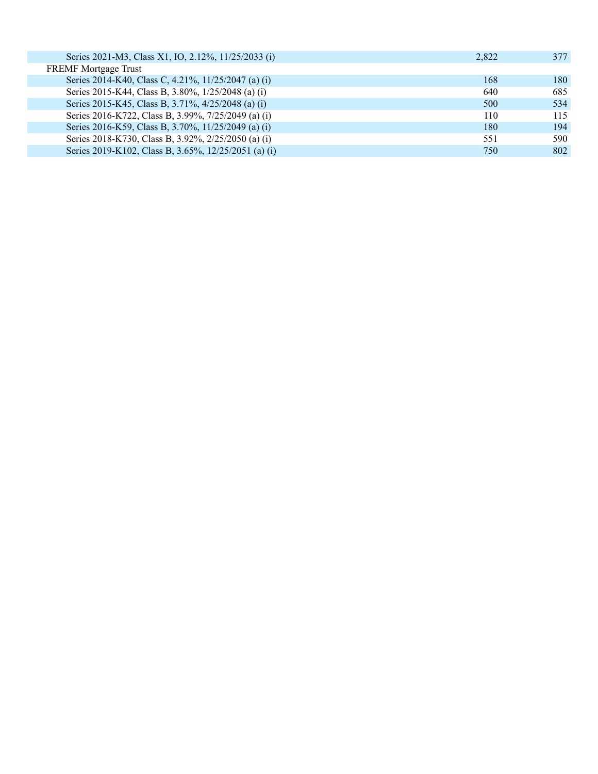| Series 2021-M3, Class X1, IO, 2.12%, 11/25/2033 (i)  | 2.822 | 377  |
|------------------------------------------------------|-------|------|
| <b>FREMF</b> Mortgage Trust                          |       |      |
| Series 2014-K40, Class C, 4.21%, 11/25/2047 (a) (i)  | 168   | 180- |
| Series 2015-K44, Class B, 3.80%, 1/25/2048 (a) (i)   | 640   | 685  |
| Series 2015-K45, Class B, 3.71%, 4/25/2048 (a) (i)   | 500   | 534  |
| Series 2016-K722, Class B, 3.99%, 7/25/2049 (a) (i)  | 110   | 115  |
| Series 2016-K59, Class B, 3.70%, 11/25/2049 (a) (i)  | 180   | 194  |
| Series 2018-K730, Class B, 3.92%, 2/25/2050 (a) (i)  | 551   | 590  |
| Series 2019-K102, Class B, 3.65%, 12/25/2051 (a) (i) | 750   | 802  |
|                                                      |       |      |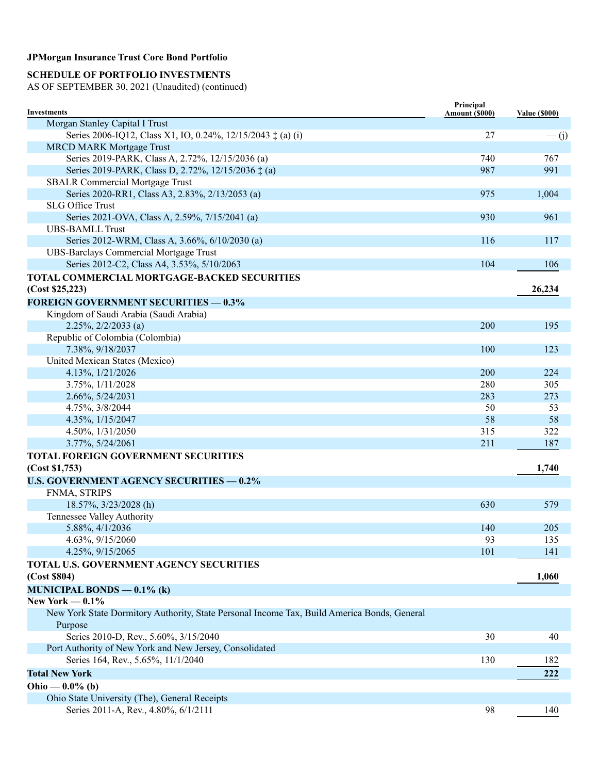### **SCHEDULE OF PORTFOLIO INVESTMENTS**

| <b>Investments</b>                                                                          | Principal<br>Amount (\$000) | <b>Value (\$000)</b> |
|---------------------------------------------------------------------------------------------|-----------------------------|----------------------|
| Morgan Stanley Capital I Trust                                                              |                             |                      |
| Series 2006-IQ12, Class X1, IO, 0.24%, 12/15/2043 $\ddagger$ (a) (i)                        | 27                          | $\frac{(-1)^{n}}{2}$ |
| <b>MRCD MARK Mortgage Trust</b>                                                             |                             |                      |
| Series 2019-PARK, Class A, 2.72%, 12/15/2036 (a)                                            | 740                         | 767                  |
| Series 2019-PARK, Class D, 2.72%, 12/15/2036 ‡ (a)                                          | 987                         | 991                  |
| <b>SBALR Commercial Mortgage Trust</b>                                                      |                             |                      |
| Series 2020-RR1, Class A3, 2.83%, 2/13/2053 (a)                                             | 975                         | 1,004                |
| <b>SLG Office Trust</b>                                                                     |                             |                      |
| Series 2021-OVA, Class A, 2.59%, 7/15/2041 (a)                                              | 930                         | 961                  |
| <b>UBS-BAMLL Trust</b>                                                                      |                             |                      |
| Series 2012-WRM, Class A, 3.66%, 6/10/2030 (a)                                              | 116                         | 117                  |
| <b>UBS-Barclays Commercial Mortgage Trust</b>                                               |                             |                      |
| Series 2012-C2, Class A4, 3.53%, 5/10/2063                                                  | 104                         | 106                  |
| TOTAL COMMERCIAL MORTGAGE-BACKED SECURITIES                                                 |                             |                      |
| (Cost \$25,223)                                                                             |                             | 26,234               |
| <b>FOREIGN GOVERNMENT SECURITIES - 0.3%</b>                                                 |                             |                      |
| Kingdom of Saudi Arabia (Saudi Arabia)                                                      |                             |                      |
| $2.25\%, 2/2/2033$ (a)                                                                      | 200                         | 195                  |
| Republic of Colombia (Colombia)                                                             |                             |                      |
| 7.38%, 9/18/2037                                                                            | 100                         | 123                  |
| United Mexican States (Mexico)                                                              |                             |                      |
| 4.13%, 1/21/2026                                                                            | 200                         | 224                  |
| 3.75%, 1/11/2028                                                                            | 280                         | 305                  |
| 2.66%, 5/24/2031                                                                            | 283                         | 273                  |
| 4.75%, 3/8/2044                                                                             | 50                          | 53                   |
| 4.35%, 1/15/2047                                                                            | 58                          | 58                   |
| 4.50%, 1/31/2050                                                                            | 315                         | 322                  |
| 3.77%, 5/24/2061                                                                            | 211                         | 187                  |
| TOTAL FOREIGN GOVERNMENT SECURITIES                                                         |                             |                      |
| (Cost \$1,753)                                                                              |                             | 1,740                |
| <b>U.S. GOVERNMENT AGENCY SECURITIES - 0.2%</b>                                             |                             |                      |
| FNMA, STRIPS                                                                                |                             |                      |
| 18.57%, 3/23/2028 (h)                                                                       | 630                         | 579                  |
| Tennessee Valley Authority                                                                  |                             |                      |
| 5.88%, 4/1/2036                                                                             | 140                         | 205                  |
| 4.63%, 9/15/2060                                                                            | 93                          | 135                  |
| 4.25%, 9/15/2065                                                                            | 101                         | 141                  |
| TOTAL U.S. GOVERNMENT AGENCY SECURITIES                                                     |                             |                      |
| (Cost \$804)                                                                                |                             | 1,060                |
| MUNICIPAL BONDS $-0.1\%$ (k)                                                                |                             |                      |
| New York $-0.1\%$                                                                           |                             |                      |
| New York State Dormitory Authority, State Personal Income Tax, Build America Bonds, General |                             |                      |
|                                                                                             |                             |                      |
| Purpose<br>Series 2010-D, Rev., 5.60%, 3/15/2040                                            | 30                          | 40                   |
| Port Authority of New York and New Jersey, Consolidated                                     |                             |                      |
|                                                                                             | 130                         |                      |
| Series 164, Rev., 5.65%, 11/1/2040                                                          |                             | 182                  |
| <b>Total New York</b>                                                                       |                             | 222                  |
| Ohio — $0.0\%$ (b)                                                                          |                             |                      |
| Ohio State University (The), General Receipts                                               |                             |                      |
| Series 2011-A, Rev., 4.80%, 6/1/2111                                                        | 98                          | 140                  |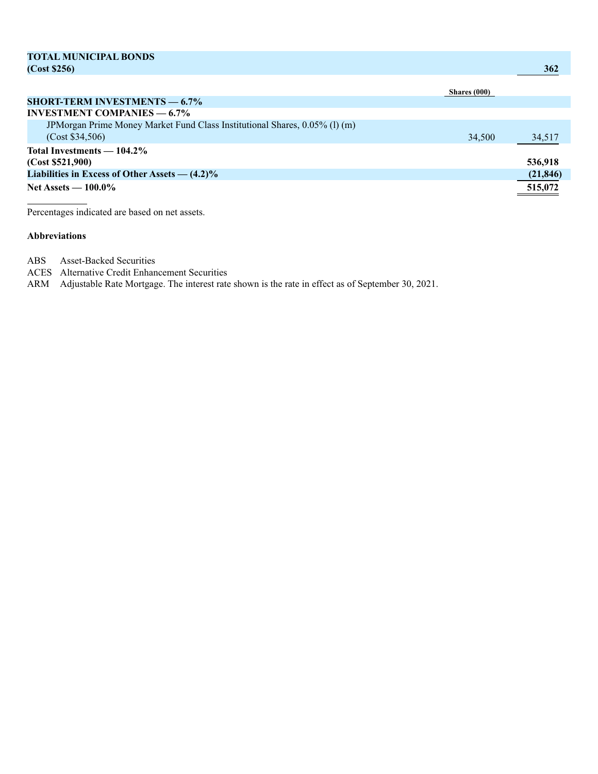| <b>TOTAL MUNICIPAL BONDS</b>                                               |              |            |
|----------------------------------------------------------------------------|--------------|------------|
| (Cost \$256)                                                               |              | <b>362</b> |
|                                                                            |              |            |
|                                                                            | Shares (000) |            |
| <b>SHORT-TERM INVESTMENTS — 6.7%</b>                                       |              |            |
| <b>INVESTMENT COMPANIES <math>-6.7\%</math></b>                            |              |            |
| JPMorgan Prime Money Market Fund Class Institutional Shares, 0.05% (1) (m) |              |            |
| (Cost \$34,506)                                                            | 34,500       | 34,517     |
| Total Investments — 104.2%                                                 |              |            |
| (Cost \$521,900)                                                           |              | 536,918    |
| Liabilities in Excess of Other Assets $-$ (4.2)%                           |              | (21, 846)  |
| Net Assets $-100.0\%$                                                      |              | 515,072    |

Percentages indicated are based on net assets.

#### **Abbreviations**

ABS Asset-Backed Securities

ACES Alternative Credit Enhancement Securities

ARM Adjustable Rate Mortgage. The interest rate shown is the rate in effect as of September 30, 2021.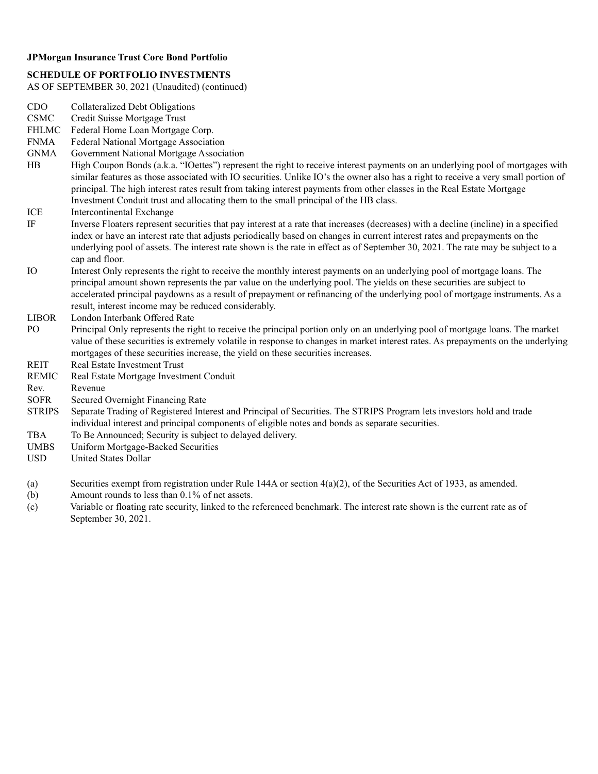#### **SCHEDULE OF PORTFOLIO INVESTMENTS**

- CDO Collateralized Debt Obligations
- CSMC Credit Suisse Mortgage Trust
- FHLMC Federal Home Loan Mortgage Corp.
- FNMA Federal National Mortgage Association
- GNMA Government National Mortgage Association
- HB High Coupon Bonds (a.k.a. "IOettes") represent the right to receive interest payments on an underlying pool of mortgages with similar features as those associated with IO securities. Unlike IO's the owner also has a right to receive a very small portion of principal. The high interest rates result from taking interest payments from other classes in the Real Estate Mortgage Investment Conduit trust and allocating them to the small principal of the HB class.
- ICE Intercontinental Exchange
- IF Inverse Floaters represent securities that pay interest at a rate that increases (decreases) with a decline (incline) in a specified index or have an interest rate that adjusts periodically based on changes in current interest rates and prepayments on the underlying pool of assets. The interest rate shown is the rate in effect as of September 30, 2021. The rate may be subject to a cap and floor.
- IO Interest Only represents the right to receive the monthly interest payments on an underlying pool of mortgage loans. The principal amount shown represents the par value on the underlying pool. The yields on these securities are subject to accelerated principal paydowns as a result of prepayment or refinancing of the underlying pool of mortgage instruments. As a result, interest income may be reduced considerably.
- LIBOR London Interbank Offered Rate
- PO Principal Only represents the right to receive the principal portion only on an underlying pool of mortgage loans. The market value of these securities is extremely volatile in response to changes in market interest rates. As prepayments on the underlying mortgages of these securities increase, the yield on these securities increases.
- REIT Real Estate Investment Trust
- REMIC Real Estate Mortgage Investment Conduit
- Rev. Revenue
- SOFR Secured Overnight Financing Rate
- **STRIPS** Separate Trading of Registered Interest and Principal of Securities. The STRIPS Program lets investors hold and trade individual interest and principal components of eligible notes and bonds as separate securities.
- TBA To Be Announced; Security is subject to delayed delivery.
- UMBS Uniform Mortgage-Backed Securities
- USD United States Dollar
- (a) Securities exempt from registration under Rule 144A or section 4(a)(2), of the Securities Act of 1933, as amended.
- (b) Amount rounds to less than 0.1% of net assets.
- (c) Variable or floating rate security, linked to the referenced benchmark. The interest rate shown is the current rate as of September 30, 2021.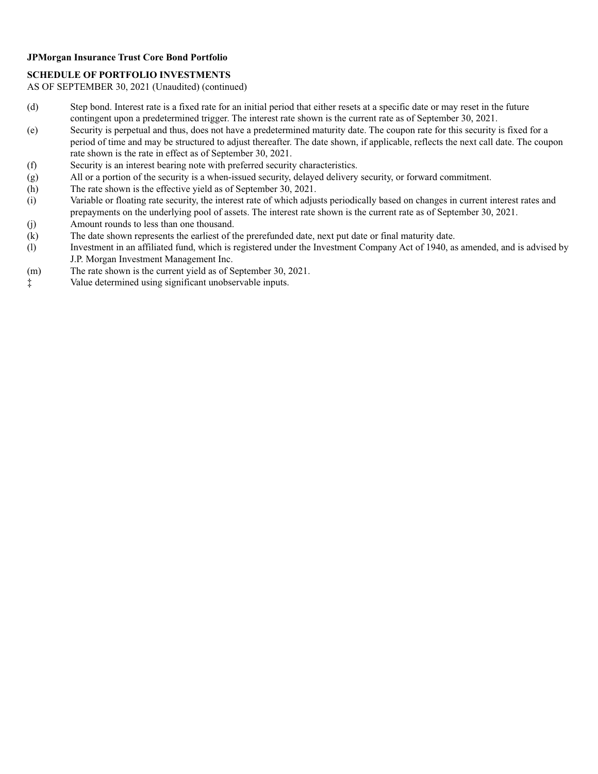#### **SCHEDULE OF PORTFOLIO INVESTMENTS**

- (d) Step bond. Interest rate is a fixed rate for an initial period that either resets at a specific date or may reset in the future contingent upon a predetermined trigger. The interest rate shown is the current rate as of September 30, 2021.
- (e) Security is perpetual and thus, does not have a predetermined maturity date. The coupon rate for this security is fixed for a period of time and may be structured to adjust thereafter. The date shown, if applicable, reflects the next call date. The coupon rate shown is the rate in effect as of September 30, 2021.
- (f) Security is an interest bearing note with preferred security characteristics.
- (g) All or a portion of the security is a when-issued security, delayed delivery security, or forward commitment.
- (h) The rate shown is the effective yield as of September 30, 2021.
- (i) Variable or floating rate security, the interest rate of which adjusts periodically based on changes in current interest rates and prepayments on the underlying pool of assets. The interest rate shown is the current rate as of September 30, 2021. (j) Amount rounds to less than one thousand.
- (k) The date shown represents the earliest of the prerefunded date, next put date or final maturity date.
- (l) Investment in an affiliated fund, which is registered under the Investment Company Act of 1940, as amended, and is advised by J.P. Morgan Investment Management Inc.
- (m) The rate shown is the current yield as of September 30, 2021.
- ‡ Value determined using significant unobservable inputs.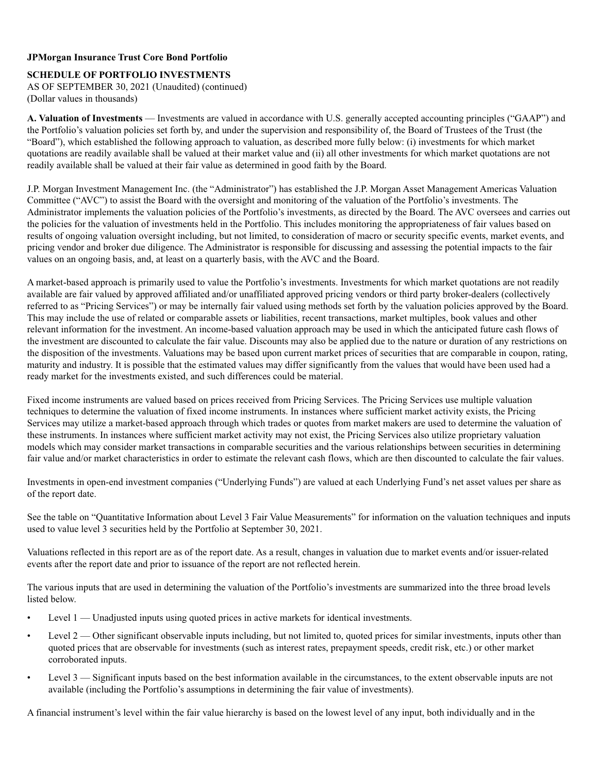#### **SCHEDULE OF PORTFOLIO INVESTMENTS**

AS OF SEPTEMBER 30, 2021 (Unaudited) (continued) (Dollar values in thousands)

**A. Valuation of Investments** — Investments are valued in accordance with U.S. generally accepted accounting principles ("GAAP") and the Portfolio's valuation policies set forth by, and under the supervision and responsibility of, the Board of Trustees of the Trust (the "Board"), which established the following approach to valuation, as described more fully below: (i) investments for which market quotations are readily available shall be valued at their market value and (ii) all other investments for which market quotations are not readily available shall be valued at their fair value as determined in good faith by the Board.

J.P. Morgan Investment Management Inc. (the "Administrator") has established the J.P. Morgan Asset Management Americas Valuation Committee ("AVC") to assist the Board with the oversight and monitoring of the valuation of the Portfolio's investments. The Administrator implements the valuation policies of the Portfolio's investments, as directed by the Board. The AVC oversees and carries out the policies for the valuation of investments held in the Portfolio. This includes monitoring the appropriateness of fair values based on results of ongoing valuation oversight including, but not limited, to consideration of macro or security specific events, market events, and pricing vendor and broker due diligence. The Administrator is responsible for discussing and assessing the potential impacts to the fair values on an ongoing basis, and, at least on a quarterly basis, with the AVC and the Board.

A market-based approach is primarily used to value the Portfolio's investments. Investments for which market quotations are not readily available are fair valued by approved affiliated and/or unaffiliated approved pricing vendors or third party broker-dealers (collectively referred to as "Pricing Services") or may be internally fair valued using methods set forth by the valuation policies approved by the Board. This may include the use of related or comparable assets or liabilities, recent transactions, market multiples, book values and other relevant information for the investment. An income-based valuation approach may be used in which the anticipated future cash flows of the investment are discounted to calculate the fair value. Discounts may also be applied due to the nature or duration of any restrictions on the disposition of the investments. Valuations may be based upon current market prices of securities that are comparable in coupon, rating, maturity and industry. It is possible that the estimated values may differ significantly from the values that would have been used had a ready market for the investments existed, and such differences could be material.

Fixed income instruments are valued based on prices received from Pricing Services. The Pricing Services use multiple valuation techniques to determine the valuation of fixed income instruments. In instances where sufficient market activity exists, the Pricing Services may utilize a market-based approach through which trades or quotes from market makers are used to determine the valuation of these instruments. In instances where sufficient market activity may not exist, the Pricing Services also utilize proprietary valuation models which may consider market transactions in comparable securities and the various relationships between securities in determining fair value and/or market characteristics in order to estimate the relevant cash flows, which are then discounted to calculate the fair values.

Investments in open-end investment companies ("Underlying Funds") are valued at each Underlying Fund's net asset values per share as of the report date.

See the table on "Quantitative Information about Level 3 Fair Value Measurements" for information on the valuation techniques and inputs used to value level 3 securities held by the Portfolio at September 30, 2021.

Valuations reflected in this report are as of the report date. As a result, changes in valuation due to market events and/or issuer-related events after the report date and prior to issuance of the report are not reflected herein.

The various inputs that are used in determining the valuation of the Portfolio's investments are summarized into the three broad levels listed below.

- Level 1 Unadjusted inputs using quoted prices in active markets for identical investments.
- Level 2 Other significant observable inputs including, but not limited to, quoted prices for similar investments, inputs other than quoted prices that are observable for investments (such as interest rates, prepayment speeds, credit risk, etc.) or other market corroborated inputs.
- Level 3 Significant inputs based on the best information available in the circumstances, to the extent observable inputs are not available (including the Portfolio's assumptions in determining the fair value of investments).

A financial instrument's level within the fair value hierarchy is based on the lowest level of any input, both individually and in the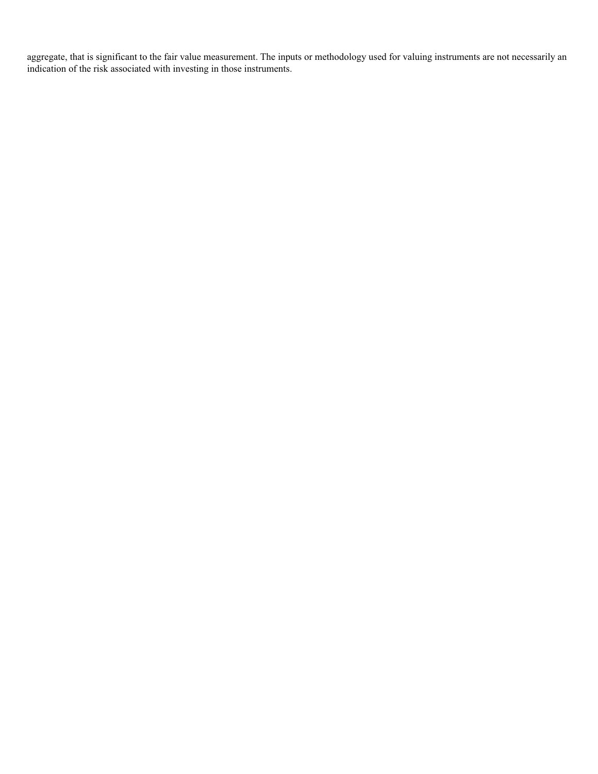aggregate, that is significant to the fair value measurement. The inputs or methodology used for valuing instruments are not necessarily an indication of the risk associated with investing in those instruments.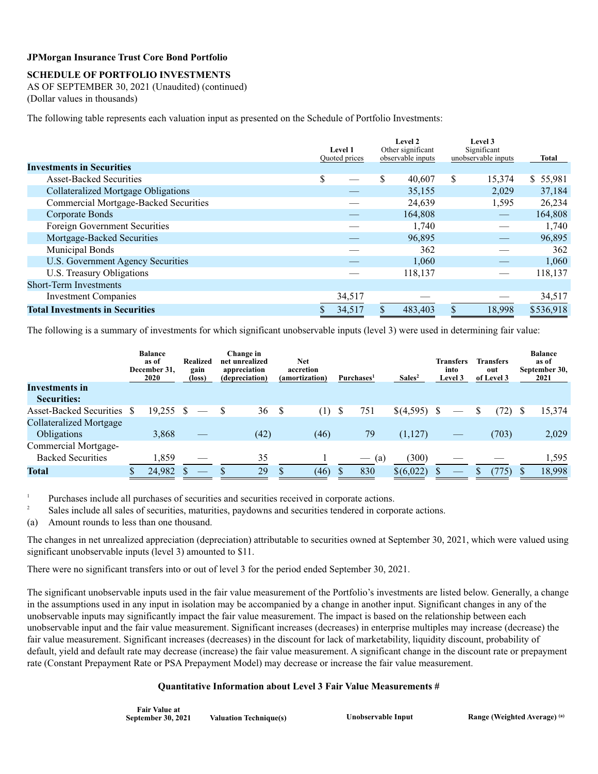## **JPMorgan Insurance Trust Core Bond Portfolio**

## **SCHEDULE OF PORTFOLIO INVESTMENTS**

AS OF SEPTEMBER 30, 2021 (Unaudited) (continued) (Dollar values in thousands)

The following table represents each valuation input as presented on the Schedule of Portfolio Investments:

|                                              |               | <b>Level 1</b><br><b>Ouoted</b> prices |     | Level 2<br>Other significant<br>observable inputs | Level 3<br>Significant<br>unobservable inputs |        | Total     |  |
|----------------------------------------------|---------------|----------------------------------------|-----|---------------------------------------------------|-----------------------------------------------|--------|-----------|--|
| <b>Investments in Securities</b>             |               |                                        |     |                                                   |                                               |        |           |  |
| <b>Asset-Backed Securities</b>               | <sup>\$</sup> |                                        | \$. | 40,607                                            | <sup>\$</sup>                                 | 15,374 | \$55,981  |  |
| <b>Collateralized Mortgage Obligations</b>   |               |                                        |     | 35,155                                            |                                               | 2,029  | 37,184    |  |
| <b>Commercial Mortgage-Backed Securities</b> |               |                                        |     | 24,639                                            |                                               | 1,595  | 26,234    |  |
| Corporate Bonds                              |               |                                        |     | 164,808                                           |                                               |        | 164,808   |  |
| Foreign Government Securities                |               |                                        |     | 1,740                                             |                                               |        | 1,740     |  |
| Mortgage-Backed Securities                   |               |                                        |     | 96,895                                            |                                               |        | 96,895    |  |
| Municipal Bonds                              |               |                                        |     | 362                                               |                                               |        | 362       |  |
| U.S. Government Agency Securities            |               |                                        |     | 1,060                                             |                                               |        | 1.060     |  |
| U.S. Treasury Obligations                    |               |                                        |     | 118,137                                           |                                               |        | 118,137   |  |
| <b>Short-Term Investments</b>                |               |                                        |     |                                                   |                                               |        |           |  |
| <b>Investment Companies</b>                  |               | 34,517                                 |     |                                                   |                                               |        | 34,517    |  |
| <b>Total Investments in Securities</b>       |               | 34.517                                 |     | 483,403                                           |                                               | 18.998 | \$536,918 |  |

The following is a summary of investments for which significant unobservable inputs (level 3) were used in determining fair value:

|                            | <b>Balance</b><br>as of<br>December 31.<br><b>2020</b> | <b>Realized</b><br>gain<br>(loss) | Change in<br>net unrealized<br>appreciation<br>(depreciation) |   | <b>Net</b><br>accretion<br>(amortization) | Purchases <sup>1</sup> | Sales <sup>2</sup> | <b>Transfers</b><br>into<br>Level 3 | <b>Transfers</b><br>out<br>of Level 3 | <b>Balance</b><br>as of<br>September 30,<br>2021 |
|----------------------------|--------------------------------------------------------|-----------------------------------|---------------------------------------------------------------|---|-------------------------------------------|------------------------|--------------------|-------------------------------------|---------------------------------------|--------------------------------------------------|
| <b>Investments in</b>      |                                                        |                                   |                                                               |   |                                           |                        |                    |                                     |                                       |                                                  |
| <b>Securities:</b>         |                                                        |                                   |                                                               |   |                                           |                        |                    |                                     |                                       |                                                  |
| Asset-Backed Securities \$ | 19.255 \$                                              |                                   | 36                                                            | S | (1)                                       | \$<br>751              | \$(4,595)          |                                     | (72)                                  | 15,374                                           |
| Collateralized Mortgage    |                                                        |                                   |                                                               |   |                                           |                        |                    |                                     |                                       |                                                  |
| Obligations                | 3,868                                                  |                                   | (42)                                                          |   | (46)                                      | 79                     | (1,127)            |                                     | (703)                                 | 2,029                                            |
| Commercial Mortgage-       |                                                        |                                   |                                                               |   |                                           |                        |                    |                                     |                                       |                                                  |
| <b>Backed Securities</b>   | 1,859                                                  |                                   | 35                                                            |   |                                           | $-$ (a)                | (300)              |                                     |                                       | 1,595                                            |
| <b>Total</b>               | 24,982                                                 | $\sim$                            | 29                                                            |   | (46)                                      | 830                    | \$(6,022)          | $\overline{\phantom{a}}$            | (775)                                 | 18,998                                           |

<sup>1</sup> Purchases include all purchases of securities and securities received in corporate actions.

<sup>2</sup> Sales include all sales of securities, maturities, paydowns and securities tendered in corporate actions.

(a) Amount rounds to less than one thousand.

The changes in net unrealized appreciation (depreciation) attributable to securities owned at September 30, 2021, which were valued using significant unobservable inputs (level 3) amounted to \$11.

There were no significant transfers into or out of level 3 for the period ended September 30, 2021.

The significant unobservable inputs used in the fair value measurement of the Portfolio's investments are listed below. Generally, a change in the assumptions used in any input in isolation may be accompanied by a change in another input. Significant changes in any of the unobservable inputs may significantly impact the fair value measurement. The impact is based on the relationship between each unobservable input and the fair value measurement. Significant increases (decreases) in enterprise multiples may increase (decrease) the fair value measurement. Significant increases (decreases) in the discount for lack of marketability, liquidity discount, probability of default, yield and default rate may decrease (increase) the fair value measurement. A significant change in the discount rate or prepayment rate (Constant Prepayment Rate or PSA Prepayment Model) may decrease or increase the fair value measurement.

## **Quantitative Information about Level 3 Fair Value Measurements #**

| <b>Fair Value at</b> |                               |  |
|----------------------|-------------------------------|--|
| September 30, 2021   | <b>Valuation Technique(s)</b> |  |

**Chapter 30, 2021 Chapter 30, 2021 Range (Weighted Average)** (a)